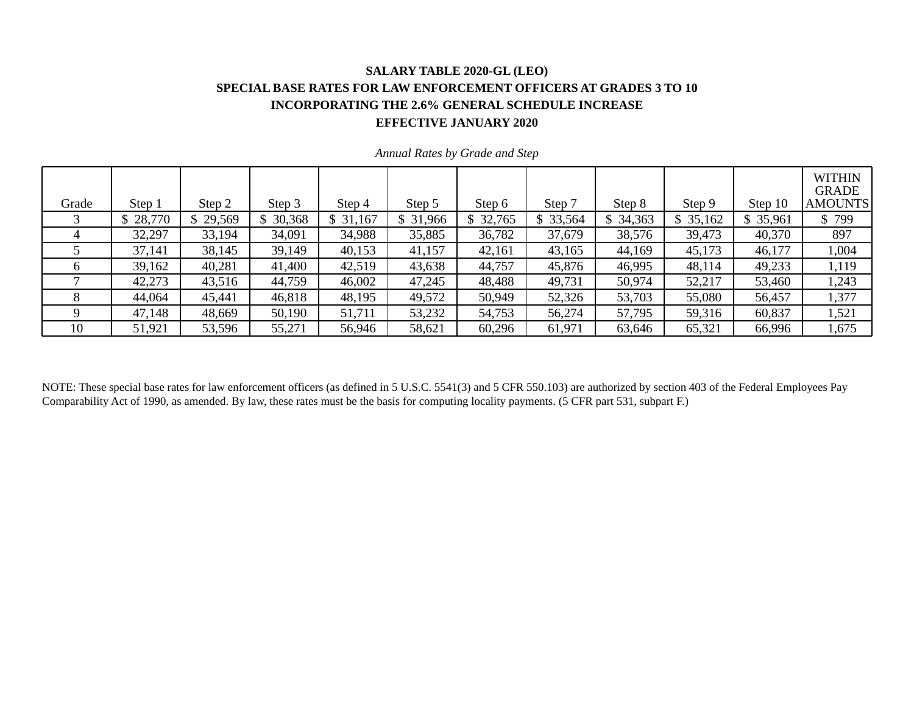#### **SALARY TABLE 2020-GL (LEO) SPECIAL BASE RATES FOR LAW ENFORCEMENT OFFICERS AT GRADES 3 TO 10 INCORPORATING THE 2.6% GENERAL SCHEDULE INCREASE EFFECTIVE JANUARY 2020**

| Grade | Step 1   | Step 2 | Step 3   | Step 4   | Step 5   | Step 6   | Step 7   | Step 8   | Step 9   | Step 10  | <b>WITHIN</b><br><b>GRADE</b><br><b>AMOUNTS</b> |
|-------|----------|--------|----------|----------|----------|----------|----------|----------|----------|----------|-------------------------------------------------|
|       | \$28,770 | 29,569 | \$30,368 | \$31,167 | \$31,966 | \$32,765 | \$33,564 | \$34,363 | \$35,162 | \$35,961 | \$799                                           |
|       | 32,297   | 33,194 | 34,091   | 34,988   | 35,885   | 36,782   | 37,679   | 38,576   | 39,473   | 40,370   | 897                                             |
|       | 37,141   | 38,145 | 39,149   | 40,153   | 41,157   | 42,161   | 43,165   | 44,169   | 45,173   | 46,177   | 1,004                                           |
| 6     | 39,162   | 40,281 | 41,400   | 42,519   | 43,638   | 44,757   | 45,876   | 46,995   | 48,114   | 49,233   | 1,119                                           |
|       | 42,273   | 43,516 | 44,759   | 46,002   | 47,245   | 48,488   | 49,731   | 50,974   | 52,217   | 53,460   | 1,243                                           |
|       | 44,064   | 45,441 | 46,818   | 48,195   | 49,572   | 50,949   | 52,326   | 53,703   | 55,080   | 56,457   | 1,377                                           |
|       | 47,148   | 48,669 | 50,190   | 51,711   | 53,232   | 54,753   | 56,274   | 57,795   | 59,316   | 60,837   | 1,521                                           |
| 10    | 51,921   | 53,596 | 55,271   | 56,946   | 58,621   | 60,296   | 61,971   | 63,646   | 65,321   | 66,996   | 1,675                                           |

*Annual Rates by Grade and Step* 

NOTE: These special base rates for law enforcement officers (as defined in 5 U.S.C. 5541(3) and 5 CFR 550.103) are authorized by section 403 of the Federal Employees Pay Comparability Act of 1990, as amended. By law, these rates must be the basis for computing locality payments. (5 CFR part 531, subpart F.)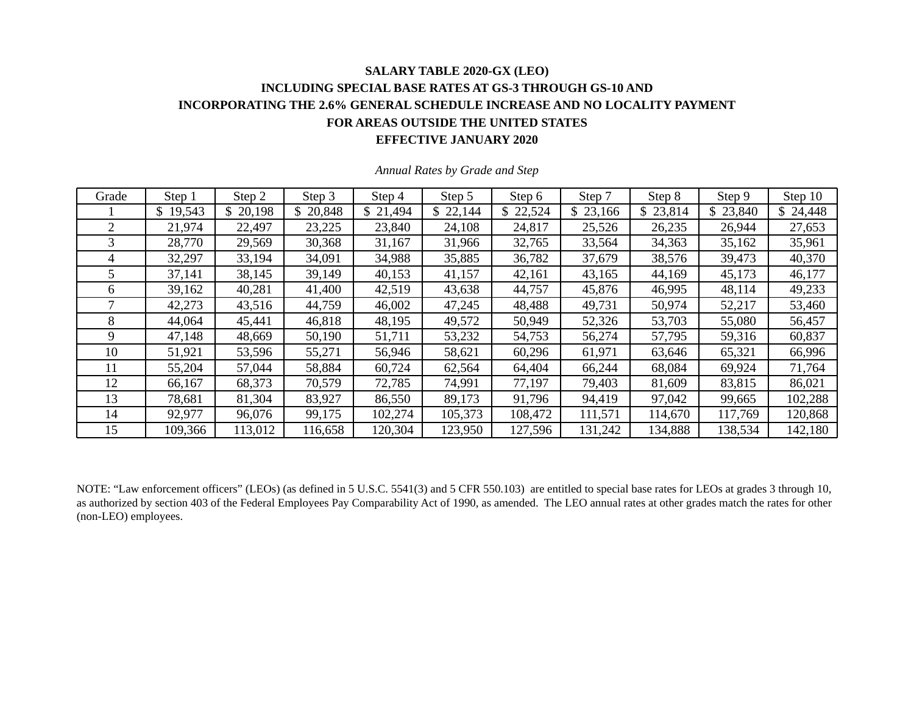### **SALARY TABLE 2020-GX (LEO) INCLUDING SPECIAL BASE RATES AT GS-3 THROUGH GS-10 AND INCORPORATING THE 2.6% GENERAL SCHEDULE INCREASE AND NO LOCALITY PAYMENT FOR AREAS OUTSIDE THE UNITED STATES EFFECTIVE JANUARY 2020**

| Grade | Step 1   | Step 2   | Step 3       | Step 4   | Step 5   | Step 6   | Step 7   | Step 8       | Step 9   | Step 10  |
|-------|----------|----------|--------------|----------|----------|----------|----------|--------------|----------|----------|
|       | \$19,543 | \$20,198 | 20,848<br>\$ | \$21,494 | \$22,144 | \$22,524 | \$23,166 | 23,814<br>\$ | \$23,840 | \$24,448 |
| 2     | 21,974   | 22,497   | 23,225       | 23,840   | 24,108   | 24,817   | 25,526   | 26,235       | 26,944   | 27,653   |
| 3     | 28,770   | 29,569   | 30,368       | 31,167   | 31,966   | 32,765   | 33,564   | 34,363       | 35,162   | 35,961   |
| 4     | 32,297   | 33,194   | 34,091       | 34,988   | 35,885   | 36,782   | 37,679   | 38,576       | 39,473   | 40,370   |
|       | 37,141   | 38,145   | 39,149       | 40,153   | 41,157   | 42,161   | 43,165   | 44,169       | 45,173   | 46,177   |
| 6     | 39,162   | 40,281   | 41,400       | 42,519   | 43,638   | 44,757   | 45,876   | 46,995       | 48,114   | 49,233   |
|       | 42,273   | 43,516   | 44,759       | 46,002   | 47,245   | 48,488   | 49,731   | 50,974       | 52,217   | 53,460   |
| 8     | 44,064   | 45,441   | 46,818       | 48,195   | 49,572   | 50,949   | 52,326   | 53,703       | 55,080   | 56,457   |
| 9     | 47,148   | 48,669   | 50,190       | 51,711   | 53,232   | 54,753   | 56,274   | 57,795       | 59,316   | 60,837   |
| 10    | 51,921   | 53,596   | 55,271       | 56,946   | 58,621   | 60,296   | 61,971   | 63,646       | 65,321   | 66,996   |
| 11    | 55,204   | 57,044   | 58,884       | 60,724   | 62,564   | 64,404   | 66,244   | 68,084       | 69,924   | 71,764   |
| 12    | 66,167   | 68,373   | 70,579       | 72,785   | 74,991   | 77,197   | 79,403   | 81,609       | 83,815   | 86,021   |
| 13    | 78,681   | 81,304   | 83,927       | 86,550   | 89,173   | 91,796   | 94,419   | 97,042       | 99,665   | 102,288  |
| 14    | 92,977   | 96,076   | 99,175       | 102,274  | 105,373  | 108,472  | 111,571  | 114,670      | 117,769  | 120,868  |
| 15    | 109,366  | 113,012  | 116,658      | 120,304  | 123,950  | 127,596  | 131,242  | 134,888      | 138,534  | 142,180  |

*Annual Rates by Grade and Step* 

NOTE: "Law enforcement officers" (LEOs) (as defined in 5 U.S.C. 5541(3) and 5 CFR 550.103) are entitled to special base rates for LEOs at grades 3 through 10, as authorized by section 403 of the Federal Employees Pay Comparability Act of 1990, as amended. The LEO annual rates at other grades match the rates for other (non-LEO) employees.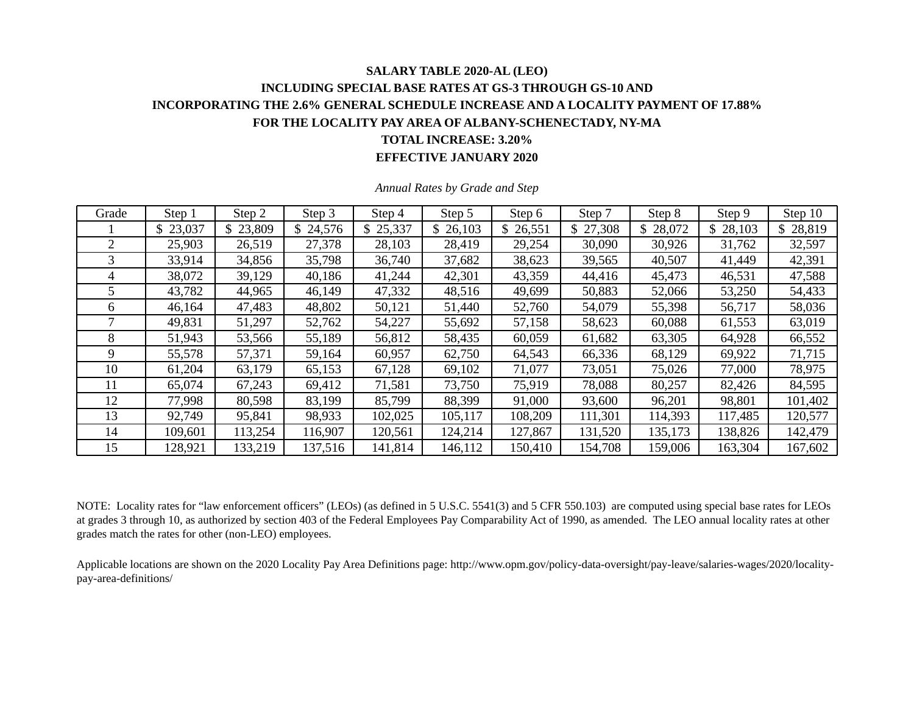### **SALARY TABLE 2020-AL (LEO) INCLUDING SPECIAL BASE RATES AT GS-3 THROUGH GS-10 AND INCORPORATING THE 2.6% GENERAL SCHEDULE INCREASE AND A LOCALITY PAYMENT OF 17.88% FOR THE LOCALITY PAY AREA OF ALBANY-SCHENECTADY, NY-MA TOTAL INCREASE: 3.20% EFFECTIVE JANUARY 2020**

| Grade          | Step 1   | Step 2   | Step 3  | Step 4   | Step 5   | Step 6  | Step 7   | Step 8        | Step 9   | Step 10  |
|----------------|----------|----------|---------|----------|----------|---------|----------|---------------|----------|----------|
|                | \$23,037 | \$23,809 | 24,576  | \$25,337 | \$26,103 | 26,551  | \$27,308 | 28,072<br>\$. | \$28,103 | \$28,819 |
| $\overline{2}$ | 25,903   | 26,519   | 27,378  | 28,103   | 28,419   | 29,254  | 30,090   | 30,926        | 31,762   | 32,597   |
| 3              | 33,914   | 34,856   | 35,798  | 36,740   | 37,682   | 38,623  | 39,565   | 40,507        | 41,449   | 42,391   |
| 4              | 38,072   | 39,129   | 40,186  | 41,244   | 42,301   | 43,359  | 44,416   | 45,473        | 46,531   | 47,588   |
|                | 43,782   | 44,965   | 46,149  | 47,332   | 48,516   | 49,699  | 50,883   | 52,066        | 53,250   | 54,433   |
| 6              | 46,164   | 47,483   | 48,802  | 50,121   | 51,440   | 52,760  | 54,079   | 55,398        | 56,717   | 58,036   |
|                | 49,831   | 51,297   | 52,762  | 54,227   | 55,692   | 57,158  | 58,623   | 60,088        | 61,553   | 63,019   |
| 8              | 51,943   | 53,566   | 55,189  | 56,812   | 58,435   | 60,059  | 61,682   | 63,305        | 64,928   | 66,552   |
| 9              | 55,578   | 57,371   | 59,164  | 60,957   | 62,750   | 64,543  | 66,336   | 68,129        | 69,922   | 71,715   |
| 10             | 61,204   | 63,179   | 65,153  | 67,128   | 69,102   | 71,077  | 73,051   | 75,026        | 77,000   | 78,975   |
| 11             | 65,074   | 67,243   | 69,412  | 71,581   | 73,750   | 75,919  | 78,088   | 80,257        | 82,426   | 84,595   |
| 12             | 77,998   | 80,598   | 83,199  | 85,799   | 88,399   | 91,000  | 93,600   | 96,201        | 98,801   | 101,402  |
| 13             | 92,749   | 95,841   | 98,933  | 102,025  | 105,117  | 108,209 | 111,301  | 114,393       | 117,485  | 120,577  |
| 14             | 109,601  | 113,254  | 116,907 | 120,561  | 124,214  | 127,867 | 131,520  | 135,173       | 138,826  | 142,479  |
| 15             | 128,921  | 133,219  | 137,516 | 141,814  | 146,112  | 150,410 | 154,708  | 159,006       | 163,304  | 167,602  |

*Annual Rates by Grade and Step* 

NOTE: Locality rates for "law enforcement officers" (LEOs) (as defined in 5 U.S.C. 5541(3) and 5 CFR 550.103) are computed using special base rates for LEOs at grades 3 through 10, as authorized by section 403 of the Federal Employees Pay Comparability Act of 1990, as amended. The LEO annual locality rates at other grades match the rates for other (non-LEO) employees.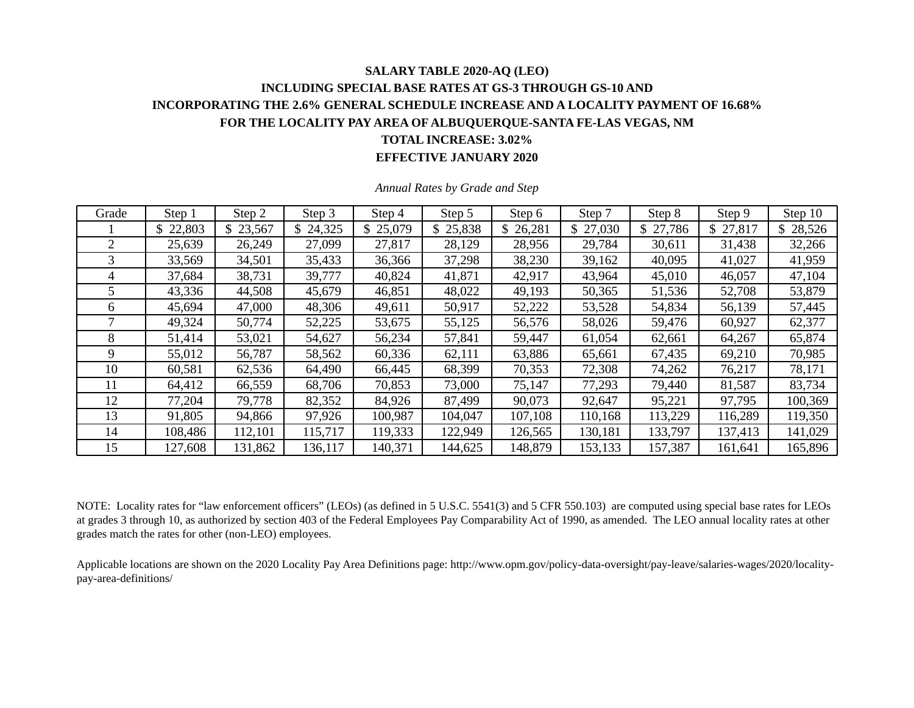### **SALARY TABLE 2020-AQ (LEO) INCLUDING SPECIAL BASE RATES AT GS-3 THROUGH GS-10 AND INCORPORATING THE 2.6% GENERAL SCHEDULE INCREASE AND A LOCALITY PAYMENT OF 16.68% FOR THE LOCALITY PAY AREA OF ALBUQUERQUE-SANTA FE-LAS VEGAS, NM TOTAL INCREASE: 3.02% EFFECTIVE JANUARY 2020**

| Grade | Step 1   | Step 2   | Step 3  | Step 4   | Step 5   | Step 6  | Step 7   | Step 8   | Step 9   | Step 10  |
|-------|----------|----------|---------|----------|----------|---------|----------|----------|----------|----------|
|       | \$22,803 | \$23,567 | 24,325  | \$25,079 | \$25,838 | 26,281  | \$27,030 | \$27,786 | \$27,817 | \$28,526 |
| 2     | 25,639   | 26,249   | 27,099  | 27,817   | 28,129   | 28,956  | 29,784   | 30,611   | 31,438   | 32,266   |
| 3     | 33,569   | 34,501   | 35,433  | 36,366   | 37,298   | 38,230  | 39,162   | 40,095   | 41,027   | 41,959   |
| 4     | 37,684   | 38,731   | 39,777  | 40,824   | 41,871   | 42,917  | 43,964   | 45,010   | 46,057   | 47,104   |
| 5.    | 43,336   | 44,508   | 45,679  | 46,851   | 48,022   | 49,193  | 50,365   | 51,536   | 52,708   | 53,879   |
| 6     | 45,694   | 47,000   | 48,306  | 49,611   | 50,917   | 52,222  | 53,528   | 54,834   | 56,139   | 57,445   |
|       | 49,324   | 50,774   | 52,225  | 53,675   | 55,125   | 56,576  | 58,026   | 59,476   | 60,927   | 62,377   |
| 8     | 51,414   | 53,021   | 54,627  | 56,234   | 57,841   | 59,447  | 61,054   | 62,661   | 64,267   | 65,874   |
| 9     | 55,012   | 56,787   | 58,562  | 60,336   | 62,111   | 63,886  | 65,661   | 67,435   | 69,210   | 70,985   |
| 10    | 60,581   | 62,536   | 64,490  | 66,445   | 68,399   | 70,353  | 72,308   | 74,262   | 76,217   | 78,171   |
| 11    | 64,412   | 66,559   | 68,706  | 70,853   | 73,000   | 75,147  | 77,293   | 79,440   | 81,587   | 83,734   |
| 12    | 77,204   | 79,778   | 82,352  | 84,926   | 87,499   | 90,073  | 92,647   | 95,221   | 97,795   | 100,369  |
| 13    | 91,805   | 94,866   | 97,926  | 100,987  | 104,047  | 107,108 | 110,168  | 113,229  | 116,289  | 119,350  |
| 14    | 108,486  | 112,101  | 115,717 | 119,333  | 122,949  | 126,565 | 130,181  | 133,797  | 137,413  | 141,029  |
| 15    | 127,608  | 131,862  | 136,117 | 140,371  | 144,625  | 148,879 | 153,133  | 157,387  | 161,641  | 165,896  |

*Annual Rates by Grade and Step* 

NOTE: Locality rates for "law enforcement officers" (LEOs) (as defined in 5 U.S.C. 5541(3) and 5 CFR 550.103) are computed using special base rates for LEOs at grades 3 through 10, as authorized by section 403 of the Federal Employees Pay Comparability Act of 1990, as amended. The LEO annual locality rates at other grades match the rates for other (non-LEO) employees.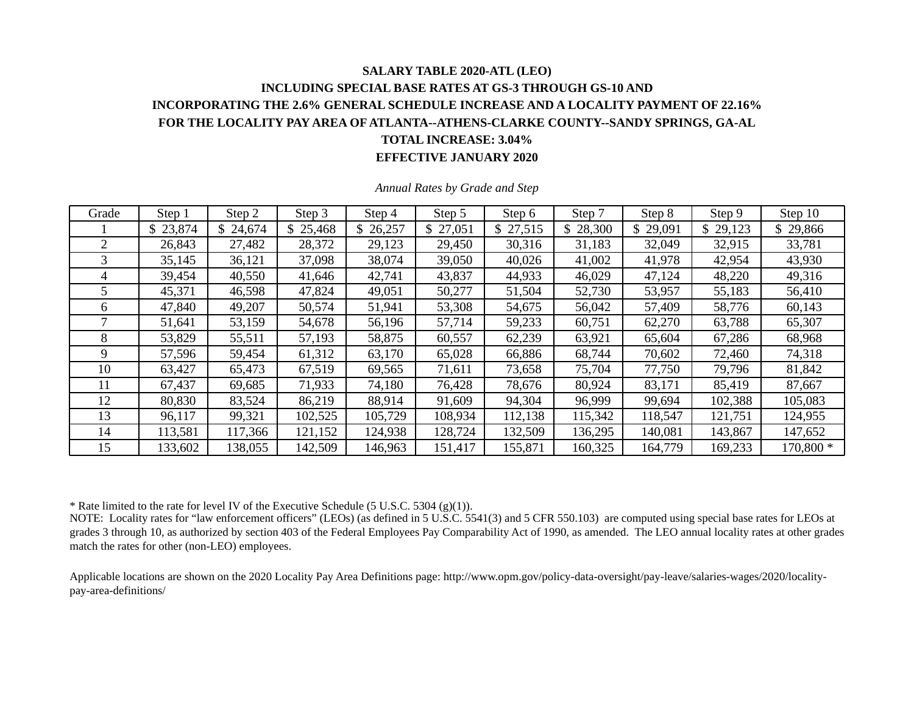### **SALARY TABLE 2020-ATL (LEO) INCLUDING SPECIAL BASE RATES AT GS-3 THROUGH GS-10 AND INCORPORATING THE 2.6% GENERAL SCHEDULE INCREASE AND A LOCALITY PAYMENT OF 22.16% FOR THE LOCALITY PAY AREA OF ATLANTA--ATHENS-CLARKE COUNTY--SANDY SPRINGS, GA-AL TOTAL INCREASE: 3.04% EFFECTIVE JANUARY 2020**

| Grade | Step 1   | Step 2   | Step 3   | Step 4   | Step 5   | Step 6   | Step 7   | Step 8   | Step 9   | Step 10    |
|-------|----------|----------|----------|----------|----------|----------|----------|----------|----------|------------|
|       | \$23,874 | \$24,674 | \$25,468 | \$26,257 | \$27,051 | \$27,515 | \$28,300 | \$29,091 | \$29,123 | \$29,866   |
| 2     | 26,843   | 27,482   | 28,372   | 29,123   | 29,450   | 30,316   | 31,183   | 32,049   | 32,915   | 33,781     |
| 3     | 35,145   | 36,121   | 37,098   | 38,074   | 39,050   | 40,026   | 41,002   | 41,978   | 42,954   | 43,930     |
| 4     | 39,454   | 40,550   | 41,646   | 42,741   | 43,837   | 44,933   | 46,029   | 47,124   | 48,220   | 49,316     |
| 5.    | 45,371   | 46,598   | 47,824   | 49,051   | 50,277   | 51,504   | 52,730   | 53,957   | 55,183   | 56,410     |
| 6     | 47,840   | 49,207   | 50,574   | 51,941   | 53,308   | 54,675   | 56,042   | 57,409   | 58,776   | 60,143     |
|       | 51,641   | 53,159   | 54,678   | 56,196   | 57,714   | 59,233   | 60,751   | 62,270   | 63,788   | 65,307     |
| 8     | 53,829   | 55,511   | 57,193   | 58,875   | 60,557   | 62,239   | 63,921   | 65,604   | 67,286   | 68,968     |
| 9     | 57,596   | 59,454   | 61,312   | 63,170   | 65,028   | 66,886   | 68,744   | 70,602   | 72,460   | 74,318     |
| 10    | 63,427   | 65,473   | 67,519   | 69,565   | 71,611   | 73,658   | 75,704   | 77,750   | 79,796   | 81,842     |
| 11    | 67,437   | 69,685   | 71,933   | 74,180   | 76,428   | 78,676   | 80,924   | 83,171   | 85,419   | 87,667     |
| 12    | 80,830   | 83,524   | 86,219   | 88,914   | 91,609   | 94,304   | 96,999   | 99,694   | 102,388  | 105,083    |
| 13    | 96,117   | 99,321   | 102,525  | 105,729  | 108,934  | 112,138  | 115,342  | 118,547  | 121,751  | 124,955    |
| 14    | 113,581  | 117,366  | 121,152  | 124,938  | 128,724  | 132,509  | 136,295  | 140,081  | 143,867  | 147,652    |
| 15    | 133,602  | 138,055  | 142,509  | 146,963  | 151,417  | 155,871  | 160,325  | 164,779  | 169,233  | $170,800*$ |

*Annual Rates by Grade and Step* 

\* Rate limited to the rate for level IV of the Executive Schedule (5 U.S.C. 5304 (g)(1)).

NOTE: Locality rates for "law enforcement officers" (LEOs) (as defined in 5 U.S.C. 5541(3) and 5 CFR 550.103) are computed using special base rates for LEOs at grades 3 through 10, as authorized by section 403 of the Federal Employees Pay Comparability Act of 1990, as amended. The LEO annual locality rates at other grades match the rates for other (non-LEO) employees.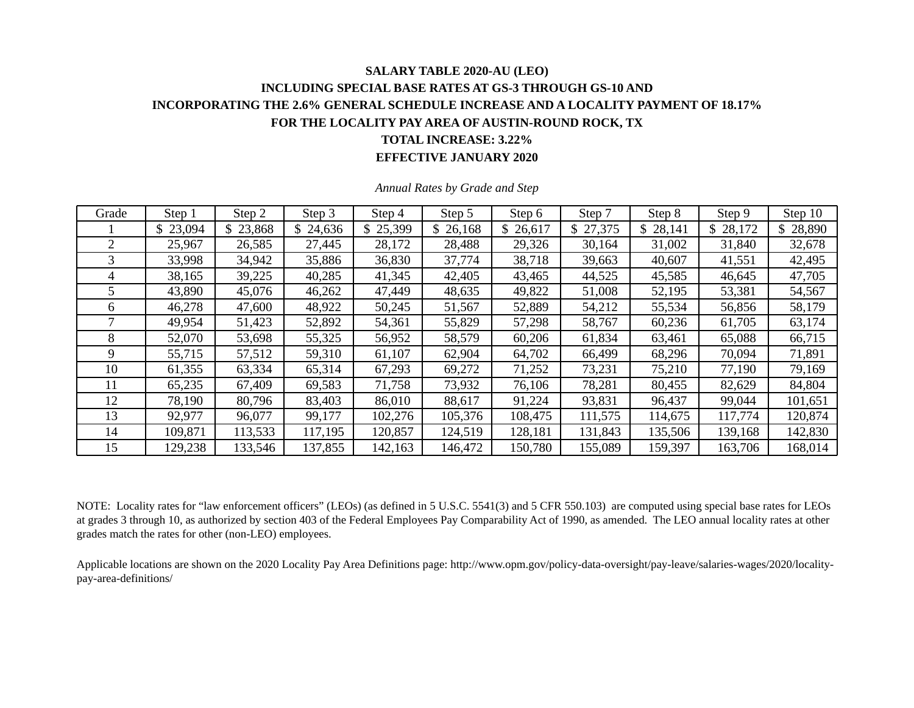### **SALARY TABLE 2020-AU (LEO) INCLUDING SPECIAL BASE RATES AT GS-3 THROUGH GS-10 AND INCORPORATING THE 2.6% GENERAL SCHEDULE INCREASE AND A LOCALITY PAYMENT OF 18.17% FOR THE LOCALITY PAY AREA OF AUSTIN-ROUND ROCK, TX TOTAL INCREASE: 3.22% EFFECTIVE JANUARY 2020**

| Grade | Step 1   | Step 2   | Step 3  | Step 4   | Step 5   | Step 6  | Step 7   | Step 8       | Step 9   | Step 10      |
|-------|----------|----------|---------|----------|----------|---------|----------|--------------|----------|--------------|
|       | \$23,094 | \$23,868 | 24,636  | \$25,399 | \$26,168 | 26,617  | \$27,375 | \$<br>28,141 | \$28,172 | 28,890<br>\$ |
| 2     | 25,967   | 26,585   | 27,445  | 28,172   | 28,488   | 29,326  | 30,164   | 31,002       | 31,840   | 32,678       |
| 3     | 33,998   | 34,942   | 35,886  | 36,830   | 37,774   | 38,718  | 39,663   | 40,607       | 41,551   | 42,495       |
| 4     | 38,165   | 39,225   | 40,285  | 41,345   | 42,405   | 43,465  | 44,525   | 45,585       | 46,645   | 47,705       |
|       | 43,890   | 45,076   | 46,262  | 47,449   | 48,635   | 49,822  | 51,008   | 52,195       | 53,381   | 54,567       |
| 6     | 46,278   | 47,600   | 48,922  | 50,245   | 51,567   | 52,889  | 54,212   | 55,534       | 56,856   | 58,179       |
|       | 49,954   | 51,423   | 52,892  | 54,361   | 55,829   | 57,298  | 58,767   | 60,236       | 61,705   | 63,174       |
| 8     | 52,070   | 53,698   | 55,325  | 56,952   | 58,579   | 60,206  | 61,834   | 63,461       | 65,088   | 66,715       |
| 9     | 55,715   | 57,512   | 59,310  | 61,107   | 62,904   | 64,702  | 66,499   | 68,296       | 70,094   | 71,891       |
| 10    | 61,355   | 63,334   | 65,314  | 67,293   | 69,272   | 71,252  | 73,231   | 75,210       | 77,190   | 79,169       |
| 11    | 65,235   | 67,409   | 69,583  | 71,758   | 73,932   | 76,106  | 78,281   | 80,455       | 82,629   | 84,804       |
| 12    | 78,190   | 80,796   | 83,403  | 86,010   | 88,617   | 91,224  | 93,831   | 96,437       | 99,044   | 101,651      |
| 13    | 92,977   | 96,077   | 99,177  | 102,276  | 105,376  | 108,475 | 111,575  | 114,675      | 117,774  | 120,874      |
| 14    | 109,871  | 113,533  | 117,195 | 120,857  | 124,519  | 128,181 | 131,843  | 135,506      | 139,168  | 142,830      |
| 15    | 129,238  | 133,546  | 137,855 | 142,163  | 146,472  | 150,780 | 155,089  | 159,397      | 163,706  | 168,014      |

*Annual Rates by Grade and Step* 

NOTE: Locality rates for "law enforcement officers" (LEOs) (as defined in 5 U.S.C. 5541(3) and 5 CFR 550.103) are computed using special base rates for LEOs at grades 3 through 10, as authorized by section 403 of the Federal Employees Pay Comparability Act of 1990, as amended. The LEO annual locality rates at other grades match the rates for other (non-LEO) employees.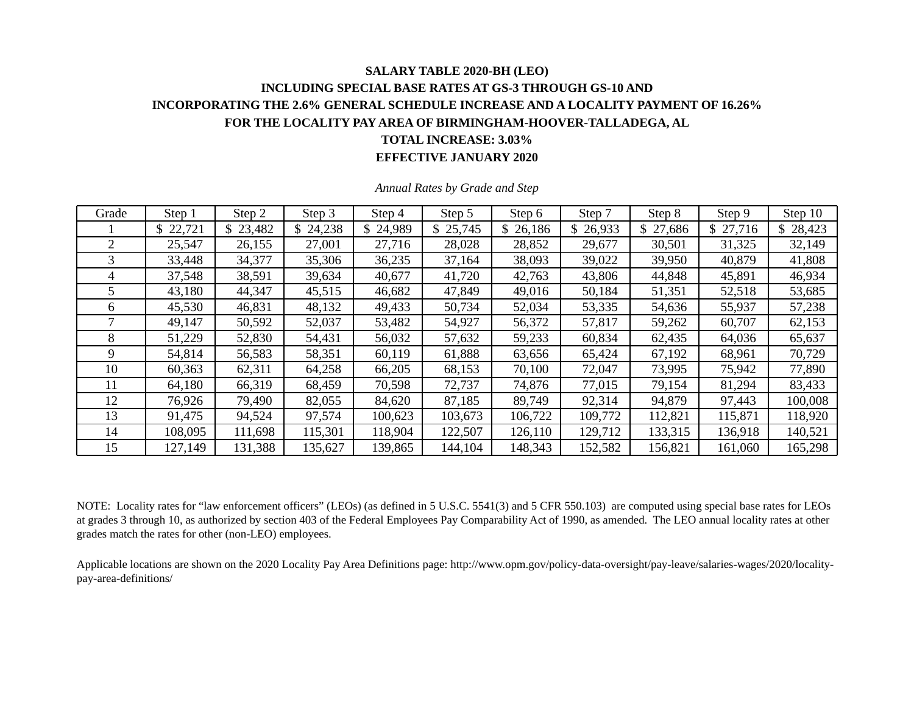## **SALARY TABLE 2020-BH (LEO) INCLUDING SPECIAL BASE RATES AT GS-3 THROUGH GS-10 AND INCORPORATING THE 2.6% GENERAL SCHEDULE INCREASE AND A LOCALITY PAYMENT OF 16.26% FOR THE LOCALITY PAY AREA OF BIRMINGHAM-HOOVER-TALLADEGA, AL TOTAL INCREASE: 3.03%**

**EFFECTIVE JANUARY 2020** 

| Grade | Step 1   | Step 2   | Step 3  | Step 4   | Step 5   | Step 6   | Step 7   | Step 8       | Step 9   | Step 10 |
|-------|----------|----------|---------|----------|----------|----------|----------|--------------|----------|---------|
|       | \$22,721 | \$23,482 | 24,238  | \$24,989 | \$25,745 | \$26,186 | \$26,933 | \$<br>27,686 | \$27,716 | 28,423  |
| 2     | 25,547   | 26,155   | 27,001  | 27,716   | 28,028   | 28,852   | 29,677   | 30,501       | 31,325   | 32,149  |
| 3     | 33,448   | 34,377   | 35,306  | 36,235   | 37,164   | 38,093   | 39,022   | 39,950       | 40,879   | 41,808  |
| 4     | 37,548   | 38,591   | 39,634  | 40,677   | 41,720   | 42,763   | 43,806   | 44,848       | 45,891   | 46,934  |
| 5     | 43,180   | 44,347   | 45,515  | 46,682   | 47,849   | 49,016   | 50,184   | 51,351       | 52,518   | 53,685  |
| 6     | 45,530   | 46,831   | 48,132  | 49,433   | 50,734   | 52,034   | 53,335   | 54,636       | 55,937   | 57,238  |
|       | 49,147   | 50,592   | 52,037  | 53,482   | 54,927   | 56,372   | 57,817   | 59,262       | 60,707   | 62,153  |
| 8     | 51,229   | 52,830   | 54,431  | 56,032   | 57,632   | 59,233   | 60,834   | 62,435       | 64,036   | 65,637  |
| 9     | 54,814   | 56,583   | 58,351  | 60,119   | 61,888   | 63,656   | 65,424   | 67,192       | 68,961   | 70,729  |
| 10    | 60,363   | 62,311   | 64,258  | 66,205   | 68,153   | 70,100   | 72,047   | 73,995       | 75,942   | 77,890  |
| 11    | 64,180   | 66,319   | 68,459  | 70,598   | 72,737   | 74,876   | 77,015   | 79,154       | 81,294   | 83,433  |
| 12    | 76,926   | 79,490   | 82,055  | 84,620   | 87,185   | 89,749   | 92,314   | 94,879       | 97,443   | 100,008 |
| 13    | 91,475   | 94,524   | 97,574  | 100,623  | 103,673  | 106,722  | 109,772  | 112,821      | 115,871  | 118,920 |
| 14    | 108,095  | 111,698  | 115,301 | 118,904  | 122,507  | 126,110  | 129,712  | 133,315      | 136,918  | 140,521 |
| 15    | 127,149  | 131,388  | 135,627 | 139,865  | 144,104  | 148,343  | 152,582  | 156,821      | 161,060  | 165,298 |

*Annual Rates by Grade and Step* 

NOTE: Locality rates for "law enforcement officers" (LEOs) (as defined in 5 U.S.C. 5541(3) and 5 CFR 550.103) are computed using special base rates for LEOs at grades 3 through 10, as authorized by section 403 of the Federal Employees Pay Comparability Act of 1990, as amended. The LEO annual locality rates at other grades match the rates for other (non-LEO) employees.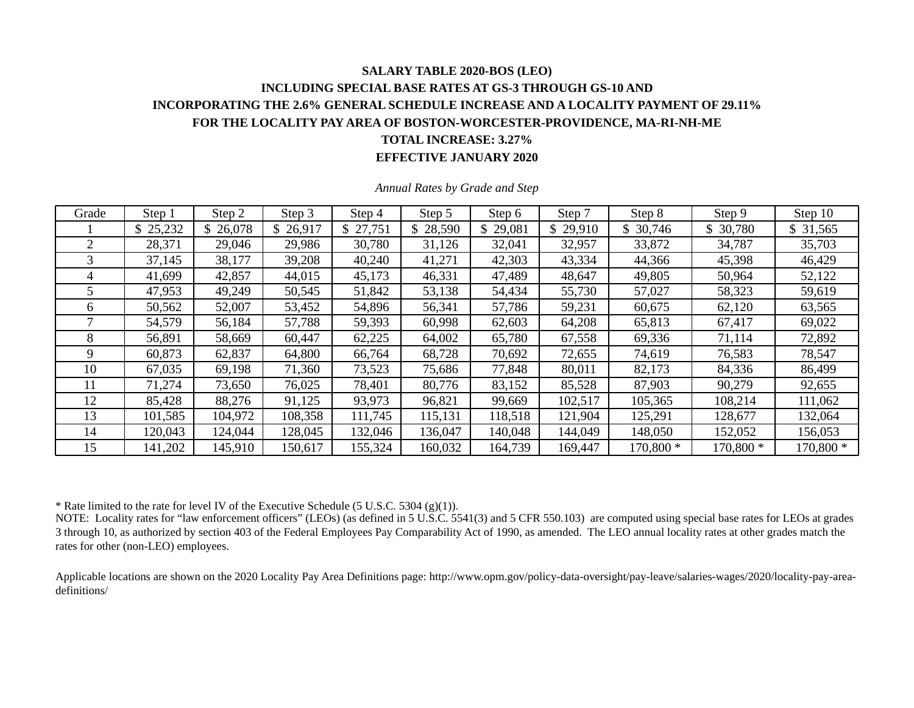### **SALARY TABLE 2020-BOS (LEO) INCLUDING SPECIAL BASE RATES AT GS-3 THROUGH GS-10 AND INCORPORATING THE 2.6% GENERAL SCHEDULE INCREASE AND A LOCALITY PAYMENT OF 29.11% FOR THE LOCALITY PAY AREA OF BOSTON-WORCESTER-PROVIDENCE, MA-RI-NH-ME TOTAL INCREASE: 3.27% EFFECTIVE JANUARY 2020**

| Grade | Step 1   | Step 2   | Step 3   | Step 4   | Step 5   | Step 6        | Step 7   | Step 8    | Step 9    | Step 10   |
|-------|----------|----------|----------|----------|----------|---------------|----------|-----------|-----------|-----------|
|       | \$25,232 | \$26,078 | \$26,917 | \$27,751 | \$28,590 | 29,081<br>\$. | \$29,910 | \$30,746  | \$ 30,780 | \$31,565  |
| 2     | 28,371   | 29,046   | 29,986   | 30,780   | 31,126   | 32,041        | 32,957   | 33,872    | 34,787    | 35,703    |
| 3     | 37,145   | 38,177   | 39,208   | 40,240   | 41,271   | 42,303        | 43,334   | 44,366    | 45,398    | 46,429    |
| 4     | 41,699   | 42,857   | 44,015   | 45,173   | 46,331   | 47,489        | 48,647   | 49,805    | 50,964    | 52,122    |
|       | 47,953   | 49,249   | 50,545   | 51,842   | 53,138   | 54,434        | 55,730   | 57,027    | 58,323    | 59,619    |
| 6     | 50,562   | 52,007   | 53,452   | 54,896   | 56,341   | 57,786        | 59,231   | 60,675    | 62,120    | 63,565    |
|       | 54,579   | 56,184   | 57,788   | 59,393   | 60,998   | 62,603        | 64,208   | 65,813    | 67,417    | 69,022    |
| 8     | 56,891   | 58,669   | 60,447   | 62,225   | 64,002   | 65,780        | 67,558   | 69,336    | 71,114    | 72,892    |
| 9     | 60,873   | 62,837   | 64,800   | 66,764   | 68,728   | 70,692        | 72,655   | 74,619    | 76,583    | 78,547    |
| 10    | 67,035   | 69,198   | 71,360   | 73,523   | 75,686   | 77,848        | 80,011   | 82,173    | 84,336    | 86,499    |
| 11    | 71,274   | 73,650   | 76,025   | 78,401   | 80,776   | 83,152        | 85,528   | 87,903    | 90,279    | 92,655    |
| 12    | 85,428   | 88,276   | 91,125   | 93,973   | 96,821   | 99,669        | 102,517  | 105,365   | 108,214   | 111,062   |
| 13    | 101,585  | 104,972  | 108,358  | 111,745  | 115,131  | 118,518       | 121,904  | 125,291   | 128,677   | 132,064   |
| 14    | 120,043  | 124,044  | 128,045  | 132,046  | 136,047  | 140,048       | 144,049  | 148,050   | 152,052   | 156,053   |
| 15    | 141,202  | 145,910  | 150,617  | 155,324  | 160,032  | 164,739       | 169,447  | 170,800 * | 170,800 * | 170,800 * |

*Annual Rates by Grade and Step* 

\* Rate limited to the rate for level IV of the Executive Schedule (5 U.S.C. 5304 (g)(1)).

NOTE: Locality rates for "law enforcement officers" (LEOs) (as defined in 5 U.S.C.  $5541(3)$  and 5 CFR 550.103) are computed using special base rates for LEOs at grades 3 through 10, as authorized by section 403 of the Federal Employees Pay Comparability Act of 1990, as amended. The LEO annual locality rates at other grades match the rates for other (non-LEO) employees.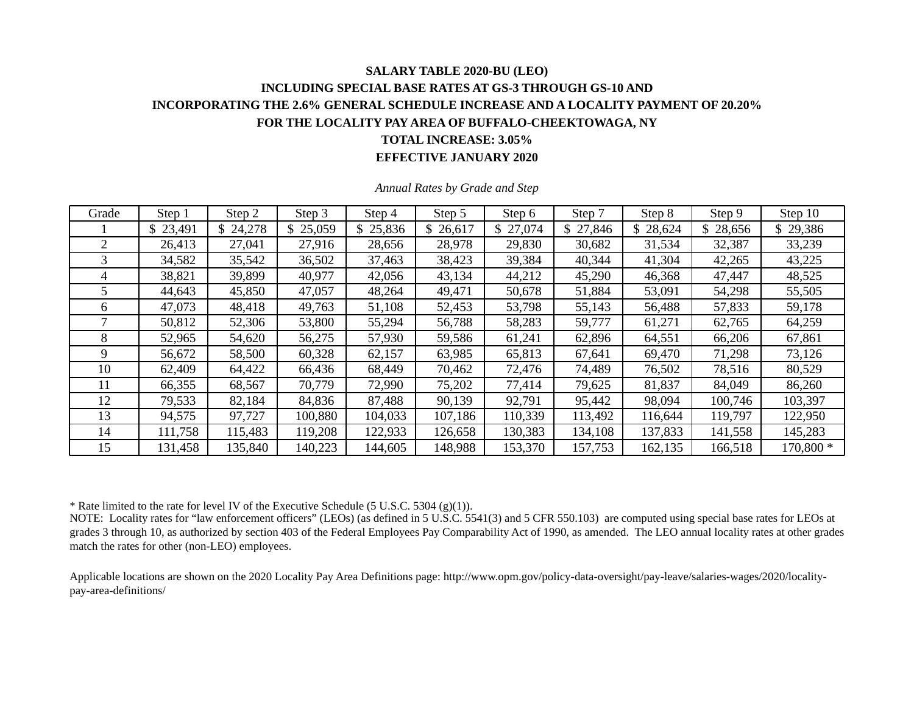### **SALARY TABLE 2020-BU (LEO) INCLUDING SPECIAL BASE RATES AT GS-3 THROUGH GS-10 AND INCORPORATING THE 2.6% GENERAL SCHEDULE INCREASE AND A LOCALITY PAYMENT OF 20.20% FOR THE LOCALITY PAY AREA OF BUFFALO-CHEEKTOWAGA, NY TOTAL INCREASE: 3.05% EFFECTIVE JANUARY 2020**

| Grade          | Step 1   | Step 2  | Step 3   | Step 4  | Step 5  | Step 6   | Step 7   | Step 8  | Step 9   | Step 10   |
|----------------|----------|---------|----------|---------|---------|----------|----------|---------|----------|-----------|
|                | \$23,491 | 24,278  | \$25,059 | 25,836  | 26,617  | \$27,074 | \$27,846 | 28,624  | \$28,656 | \$29,386  |
| $\overline{2}$ | 26,413   | 27,041  | 27,916   | 28,656  | 28,978  | 29,830   | 30,682   | 31,534  | 32,387   | 33,239    |
| 3              | 34,582   | 35,542  | 36,502   | 37,463  | 38,423  | 39,384   | 40,344   | 41,304  | 42,265   | 43,225    |
| 4              | 38,821   | 39,899  | 40,977   | 42,056  | 43,134  | 44,212   | 45,290   | 46,368  | 47,447   | 48,525    |
| 5              | 44,643   | 45,850  | 47,057   | 48,264  | 49,471  | 50,678   | 51,884   | 53,091  | 54,298   | 55,505    |
| 6              | 47,073   | 48,418  | 49,763   | 51,108  | 52,453  | 53,798   | 55,143   | 56,488  | 57,833   | 59,178    |
| 7              | 50,812   | 52,306  | 53,800   | 55,294  | 56,788  | 58,283   | 59,777   | 61,271  | 62,765   | 64,259    |
| 8              | 52,965   | 54,620  | 56,275   | 57,930  | 59,586  | 61,241   | 62,896   | 64,551  | 66,206   | 67,861    |
| 9              | 56,672   | 58,500  | 60,328   | 62,157  | 63,985  | 65,813   | 67,641   | 69,470  | 71,298   | 73,126    |
| 10             | 62,409   | 64,422  | 66,436   | 68,449  | 70,462  | 72,476   | 74,489   | 76,502  | 78,516   | 80,529    |
| 11             | 66,355   | 68,567  | 70,779   | 72,990  | 75,202  | 77,414   | 79,625   | 81,837  | 84,049   | 86,260    |
| 12             | 79,533   | 82,184  | 84,836   | 87,488  | 90,139  | 92,791   | 95,442   | 98,094  | 100,746  | 103,397   |
| 13             | 94,575   | 97,727  | 100,880  | 104,033 | 107,186 | 110,339  | 113,492  | 116,644 | 119,797  | 122,950   |
| 14             | 111,758  | 115,483 | 119,208  | 122,933 | 126,658 | 130,383  | 134,108  | 137,833 | 141,558  | 145,283   |
| 15             | 131,458  | 135,840 | 140,223  | 144,605 | 148,988 | 153,370  | 157,753  | 162,135 | 166,518  | 170,800 * |

*Annual Rates by Grade and Step* 

\* Rate limited to the rate for level IV of the Executive Schedule (5 U.S.C. 5304 (g)(1)).

NOTE: Locality rates for "law enforcement officers" (LEOs) (as defined in 5 U.S.C. 5541(3) and 5 CFR 550.103) are computed using special base rates for LEOs at grades 3 through 10, as authorized by section 403 of the Federal Employees Pay Comparability Act of 1990, as amended. The LEO annual locality rates at other grades match the rates for other (non-LEO) employees.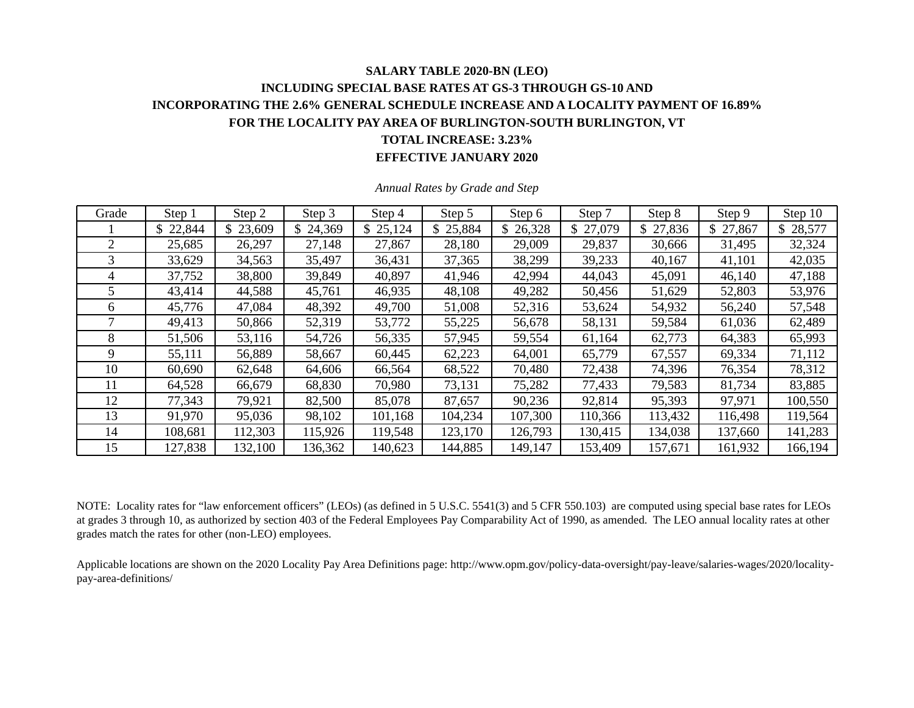# **SALARY TABLE 2020-BN (LEO) INCLUDING SPECIAL BASE RATES AT GS-3 THROUGH GS-10 AND INCORPORATING THE 2.6% GENERAL SCHEDULE INCREASE AND A LOCALITY PAYMENT OF 16.89% FOR THE LOCALITY PAY AREA OF BURLINGTON-SOUTH BURLINGTON, VT TOTAL INCREASE: 3.23%**

**EFFECTIVE JANUARY 2020** 

| Grade | Step 1   | Step 2   | Step 3       | Step 4   | Step 5   | Step 6   | Step 7   | Step 8       | Step 9   | Step 10       |
|-------|----------|----------|--------------|----------|----------|----------|----------|--------------|----------|---------------|
|       | \$22,844 | \$23,609 | \$<br>24,369 | \$25,124 | \$25,884 | \$26,328 | \$27,079 | 27,836<br>\$ | \$27,867 | 28,577<br>\$. |
|       | 25,685   | 26,297   | 27,148       | 27,867   | 28,180   | 29,009   | 29,837   | 30,666       | 31,495   | 32,324        |
| 3     | 33,629   | 34,563   | 35,497       | 36,431   | 37,365   | 38,299   | 39,233   | 40,167       | 41,101   | 42,035        |
| 4     | 37,752   | 38,800   | 39,849       | 40,897   | 41,946   | 42,994   | 44,043   | 45,091       | 46,140   | 47,188        |
| 5.    | 43,414   | 44,588   | 45,761       | 46,935   | 48,108   | 49,282   | 50,456   | 51,629       | 52,803   | 53,976        |
| 6     | 45,776   | 47,084   | 48,392       | 49,700   | 51,008   | 52,316   | 53,624   | 54,932       | 56,240   | 57,548        |
|       | 49,413   | 50,866   | 52,319       | 53,772   | 55,225   | 56,678   | 58,131   | 59,584       | 61,036   | 62,489        |
| 8     | 51,506   | 53,116   | 54,726       | 56,335   | 57,945   | 59,554   | 61,164   | 62,773       | 64,383   | 65,993        |
| 9     | 55,111   | 56,889   | 58,667       | 60,445   | 62,223   | 64,001   | 65,779   | 67,557       | 69,334   | 71,112        |
| 10    | 60,690   | 62,648   | 64,606       | 66,564   | 68,522   | 70,480   | 72,438   | 74,396       | 76,354   | 78,312        |
| 11    | 64,528   | 66,679   | 68,830       | 70,980   | 73,131   | 75,282   | 77,433   | 79,583       | 81,734   | 83,885        |
| 12    | 77,343   | 79,921   | 82,500       | 85,078   | 87,657   | 90,236   | 92,814   | 95,393       | 97,971   | 100,550       |
| 13    | 91,970   | 95,036   | 98,102       | 101,168  | 104,234  | 107,300  | 110,366  | 113,432      | 116,498  | 119,564       |
| 14    | 108,681  | 112,303  | 115,926      | 119,548  | 123,170  | 126,793  | 130,415  | 134,038      | 137,660  | 141,283       |
| 15    | 127,838  | 132,100  | 136,362      | 140,623  | 144,885  | 149,147  | 153,409  | 157,671      | 161,932  | 166,194       |

*Annual Rates by Grade and Step* 

NOTE: Locality rates for "law enforcement officers" (LEOs) (as defined in 5 U.S.C. 5541(3) and 5 CFR 550.103) are computed using special base rates for LEOs at grades 3 through 10, as authorized by section 403 of the Federal Employees Pay Comparability Act of 1990, as amended. The LEO annual locality rates at other grades match the rates for other (non-LEO) employees.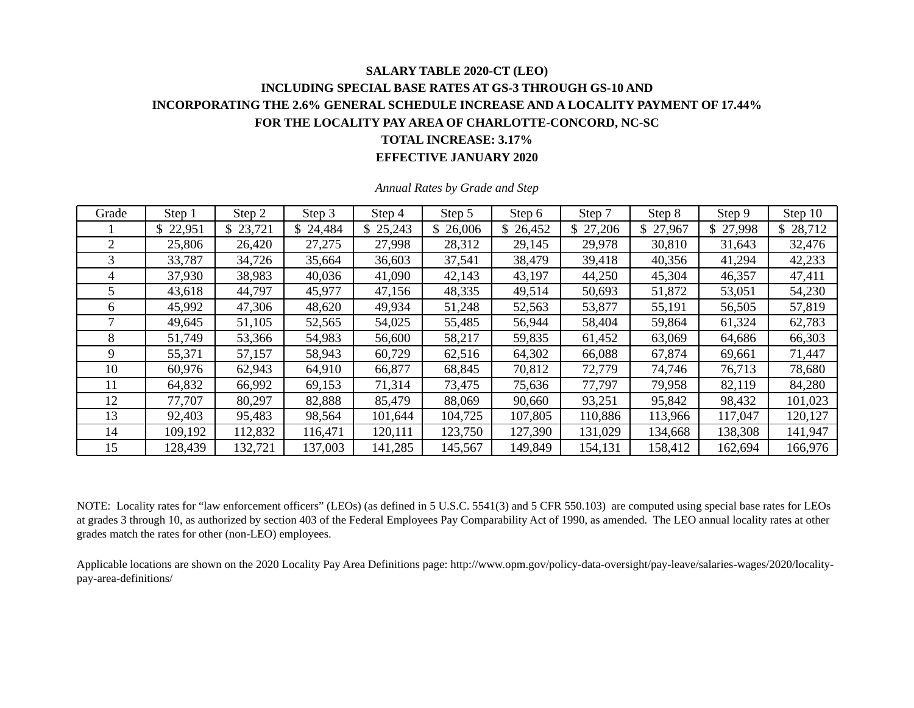## **SALARY TABLE 2020-CT (LEO) INCLUDING SPECIAL BASE RATES AT GS-3 THROUGH GS-10 AND INCORPORATING THE 2.6% GENERAL SCHEDULE INCREASE AND A LOCALITY PAYMENT OF 17.44% FOR THE LOCALITY PAY AREA OF CHARLOTTE-CONCORD, NC-SC TOTAL INCREASE: 3.17%**

#### **EFFECTIVE JANUARY 2020**

| Grade | Step 1   | Step 2   | Step 3  | Step 4   | Step 5   | Step 6   | Step 7   | Step 8  | Step 9   | Step 10  |
|-------|----------|----------|---------|----------|----------|----------|----------|---------|----------|----------|
|       | \$22,951 | \$23,721 | 24,484  | \$25,243 | \$26,006 | \$26,452 | \$27,206 | 27,967  | \$27,998 | \$28,712 |
| 2     | 25,806   | 26,420   | 27,275  | 27,998   | 28,312   | 29,145   | 29,978   | 30,810  | 31,643   | 32,476   |
| 3     | 33,787   | 34,726   | 35,664  | 36,603   | 37,541   | 38,479   | 39,418   | 40,356  | 41,294   | 42,233   |
| 4     | 37,930   | 38,983   | 40,036  | 41,090   | 42,143   | 43,197   | 44,250   | 45,304  | 46,357   | 47,411   |
| 5     | 43,618   | 44,797   | 45,977  | 47,156   | 48,335   | 49,514   | 50,693   | 51,872  | 53,051   | 54,230   |
| 6     | 45,992   | 47,306   | 48,620  | 49,934   | 51,248   | 52,563   | 53,877   | 55,191  | 56,505   | 57,819   |
|       | 49,645   | 51,105   | 52,565  | 54,025   | 55,485   | 56,944   | 58,404   | 59,864  | 61,324   | 62,783   |
| 8     | 51,749   | 53,366   | 54,983  | 56,600   | 58,217   | 59,835   | 61,452   | 63,069  | 64,686   | 66,303   |
| 9     | 55,371   | 57,157   | 58,943  | 60,729   | 62,516   | 64,302   | 66,088   | 67,874  | 69,661   | 71,447   |
| 10    | 60,976   | 62,943   | 64,910  | 66,877   | 68,845   | 70,812   | 72,779   | 74,746  | 76,713   | 78,680   |
| 11    | 64,832   | 66,992   | 69,153  | 71,314   | 73,475   | 75,636   | 77,797   | 79,958  | 82,119   | 84,280   |
| 12    | 77,707   | 80,297   | 82,888  | 85,479   | 88,069   | 90,660   | 93,251   | 95,842  | 98,432   | 101,023  |
| 13    | 92,403   | 95,483   | 98,564  | 101,644  | 104,725  | 107,805  | 110,886  | 113,966 | 117,047  | 120,127  |
| 14    | 109,192  | 112,832  | 116,471 | 120,111  | 123,750  | 127,390  | 131,029  | 134,668 | 138,308  | 141,947  |
| 15    | 128,439  | 132,721  | 137,003 | 141,285  | 145,567  | 149,849  | 154,131  | 158,412 | 162,694  | 166,976  |

*Annual Rates by Grade and Step* 

NOTE: Locality rates for "law enforcement officers" (LEOs) (as defined in 5 U.S.C. 5541(3) and 5 CFR 550.103) are computed using special base rates for LEOs at grades 3 through 10, as authorized by section 403 of the Federal Employees Pay Comparability Act of 1990, as amended. The LEO annual locality rates at other grades match the rates for other (non-LEO) employees.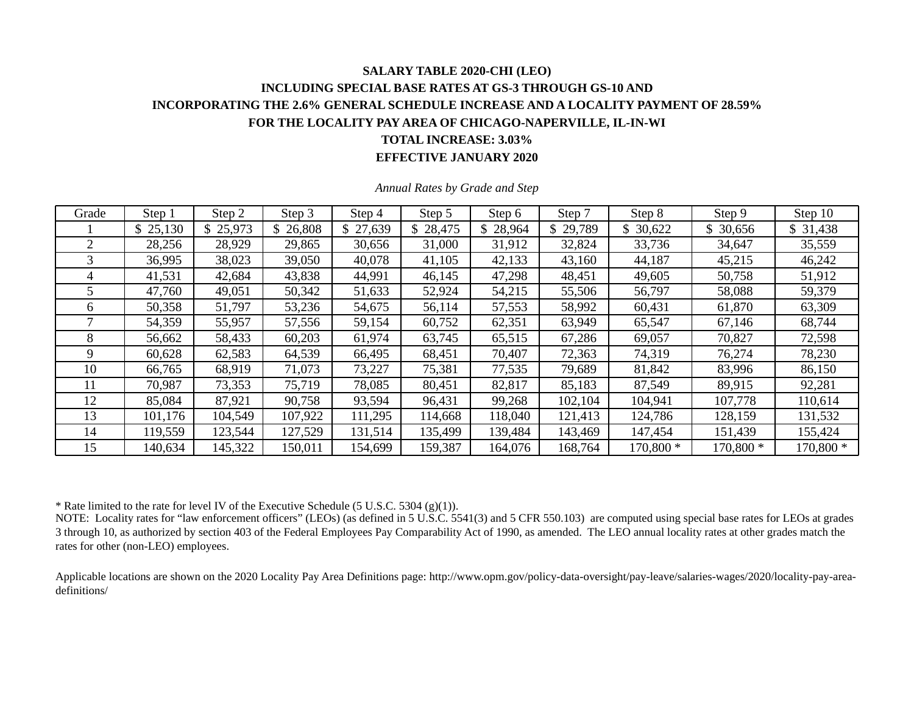### **SALARY TABLE 2020-CHI (LEO) INCLUDING SPECIAL BASE RATES AT GS-3 THROUGH GS-10 AND INCORPORATING THE 2.6% GENERAL SCHEDULE INCREASE AND A LOCALITY PAYMENT OF 28.59% FOR THE LOCALITY PAY AREA OF CHICAGO-NAPERVILLE, IL-IN-WI TOTAL INCREASE: 3.03% EFFECTIVE JANUARY 2020**

| Grade | Step 1   | Step 2   | Step 3   | Step 4   | Step 5   | Step 6  | Step 7   | Step 8    | Step 9    | Step 10   |
|-------|----------|----------|----------|----------|----------|---------|----------|-----------|-----------|-----------|
|       | \$25,130 | \$25,973 | \$26,808 | \$27,639 | \$28,475 | 28,964  | \$29,789 | \$30,622  | \$ 30,656 | \$31,438  |
| 2     | 28,256   | 28,929   | 29,865   | 30,656   | 31,000   | 31,912  | 32,824   | 33,736    | 34,647    | 35,559    |
| 3     | 36,995   | 38,023   | 39,050   | 40,078   | 41,105   | 42,133  | 43,160   | 44,187    | 45,215    | 46,242    |
| 4     | 41,531   | 42,684   | 43,838   | 44,991   | 46,145   | 47,298  | 48,451   | 49,605    | 50,758    | 51,912    |
|       | 47,760   | 49,051   | 50,342   | 51,633   | 52,924   | 54,215  | 55,506   | 56,797    | 58,088    | 59,379    |
| 6     | 50,358   | 51,797   | 53,236   | 54,675   | 56,114   | 57,553  | 58,992   | 60,431    | 61,870    | 63,309    |
|       | 54,359   | 55,957   | 57,556   | 59,154   | 60,752   | 62,351  | 63,949   | 65,547    | 67,146    | 68,744    |
| 8     | 56,662   | 58,433   | 60,203   | 61,974   | 63,745   | 65,515  | 67,286   | 69,057    | 70,827    | 72,598    |
| 9     | 60,628   | 62,583   | 64,539   | 66,495   | 68,451   | 70,407  | 72,363   | 74,319    | 76,274    | 78,230    |
| 10    | 66,765   | 68,919   | 71,073   | 73,227   | 75,381   | 77,535  | 79,689   | 81,842    | 83,996    | 86,150    |
| 11    | 70,987   | 73,353   | 75,719   | 78,085   | 80,451   | 82,817  | 85,183   | 87,549    | 89,915    | 92,281    |
| 12    | 85,084   | 87,921   | 90,758   | 93,594   | 96,431   | 99,268  | 102,104  | 104,941   | 107,778   | 110,614   |
| 13    | 101,176  | 104,549  | 107,922  | 111,295  | 114,668  | 118,040 | 121,413  | 124,786   | 128,159   | 131,532   |
| 14    | 119,559  | 123,544  | 127,529  | 131,514  | 135,499  | 139,484 | 143,469  | 147,454   | 151,439   | 155,424   |
| 15    | 140,634  | 145,322  | 150,011  | 154,699  | 159,387  | 164,076 | 168,764  | 170,800 * | 170,800 * | 170,800 * |

*Annual Rates by Grade and Step* 

\* Rate limited to the rate for level IV of the Executive Schedule (5 U.S.C. 5304 (g)(1)).

NOTE: Locality rates for "law enforcement officers" (LEOs) (as defined in 5 U.S.C.  $5541(3)$  and 5 CFR 550.103) are computed using special base rates for LEOs at grades 3 through 10, as authorized by section 403 of the Federal Employees Pay Comparability Act of 1990, as amended. The LEO annual locality rates at other grades match the rates for other (non-LEO) employees.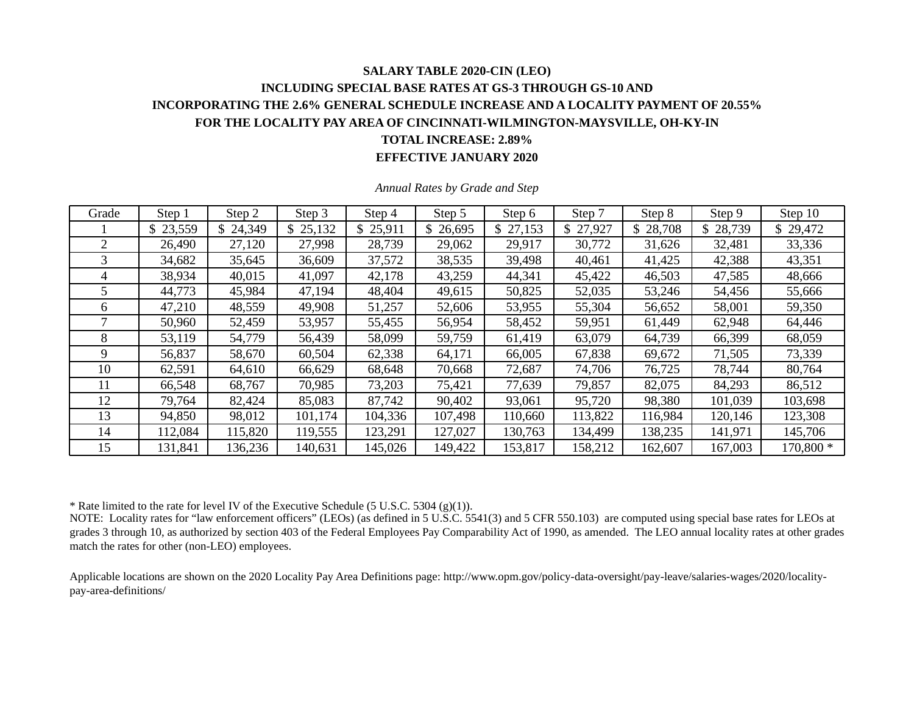### **SALARY TABLE 2020-CIN (LEO) INCLUDING SPECIAL BASE RATES AT GS-3 THROUGH GS-10 AND INCORPORATING THE 2.6% GENERAL SCHEDULE INCREASE AND A LOCALITY PAYMENT OF 20.55% FOR THE LOCALITY PAY AREA OF CINCINNATI-WILMINGTON-MAYSVILLE, OH-KY-IN TOTAL INCREASE: 2.89% EFFECTIVE JANUARY 2020**

| Grade | Step 1   | Step 2   | Step 3   | Step 4   | Step 5   | Step 6   | Step 7   | Step 8   | Step 9   | Step 10   |
|-------|----------|----------|----------|----------|----------|----------|----------|----------|----------|-----------|
|       | \$23,559 | \$24,349 | \$25,132 | \$25,911 | \$26,695 | \$27,153 | \$27,927 | \$28,708 | \$28,739 | \$29,472  |
| 2     | 26,490   | 27,120   | 27,998   | 28,739   | 29,062   | 29,917   | 30,772   | 31,626   | 32,481   | 33,336    |
| 3     | 34,682   | 35,645   | 36,609   | 37,572   | 38,535   | 39,498   | 40,461   | 41,425   | 42,388   | 43,351    |
| 4     | 38,934   | 40,015   | 41,097   | 42,178   | 43,259   | 44,341   | 45,422   | 46,503   | 47,585   | 48,666    |
| 5     | 44,773   | 45,984   | 47,194   | 48,404   | 49,615   | 50,825   | 52,035   | 53,246   | 54,456   | 55,666    |
| 6     | 47,210   | 48,559   | 49,908   | 51,257   | 52,606   | 53,955   | 55,304   | 56,652   | 58,001   | 59,350    |
|       | 50,960   | 52,459   | 53,957   | 55,455   | 56,954   | 58,452   | 59,951   | 61,449   | 62,948   | 64,446    |
| 8     | 53,119   | 54,779   | 56,439   | 58,099   | 59,759   | 61,419   | 63,079   | 64,739   | 66,399   | 68,059    |
| 9     | 56,837   | 58,670   | 60,504   | 62,338   | 64,171   | 66,005   | 67,838   | 69,672   | 71,505   | 73,339    |
| 10    | 62,591   | 64,610   | 66,629   | 68,648   | 70,668   | 72,687   | 74,706   | 76,725   | 78,744   | 80,764    |
| 11    | 66,548   | 68,767   | 70,985   | 73,203   | 75,421   | 77,639   | 79,857   | 82,075   | 84,293   | 86,512    |
| 12    | 79,764   | 82,424   | 85,083   | 87,742   | 90,402   | 93,061   | 95,720   | 98,380   | 101,039  | 103,698   |
| 13    | 94,850   | 98,012   | 101,174  | 104,336  | 107,498  | 110,660  | 113,822  | 116,984  | 120,146  | 123,308   |
| 14    | 112,084  | 115,820  | 119,555  | 123,291  | 127,027  | 130,763  | 134,499  | 138,235  | 141,971  | 145,706   |
| 15    | 131,841  | 136,236  | 140,631  | 145,026  | 149,422  | 153,817  | 158,212  | 162,607  | 167,003  | 170,800 * |

*Annual Rates by Grade and Step* 

\* Rate limited to the rate for level IV of the Executive Schedule (5 U.S.C. 5304 (g)(1)).

NOTE: Locality rates for "law enforcement officers" (LEOs) (as defined in 5 U.S.C. 5541(3) and 5 CFR 550.103) are computed using special base rates for LEOs at grades 3 through 10, as authorized by section 403 of the Federal Employees Pay Comparability Act of 1990, as amended. The LEO annual locality rates at other grades match the rates for other (non-LEO) employees.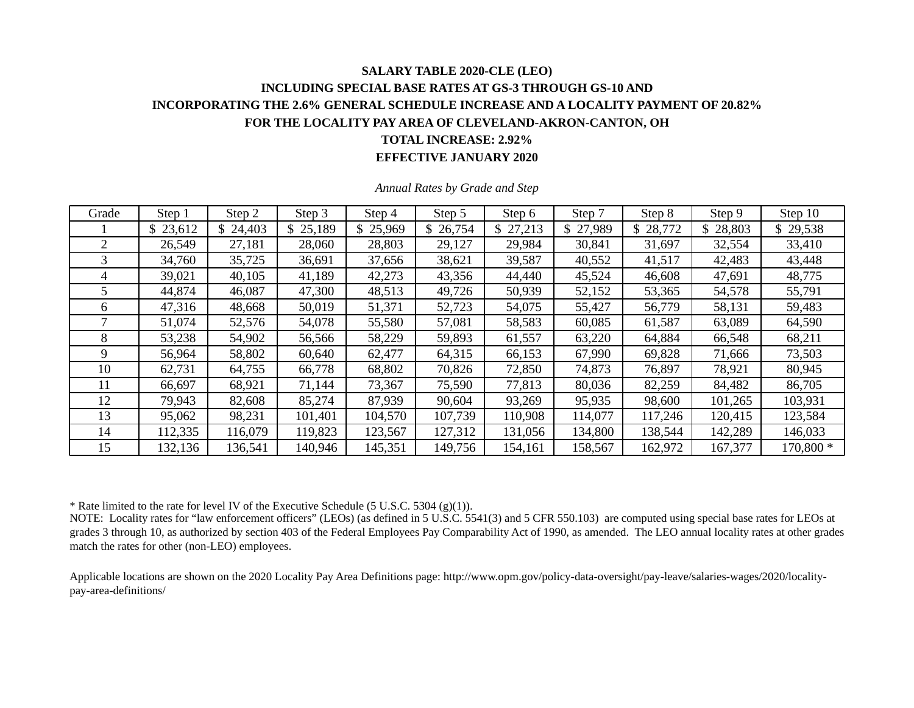### **SALARY TABLE 2020-CLE (LEO) INCLUDING SPECIAL BASE RATES AT GS-3 THROUGH GS-10 AND INCORPORATING THE 2.6% GENERAL SCHEDULE INCREASE AND A LOCALITY PAYMENT OF 20.82% FOR THE LOCALITY PAY AREA OF CLEVELAND-AKRON-CANTON, OH TOTAL INCREASE: 2.92% EFFECTIVE JANUARY 2020**

| Grade | Step 1   | Step 2   | Step 3   | Step 4   | Step 5   | Step 6   | Step 7   | Step 8   | Step 9   | Step 10   |
|-------|----------|----------|----------|----------|----------|----------|----------|----------|----------|-----------|
|       | \$23,612 | \$24,403 | \$25,189 | \$25,969 | \$26,754 | \$27,213 | \$27,989 | \$28,772 | \$28,803 | \$29,538  |
| 2     | 26,549   | 27,181   | 28,060   | 28,803   | 29,127   | 29,984   | 30,841   | 31,697   | 32,554   | 33,410    |
| 3     | 34,760   | 35,725   | 36,691   | 37,656   | 38,621   | 39,587   | 40,552   | 41,517   | 42,483   | 43,448    |
| 4     | 39,021   | 40,105   | 41,189   | 42,273   | 43,356   | 44,440   | 45,524   | 46,608   | 47,691   | 48,775    |
| 5     | 44,874   | 46,087   | 47,300   | 48,513   | 49,726   | 50,939   | 52,152   | 53,365   | 54,578   | 55,791    |
| 6     | 47,316   | 48,668   | 50,019   | 51,371   | 52,723   | 54,075   | 55,427   | 56,779   | 58,131   | 59,483    |
|       | 51,074   | 52,576   | 54,078   | 55,580   | 57,081   | 58,583   | 60,085   | 61,587   | 63,089   | 64,590    |
| 8     | 53,238   | 54,902   | 56,566   | 58,229   | 59,893   | 61,557   | 63,220   | 64,884   | 66,548   | 68,211    |
| 9     | 56,964   | 58,802   | 60,640   | 62,477   | 64,315   | 66,153   | 67,990   | 69,828   | 71,666   | 73,503    |
| 10    | 62,731   | 64,755   | 66,778   | 68,802   | 70,826   | 72,850   | 74,873   | 76,897   | 78,921   | 80,945    |
| 11    | 66,697   | 68,921   | 71,144   | 73,367   | 75,590   | 77,813   | 80,036   | 82,259   | 84,482   | 86,705    |
| 12    | 79,943   | 82,608   | 85,274   | 87,939   | 90,604   | 93,269   | 95,935   | 98,600   | 101,265  | 103,931   |
| 13    | 95,062   | 98,231   | 101,401  | 104,570  | 107,739  | 110,908  | 114,077  | 117,246  | 120,415  | 123,584   |
| 14    | 112,335  | 116,079  | 119,823  | 123,567  | 127,312  | 131,056  | 134,800  | 138,544  | 142,289  | 146,033   |
| 15    | 132,136  | 136,541  | 140,946  | 145,351  | 149,756  | 154,161  | 158,567  | 162,972  | 167,377  | 170,800 * |

*Annual Rates by Grade and Step* 

\* Rate limited to the rate for level IV of the Executive Schedule (5 U.S.C. 5304 (g)(1)).

NOTE: Locality rates for "law enforcement officers" (LEOs) (as defined in 5 U.S.C. 5541(3) and 5 CFR 550.103) are computed using special base rates for LEOs at grades 3 through 10, as authorized by section 403 of the Federal Employees Pay Comparability Act of 1990, as amended. The LEO annual locality rates at other grades match the rates for other (non-LEO) employees.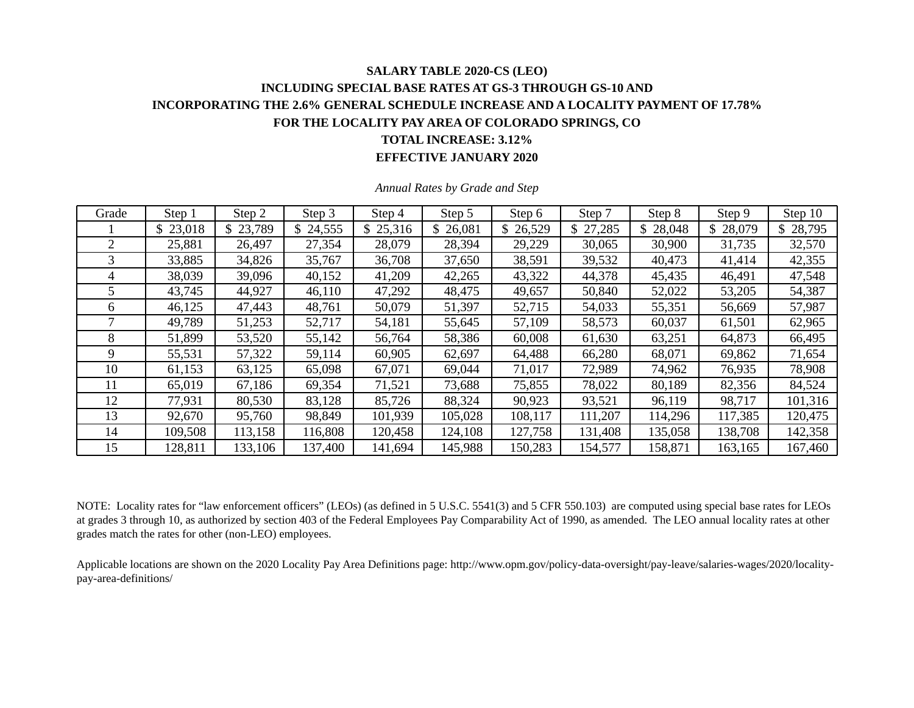### **SALARY TABLE 2020-CS (LEO) INCLUDING SPECIAL BASE RATES AT GS-3 THROUGH GS-10 AND INCORPORATING THE 2.6% GENERAL SCHEDULE INCREASE AND A LOCALITY PAYMENT OF 17.78% FOR THE LOCALITY PAY AREA OF COLORADO SPRINGS, CO TOTAL INCREASE: 3.12% EFFECTIVE JANUARY 2020**

| Grade | Step 1   | Step 2   | Step 3  | Step 4   | Step 5   | Step 6  | Step 7   | Step 8      | Step 9   | Step 10      |
|-------|----------|----------|---------|----------|----------|---------|----------|-------------|----------|--------------|
|       | \$23,018 | \$23,789 | 24,555  | \$25,316 | \$26,081 | 26,529  | \$27,285 | 28,048<br>S | \$28,079 | \$<br>28,795 |
|       | 25,881   | 26,497   | 27,354  | 28,079   | 28,394   | 29,229  | 30,065   | 30,900      | 31,735   | 32,570       |
| 3     | 33,885   | 34,826   | 35,767  | 36,708   | 37,650   | 38,591  | 39,532   | 40,473      | 41,414   | 42,355       |
| 4     | 38,039   | 39,096   | 40,152  | 41,209   | 42,265   | 43,322  | 44,378   | 45,435      | 46,491   | 47,548       |
| C.    | 43,745   | 44,927   | 46,110  | 47,292   | 48,475   | 49,657  | 50,840   | 52,022      | 53,205   | 54,387       |
| 6     | 46,125   | 47,443   | 48,761  | 50,079   | 51,397   | 52,715  | 54,033   | 55,351      | 56,669   | 57,987       |
|       | 49,789   | 51,253   | 52,717  | 54,181   | 55,645   | 57,109  | 58,573   | 60,037      | 61,501   | 62,965       |
| 8     | 51,899   | 53,520   | 55,142  | 56,764   | 58,386   | 60,008  | 61,630   | 63,251      | 64,873   | 66,495       |
| 9     | 55,531   | 57,322   | 59,114  | 60,905   | 62,697   | 64,488  | 66,280   | 68,071      | 69,862   | 71,654       |
| 10    | 61,153   | 63,125   | 65,098  | 67,071   | 69,044   | 71,017  | 72,989   | 74,962      | 76,935   | 78,908       |
| 11    | 65,019   | 67,186   | 69,354  | 71,521   | 73,688   | 75,855  | 78,022   | 80,189      | 82,356   | 84,524       |
| 12    | 77,931   | 80,530   | 83,128  | 85,726   | 88,324   | 90,923  | 93,521   | 96,119      | 98,717   | 101,316      |
| 13    | 92,670   | 95,760   | 98,849  | 101,939  | 105,028  | 108,117 | 111,207  | 114,296     | 117,385  | 120,475      |
| 14    | 109,508  | 113,158  | 116,808 | 120,458  | 124,108  | 127,758 | 131,408  | 135,058     | 138,708  | 142,358      |
| 15    | 128,811  | 133,106  | 137,400 | 141,694  | 145,988  | 150,283 | 154,577  | 158,871     | 163,165  | 167,460      |

*Annual Rates by Grade and Step* 

NOTE: Locality rates for "law enforcement officers" (LEOs) (as defined in 5 U.S.C. 5541(3) and 5 CFR 550.103) are computed using special base rates for LEOs at grades 3 through 10, as authorized by section 403 of the Federal Employees Pay Comparability Act of 1990, as amended. The LEO annual locality rates at other grades match the rates for other (non-LEO) employees.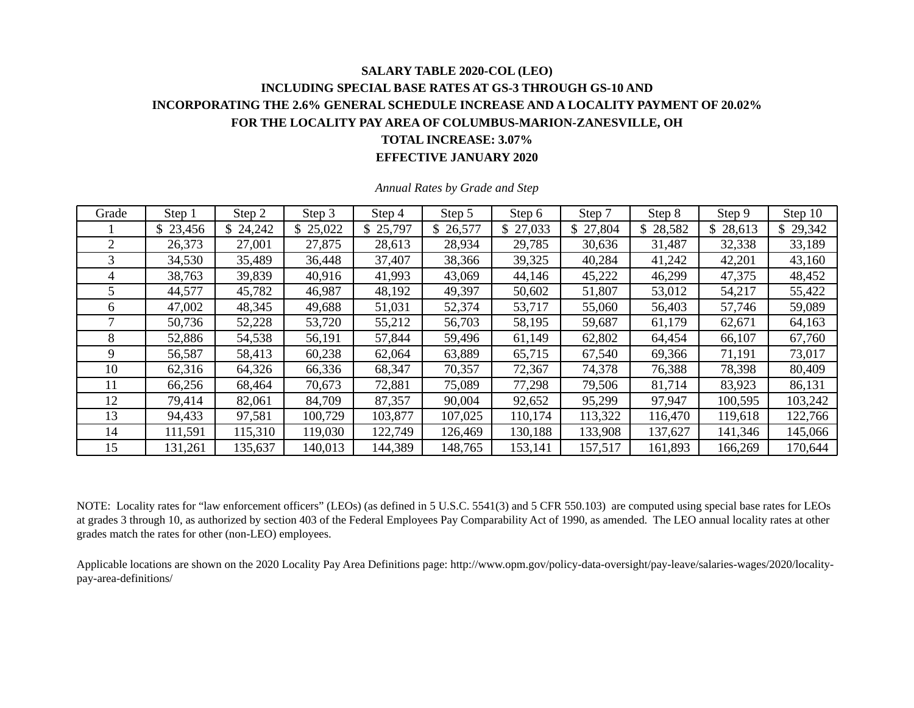### **SALARY TABLE 2020-COL (LEO) INCLUDING SPECIAL BASE RATES AT GS-3 THROUGH GS-10 AND INCORPORATING THE 2.6% GENERAL SCHEDULE INCREASE AND A LOCALITY PAYMENT OF 20.02% FOR THE LOCALITY PAY AREA OF COLUMBUS-MARION-ZANESVILLE, OH TOTAL INCREASE: 3.07% EFFECTIVE JANUARY 2020**

| Grade | Step 1   | Step 2   | Step 3       | Step 4   | Step 5   | Step 6   | Step 7   | Step 8        | Step 9   | Step 10  |
|-------|----------|----------|--------------|----------|----------|----------|----------|---------------|----------|----------|
|       | \$23,456 | \$24,242 | 25,022<br>\$ | \$25,797 | \$26,577 | \$27,033 | \$27,804 | \$.<br>28,582 | \$28,613 | \$29,342 |
| 2     | 26,373   | 27,001   | 27,875       | 28,613   | 28,934   | 29,785   | 30,636   | 31,487        | 32,338   | 33,189   |
| 3     | 34,530   | 35,489   | 36,448       | 37,407   | 38,366   | 39,325   | 40,284   | 41,242        | 42,201   | 43,160   |
| 4     | 38,763   | 39,839   | 40,916       | 41,993   | 43,069   | 44,146   | 45,222   | 46,299        | 47,375   | 48,452   |
| 5     | 44,577   | 45,782   | 46,987       | 48,192   | 49,397   | 50,602   | 51,807   | 53,012        | 54,217   | 55,422   |
| 6     | 47,002   | 48,345   | 49,688       | 51,031   | 52,374   | 53,717   | 55,060   | 56,403        | 57,746   | 59,089   |
|       | 50,736   | 52,228   | 53,720       | 55,212   | 56,703   | 58,195   | 59,687   | 61,179        | 62,671   | 64,163   |
| 8     | 52,886   | 54,538   | 56,191       | 57,844   | 59,496   | 61,149   | 62,802   | 64,454        | 66,107   | 67,760   |
| 9     | 56,587   | 58,413   | 60,238       | 62,064   | 63,889   | 65,715   | 67,540   | 69,366        | 71,191   | 73,017   |
| 10    | 62,316   | 64,326   | 66,336       | 68,347   | 70,357   | 72,367   | 74,378   | 76,388        | 78,398   | 80,409   |
| 11    | 66,256   | 68,464   | 70,673       | 72,881   | 75,089   | 77,298   | 79,506   | 81,714        | 83,923   | 86,131   |
| 12    | 79,414   | 82,061   | 84,709       | 87,357   | 90,004   | 92,652   | 95,299   | 97,947        | 100,595  | 103,242  |
| 13    | 94,433   | 97,581   | 100,729      | 103,877  | 107,025  | 110,174  | 113,322  | 116,470       | 119,618  | 122,766  |
| 14    | 111,591  | 115,310  | 119,030      | 122,749  | 126,469  | 130,188  | 133,908  | 137,627       | 141,346  | 145,066  |
| 15    | 131,261  | 135,637  | 140,013      | 144,389  | 148,765  | 153,141  | 157,517  | 161,893       | 166,269  | 170,644  |

*Annual Rates by Grade and Step* 

NOTE: Locality rates for "law enforcement officers" (LEOs) (as defined in 5 U.S.C. 5541(3) and 5 CFR 550.103) are computed using special base rates for LEOs at grades 3 through 10, as authorized by section 403 of the Federal Employees Pay Comparability Act of 1990, as amended. The LEO annual locality rates at other grades match the rates for other (non-LEO) employees.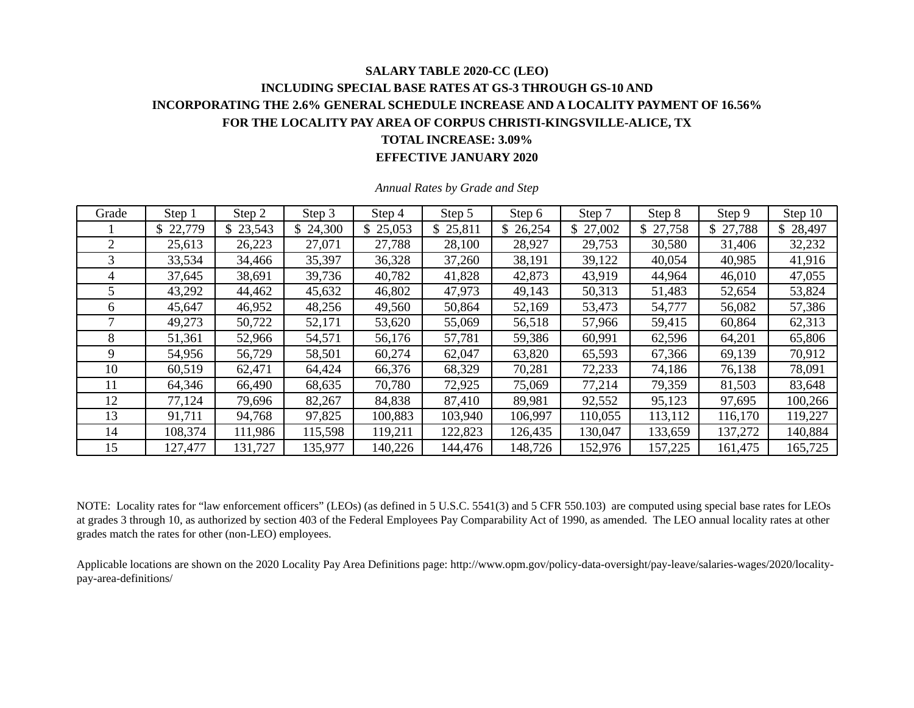### **SALARY TABLE 2020-CC (LEO) INCLUDING SPECIAL BASE RATES AT GS-3 THROUGH GS-10 AND INCORPORATING THE 2.6% GENERAL SCHEDULE INCREASE AND A LOCALITY PAYMENT OF 16.56% FOR THE LOCALITY PAY AREA OF CORPUS CHRISTI-KINGSVILLE-ALICE, TX TOTAL INCREASE: 3.09% EFFECTIVE JANUARY 2020**

| Grade | Step 1   | Step 2   | Step 3   | Step 4   | Step 5   | Step 6   | Step 7   | Step 8       | Step 9   | Step 10  |
|-------|----------|----------|----------|----------|----------|----------|----------|--------------|----------|----------|
|       | \$22,779 | \$23,543 | \$24,300 | \$25,053 | \$25,811 | \$26,254 | \$27,002 | 27,758<br>\$ | \$27,788 | \$28,497 |
| 2     | 25,613   | 26,223   | 27,071   | 27,788   | 28,100   | 28,927   | 29,753   | 30,580       | 31,406   | 32,232   |
| 3     | 33,534   | 34,466   | 35,397   | 36,328   | 37,260   | 38,191   | 39,122   | 40,054       | 40,985   | 41,916   |
| 4     | 37,645   | 38,691   | 39,736   | 40,782   | 41,828   | 42,873   | 43,919   | 44,964       | 46,010   | 47,055   |
|       | 43,292   | 44,462   | 45,632   | 46,802   | 47,973   | 49,143   | 50,313   | 51,483       | 52,654   | 53,824   |
| 6     | 45,647   | 46,952   | 48,256   | 49,560   | 50,864   | 52,169   | 53,473   | 54,777       | 56,082   | 57,386   |
|       | 49,273   | 50,722   | 52,171   | 53,620   | 55,069   | 56,518   | 57,966   | 59,415       | 60,864   | 62,313   |
| 8     | 51,361   | 52,966   | 54,571   | 56,176   | 57,781   | 59,386   | 60,991   | 62,596       | 64,201   | 65,806   |
| 9     | 54,956   | 56,729   | 58,501   | 60,274   | 62,047   | 63,820   | 65,593   | 67,366       | 69,139   | 70,912   |
| 10    | 60,519   | 62,471   | 64,424   | 66,376   | 68,329   | 70,281   | 72,233   | 74,186       | 76,138   | 78,091   |
| 11    | 64,346   | 66,490   | 68,635   | 70,780   | 72,925   | 75,069   | 77,214   | 79,359       | 81,503   | 83,648   |
| 12    | 77,124   | 79,696   | 82,267   | 84,838   | 87,410   | 89,981   | 92,552   | 95,123       | 97,695   | 100,266  |
| 13    | 91,711   | 94,768   | 97,825   | 100,883  | 103,940  | 106,997  | 110,055  | 113,112      | 116,170  | 119,227  |
| 14    | 108,374  | 111,986  | 115,598  | 119,211  | 122,823  | 126,435  | 130,047  | 133,659      | 137,272  | 140,884  |
| 15    | 127,477  | 131,727  | 135,977  | 140,226  | 144,476  | 148,726  | 152,976  | 157,225      | 161,475  | 165,725  |

*Annual Rates by Grade and Step* 

NOTE: Locality rates for "law enforcement officers" (LEOs) (as defined in 5 U.S.C. 5541(3) and 5 CFR 550.103) are computed using special base rates for LEOs at grades 3 through 10, as authorized by section 403 of the Federal Employees Pay Comparability Act of 1990, as amended. The LEO annual locality rates at other grades match the rates for other (non-LEO) employees.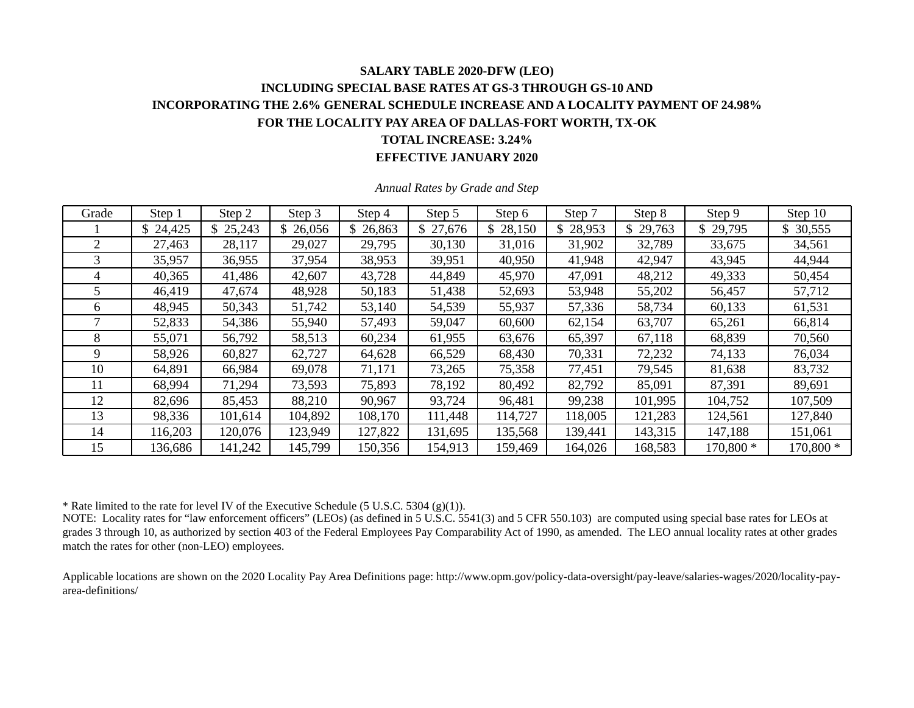### **SALARY TABLE 2020-DFW (LEO) INCLUDING SPECIAL BASE RATES AT GS-3 THROUGH GS-10 AND INCORPORATING THE 2.6% GENERAL SCHEDULE INCREASE AND A LOCALITY PAYMENT OF 24.98% FOR THE LOCALITY PAY AREA OF DALLAS-FORT WORTH, TX-OK TOTAL INCREASE: 3.24% EFFECTIVE JANUARY 2020**

| Grade | Step 1   | Step 2  | Step 3  | Step 4   | Step 5   | Step 6   | Step 7   | Step 8  | Step 9    | Step 10   |
|-------|----------|---------|---------|----------|----------|----------|----------|---------|-----------|-----------|
|       | \$24,425 | 25,243  | 26,056  | \$26,863 | \$27,676 | \$28,150 | \$28,953 | 29,763  | \$29,795  | 30,555    |
|       | 27,463   | 28,117  | 29,027  | 29,795   | 30,130   | 31,016   | 31,902   | 32,789  | 33,675    | 34,561    |
|       | 35,957   | 36,955  | 37,954  | 38,953   | 39,951   | 40,950   | 41,948   | 42,947  | 43,945    | 44,944    |
| 4     | 40,365   | 41,486  | 42,607  | 43,728   | 44,849   | 45,970   | 47,091   | 48,212  | 49,333    | 50,454    |
|       | 46,419   | 47,674  | 48,928  | 50,183   | 51,438   | 52,693   | 53,948   | 55,202  | 56,457    | 57,712    |
| 6     | 48,945   | 50,343  | 51,742  | 53,140   | 54,539   | 55,937   | 57,336   | 58,734  | 60,133    | 61,531    |
|       | 52,833   | 54,386  | 55,940  | 57,493   | 59,047   | 60,600   | 62,154   | 63,707  | 65,261    | 66,814    |
| 8     | 55,071   | 56,792  | 58,513  | 60,234   | 61,955   | 63,676   | 65,397   | 67,118  | 68,839    | 70,560    |
| 9     | 58,926   | 60,827  | 62,727  | 64,628   | 66,529   | 68,430   | 70,331   | 72,232  | 74,133    | 76,034    |
| 10    | 64,891   | 66,984  | 69,078  | 71,171   | 73,265   | 75,358   | 77,451   | 79,545  | 81,638    | 83,732    |
| 11    | 68,994   | 71,294  | 73,593  | 75,893   | 78,192   | 80,492   | 82,792   | 85,091  | 87,391    | 89,691    |
| 12    | 82,696   | 85,453  | 88,210  | 90,967   | 93,724   | 96,481   | 99,238   | 101,995 | 104,752   | 107,509   |
| 13    | 98,336   | 101,614 | 104,892 | 108,170  | 111,448  | 114,727  | 118,005  | 121,283 | 124,561   | 127,840   |
| 14    | 116,203  | 120,076 | 123,949 | 127,822  | 131,695  | 135,568  | 139,441  | 143,315 | 147,188   | 151,061   |
| 15    | 136,686  | 141,242 | 145,799 | 150,356  | 154,913  | 159,469  | 164,026  | 168,583 | 170,800 * | 170,800 * |

*Annual Rates by Grade and Step* 

\* Rate limited to the rate for level IV of the Executive Schedule (5 U.S.C. 5304 (g)(1)).

NOTE: Locality rates for "law enforcement officers" (LEOs) (as defined in 5 U.S.C. 5541(3) and 5 CFR 550.103) are computed using special base rates for LEOs at grades 3 through 10, as authorized by section 403 of the Federal Employees Pay Comparability Act of 1990, as amended. The LEO annual locality rates at other grades match the rates for other (non-LEO) employees.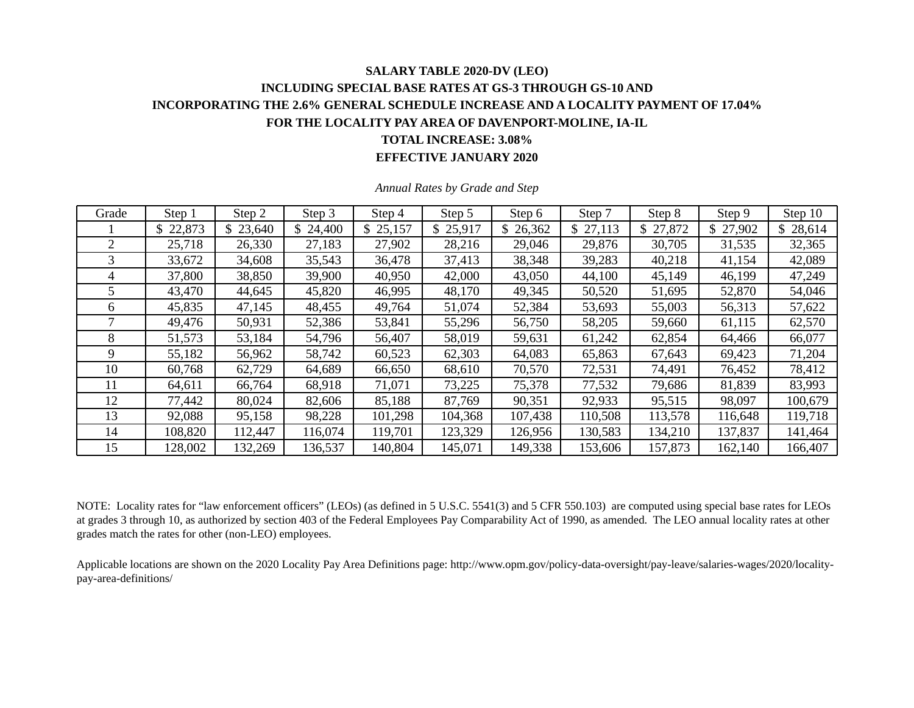## **SALARY TABLE 2020-DV (LEO) INCLUDING SPECIAL BASE RATES AT GS-3 THROUGH GS-10 AND INCORPORATING THE 2.6% GENERAL SCHEDULE INCREASE AND A LOCALITY PAYMENT OF 17.04% FOR THE LOCALITY PAY AREA OF DAVENPORT-MOLINE, IA-IL TOTAL INCREASE: 3.08%**

**EFFECTIVE JANUARY 2020** 

| Grade | Step 1   | Step 2   | Step 3  | Step 4   | Step 5   | Step 6  | Step 7   | Step 8  | Step 9   | Step 10  |
|-------|----------|----------|---------|----------|----------|---------|----------|---------|----------|----------|
|       | \$22,873 | \$23,640 | 24,400  | \$25,157 | \$25,917 | 26,362  | \$27,113 | 27,872  | \$27,902 | \$28,614 |
| 2     | 25,718   | 26,330   | 27,183  | 27,902   | 28,216   | 29,046  | 29,876   | 30,705  | 31,535   | 32,365   |
| 3     | 33,672   | 34,608   | 35,543  | 36,478   | 37,413   | 38,348  | 39,283   | 40,218  | 41,154   | 42,089   |
| 4     | 37,800   | 38,850   | 39,900  | 40,950   | 42,000   | 43,050  | 44,100   | 45,149  | 46,199   | 47,249   |
| 5     | 43,470   | 44,645   | 45,820  | 46,995   | 48,170   | 49,345  | 50,520   | 51,695  | 52,870   | 54,046   |
| 6     | 45,835   | 47,145   | 48,455  | 49,764   | 51,074   | 52,384  | 53,693   | 55,003  | 56,313   | 57,622   |
|       | 49,476   | 50,931   | 52,386  | 53,841   | 55,296   | 56,750  | 58,205   | 59,660  | 61,115   | 62,570   |
| 8     | 51,573   | 53,184   | 54,796  | 56,407   | 58,019   | 59,631  | 61,242   | 62,854  | 64,466   | 66,077   |
| 9     | 55,182   | 56,962   | 58,742  | 60,523   | 62,303   | 64,083  | 65,863   | 67,643  | 69,423   | 71,204   |
| 10    | 60,768   | 62,729   | 64,689  | 66,650   | 68,610   | 70,570  | 72,531   | 74,491  | 76,452   | 78,412   |
| 11    | 64,611   | 66,764   | 68,918  | 71,071   | 73,225   | 75,378  | 77,532   | 79,686  | 81,839   | 83,993   |
| 12    | 77,442   | 80,024   | 82,606  | 85,188   | 87,769   | 90,351  | 92,933   | 95,515  | 98,097   | 100,679  |
| 13    | 92,088   | 95,158   | 98,228  | 101,298  | 104,368  | 107,438 | 110,508  | 113,578 | 116,648  | 119,718  |
| 14    | 108,820  | 112,447  | 116,074 | 119,701  | 123,329  | 126,956 | 130,583  | 134,210 | 137,837  | 141,464  |
| 15    | 128,002  | 132,269  | 136,537 | 140,804  | 145,071  | 149,338 | 153,606  | 157,873 | 162,140  | 166,407  |

*Annual Rates by Grade and Step* 

NOTE: Locality rates for "law enforcement officers" (LEOs) (as defined in 5 U.S.C. 5541(3) and 5 CFR 550.103) are computed using special base rates for LEOs at grades 3 through 10, as authorized by section 403 of the Federal Employees Pay Comparability Act of 1990, as amended. The LEO annual locality rates at other grades match the rates for other (non-LEO) employees.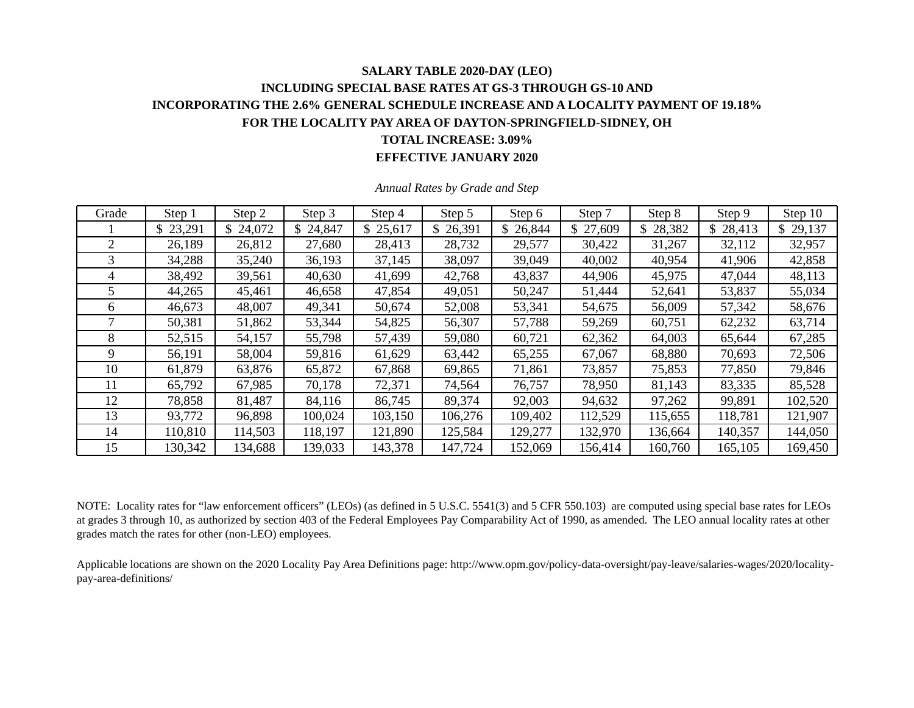### **SALARY TABLE 2020-DAY (LEO) INCLUDING SPECIAL BASE RATES AT GS-3 THROUGH GS-10 AND INCORPORATING THE 2.6% GENERAL SCHEDULE INCREASE AND A LOCALITY PAYMENT OF 19.18% FOR THE LOCALITY PAY AREA OF DAYTON-SPRINGFIELD-SIDNEY, OH TOTAL INCREASE: 3.09% EFFECTIVE JANUARY 2020**

| Grade | Step 1   | Step 2   | Step 3       | Step 4   | Step 5   | Step 6   | Step 7   | Step 8       | Step 9   | Step 10  |
|-------|----------|----------|--------------|----------|----------|----------|----------|--------------|----------|----------|
|       | \$23,291 | \$24,072 | \$<br>24,847 | \$25,617 | \$26,391 | \$26,844 | \$27,609 | 28,382<br>\$ | \$28,413 | \$29,137 |
| 2     | 26,189   | 26,812   | 27,680       | 28,413   | 28,732   | 29,577   | 30,422   | 31,267       | 32,112   | 32,957   |
| 3     | 34,288   | 35,240   | 36,193       | 37,145   | 38,097   | 39,049   | 40,002   | 40,954       | 41,906   | 42,858   |
| 4     | 38,492   | 39,561   | 40,630       | 41,699   | 42,768   | 43,837   | 44,906   | 45,975       | 47,044   | 48,113   |
|       | 44,265   | 45,461   | 46,658       | 47,854   | 49,051   | 50,247   | 51,444   | 52,641       | 53,837   | 55,034   |
| 6     | 46,673   | 48,007   | 49,341       | 50,674   | 52,008   | 53,341   | 54,675   | 56,009       | 57,342   | 58,676   |
|       | 50,381   | 51,862   | 53,344       | 54,825   | 56,307   | 57,788   | 59,269   | 60,751       | 62,232   | 63,714   |
| 8     | 52,515   | 54,157   | 55,798       | 57,439   | 59,080   | 60,721   | 62,362   | 64,003       | 65,644   | 67,285   |
| 9     | 56,191   | 58,004   | 59,816       | 61,629   | 63,442   | 65,255   | 67,067   | 68,880       | 70,693   | 72,506   |
| 10    | 61,879   | 63,876   | 65,872       | 67,868   | 69,865   | 71,861   | 73,857   | 75,853       | 77,850   | 79,846   |
| 11    | 65,792   | 67,985   | 70,178       | 72,371   | 74,564   | 76,757   | 78,950   | 81,143       | 83,335   | 85,528   |
| 12    | 78,858   | 81,487   | 84,116       | 86,745   | 89,374   | 92,003   | 94,632   | 97,262       | 99,891   | 102,520  |
| 13    | 93,772   | 96,898   | 100,024      | 103,150  | 106,276  | 109,402  | 112,529  | 115,655      | 118,781  | 121,907  |
| 14    | 110,810  | 114,503  | 118,197      | 121,890  | 125,584  | 129,277  | 132,970  | 136,664      | 140,357  | 144,050  |
| 15    | 130,342  | 134,688  | 139,033      | 143,378  | 147,724  | 152,069  | 156,414  | 160,760      | 165,105  | 169,450  |

*Annual Rates by Grade and Step* 

NOTE: Locality rates for "law enforcement officers" (LEOs) (as defined in 5 U.S.C. 5541(3) and 5 CFR 550.103) are computed using special base rates for LEOs at grades 3 through 10, as authorized by section 403 of the Federal Employees Pay Comparability Act of 1990, as amended. The LEO annual locality rates at other grades match the rates for other (non-LEO) employees.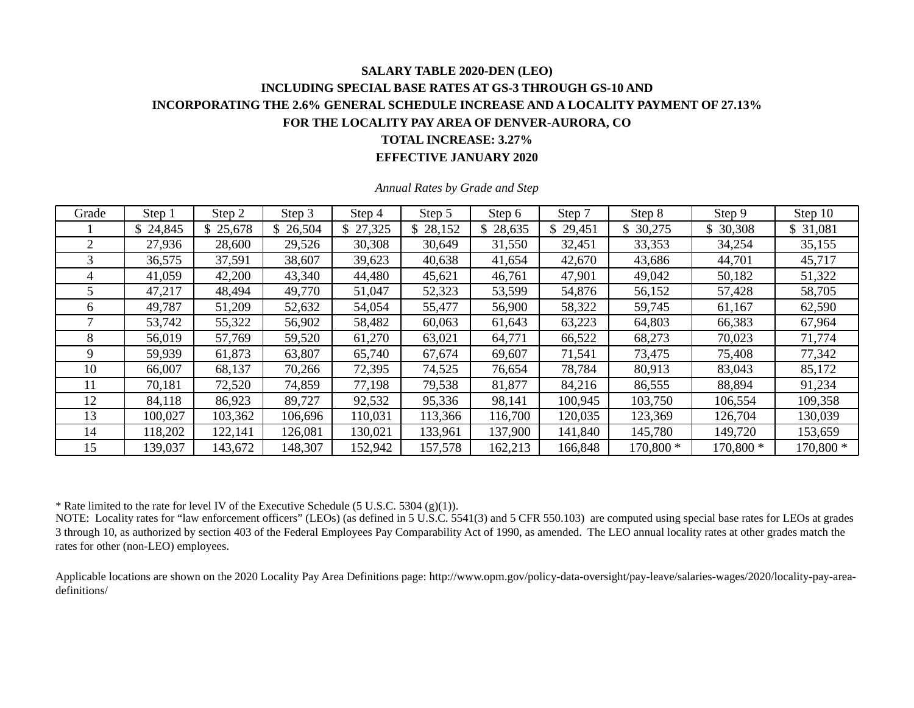# **SALARY TABLE 2020-DEN (LEO) INCLUDING SPECIAL BASE RATES AT GS-3 THROUGH GS-10 AND INCORPORATING THE 2.6% GENERAL SCHEDULE INCREASE AND A LOCALITY PAYMENT OF 27.13% FOR THE LOCALITY PAY AREA OF DENVER-AURORA, CO TOTAL INCREASE: 3.27%**

#### **EFFECTIVE JANUARY 2020**

| Grade | Step 1   | Step 2   | Step 3   | Step 4   | Step 5   | Step 6      | Step 7   | Step 8    | Step 9    | Step 10   |
|-------|----------|----------|----------|----------|----------|-------------|----------|-----------|-----------|-----------|
|       | \$24,845 | \$25,678 | \$26,504 | \$27,325 | \$28,152 | 28,635<br>S | \$29,451 | \$30,275  | \$30,308  | \$ 31,081 |
|       | 27,936   | 28,600   | 29,526   | 30,308   | 30,649   | 31,550      | 32,451   | 33,353    | 34,254    | 35,155    |
| 3     | 36,575   | 37,591   | 38,607   | 39,623   | 40,638   | 41,654      | 42,670   | 43,686    | 44,701    | 45,717    |
| 4     | 41,059   | 42,200   | 43,340   | 44,480   | 45,621   | 46,761      | 47,901   | 49,042    | 50,182    | 51,322    |
|       | 47,217   | 48,494   | 49,770   | 51,047   | 52,323   | 53,599      | 54,876   | 56,152    | 57,428    | 58,705    |
| h.    | 49,787   | 51,209   | 52,632   | 54,054   | 55,477   | 56,900      | 58,322   | 59,745    | 61,167    | 62,590    |
|       | 53,742   | 55,322   | 56,902   | 58,482   | 60,063   | 61,643      | 63,223   | 64,803    | 66,383    | 67,964    |
| 8     | 56,019   | 57,769   | 59,520   | 61,270   | 63,021   | 64,771      | 66,522   | 68,273    | 70,023    | 71,774    |
| 9     | 59,939   | 61,873   | 63,807   | 65,740   | 67,674   | 69,607      | 71,541   | 73,475    | 75,408    | 77,342    |
| 10    | 66,007   | 68,137   | 70,266   | 72,395   | 74,525   | 76,654      | 78,784   | 80,913    | 83,043    | 85,172    |
| 11    | 70,181   | 72,520   | 74,859   | 77,198   | 79,538   | 81,877      | 84,216   | 86,555    | 88,894    | 91,234    |
| 12    | 84,118   | 86,923   | 89,727   | 92,532   | 95,336   | 98,141      | 100,945  | 103,750   | 106,554   | 109,358   |
| 13    | 100,027  | 103,362  | 106,696  | 110,031  | 113,366  | 116,700     | 120,035  | 123,369   | 126,704   | 130,039   |
| 14    | 118,202  | 122,141  | 126,081  | 130,021  | 133,961  | 137,900     | 141,840  | 145,780   | 149,720   | 153,659   |
| 15    | 139,037  | 143,672  | 148,307  | 152,942  | 157,578  | 162,213     | 166,848  | 170,800 * | 170,800 * | 170,800 * |

*Annual Rates by Grade and Step* 

\* Rate limited to the rate for level IV of the Executive Schedule (5 U.S.C. 5304 (g)(1)).

NOTE: Locality rates for "law enforcement officers" (LEOs) (as defined in 5 U.S.C. 5541(3) and 5 CFR 550.103) are computed using special base rates for LEOs at grades 3 through 10, as authorized by section 403 of the Federal Employees Pay Comparability Act of 1990, as amended. The LEO annual locality rates at other grades match the rates for other (non-LEO) employees.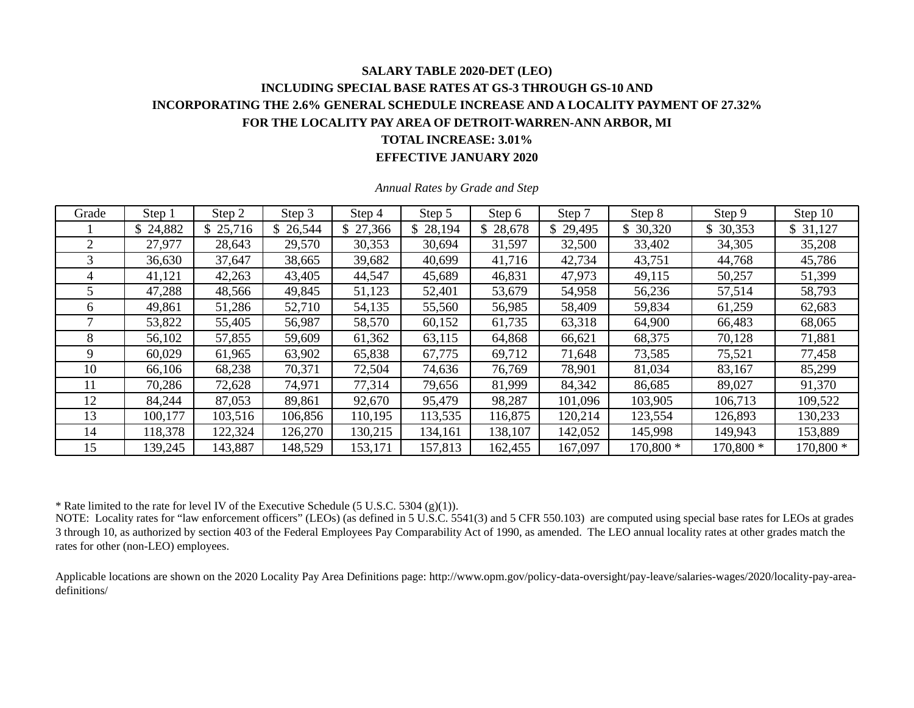### **SALARY TABLE 2020-DET (LEO) INCLUDING SPECIAL BASE RATES AT GS-3 THROUGH GS-10 AND INCORPORATING THE 2.6% GENERAL SCHEDULE INCREASE AND A LOCALITY PAYMENT OF 27.32% FOR THE LOCALITY PAY AREA OF DETROIT-WARREN-ANN ARBOR, MI TOTAL INCREASE: 3.01% EFFECTIVE JANUARY 2020**

| Grade | Step 1   | Step 2   | Step 3   | Step 4    | Step 5   | Step 6   | Step 7   | Step 8    | Step 9    | Step 10   |
|-------|----------|----------|----------|-----------|----------|----------|----------|-----------|-----------|-----------|
|       | \$24,882 | \$25,716 | \$26,544 | \$ 27,366 | \$28,194 | \$28,678 | \$29,495 | 30,320    | \$30,353  | \$31,127  |
| 2     | 27,977   | 28,643   | 29,570   | 30,353    | 30,694   | 31,597   | 32,500   | 33,402    | 34,305    | 35,208    |
| 3     | 36,630   | 37,647   | 38,665   | 39,682    | 40,699   | 41,716   | 42,734   | 43,751    | 44,768    | 45,786    |
| 4     | 41,121   | 42,263   | 43,405   | 44,547    | 45,689   | 46,831   | 47,973   | 49,115    | 50,257    | 51,399    |
|       | 47,288   | 48,566   | 49,845   | 51,123    | 52,401   | 53,679   | 54,958   | 56,236    | 57,514    | 58,793    |
| 6     | 49,861   | 51,286   | 52,710   | 54,135    | 55,560   | 56,985   | 58,409   | 59,834    | 61,259    | 62,683    |
|       | 53,822   | 55,405   | 56,987   | 58,570    | 60,152   | 61,735   | 63,318   | 64,900    | 66,483    | 68,065    |
| 8     | 56,102   | 57,855   | 59,609   | 61,362    | 63,115   | 64,868   | 66,621   | 68,375    | 70,128    | 71,881    |
| 9     | 60,029   | 61,965   | 63,902   | 65,838    | 67,775   | 69,712   | 71,648   | 73,585    | 75,521    | 77,458    |
| 10    | 66,106   | 68,238   | 70,371   | 72,504    | 74,636   | 76,769   | 78,901   | 81,034    | 83,167    | 85,299    |
| 11    | 70,286   | 72,628   | 74,971   | 77,314    | 79,656   | 81,999   | 84,342   | 86,685    | 89,027    | 91,370    |
| 12    | 84,244   | 87,053   | 89,861   | 92,670    | 95,479   | 98,287   | 101,096  | 103,905   | 106,713   | 109,522   |
| 13    | 100,177  | 103,516  | 106,856  | 110,195   | 113,535  | 116,875  | 120,214  | 123,554   | 126,893   | 130,233   |
| 14    | 118,378  | 122,324  | 126,270  | 130,215   | 134,161  | 138,107  | 142,052  | 145,998   | 149,943   | 153,889   |
| 15    | 139,245  | 143,887  | 148,529  | 153,171   | 157,813  | 162,455  | 167,097  | 170,800 * | 170,800 * | 170,800 * |

*Annual Rates by Grade and Step* 

\* Rate limited to the rate for level IV of the Executive Schedule (5 U.S.C. 5304 (g)(1)).

NOTE: Locality rates for "law enforcement officers" (LEOs) (as defined in 5 U.S.C. 5541(3) and 5 CFR 550.103) are computed using special base rates for LEOs at grades 3 through 10, as authorized by section 403 of the Federal Employees Pay Comparability Act of 1990, as amended. The LEO annual locality rates at other grades match the rates for other (non-LEO) employees.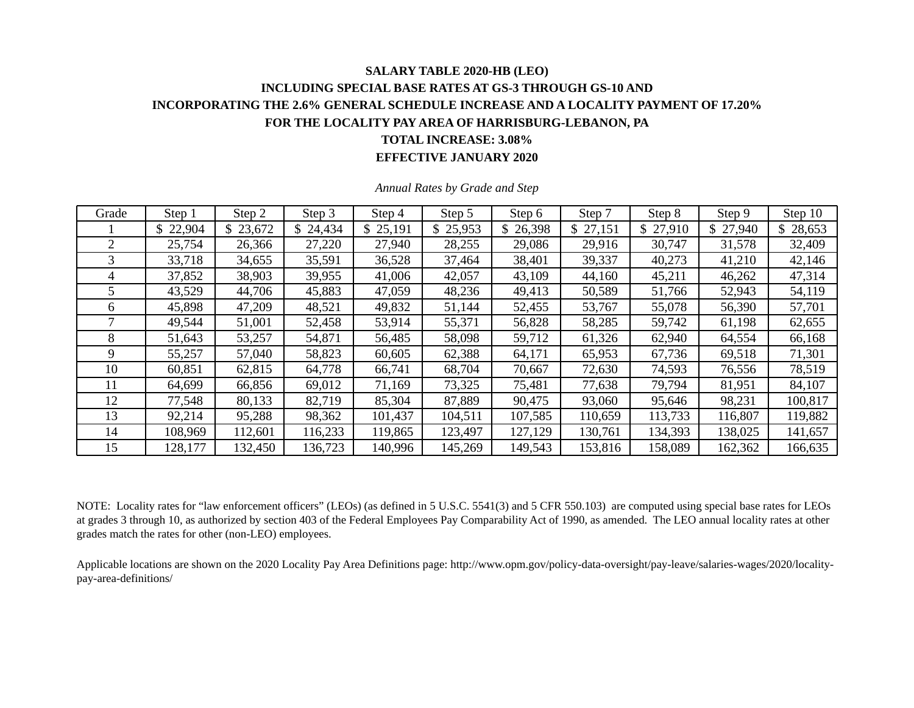## **SALARY TABLE 2020-HB (LEO) INCLUDING SPECIAL BASE RATES AT GS-3 THROUGH GS-10 AND INCORPORATING THE 2.6% GENERAL SCHEDULE INCREASE AND A LOCALITY PAYMENT OF 17.20% FOR THE LOCALITY PAY AREA OF HARRISBURG-LEBANON, PA TOTAL INCREASE: 3.08%**

**EFFECTIVE JANUARY 2020** 

| Grade | Step 1   | Step 2   | Step 3  | Step 4   | Step 5   | Step 6   | Step 7   | Step 8       | Step 9   | Step 10 |
|-------|----------|----------|---------|----------|----------|----------|----------|--------------|----------|---------|
|       | \$22,904 | \$23,672 | 24,434  | \$25,191 | \$25,953 | \$26,398 | \$27,151 | \$<br>27,910 | \$27,940 | 28,653  |
| 2     | 25,754   | 26,366   | 27,220  | 27,940   | 28,255   | 29,086   | 29,916   | 30,747       | 31,578   | 32,409  |
| 3     | 33,718   | 34,655   | 35,591  | 36,528   | 37,464   | 38,401   | 39,337   | 40,273       | 41,210   | 42,146  |
| 4     | 37,852   | 38,903   | 39,955  | 41,006   | 42,057   | 43,109   | 44,160   | 45,211       | 46,262   | 47,314  |
| 5     | 43,529   | 44,706   | 45,883  | 47,059   | 48,236   | 49,413   | 50,589   | 51,766       | 52,943   | 54,119  |
| 6     | 45,898   | 47,209   | 48,521  | 49,832   | 51,144   | 52,455   | 53,767   | 55,078       | 56,390   | 57,701  |
|       | 49,544   | 51,001   | 52,458  | 53,914   | 55,371   | 56,828   | 58,285   | 59,742       | 61,198   | 62,655  |
| 8     | 51,643   | 53,257   | 54,871  | 56,485   | 58,098   | 59,712   | 61,326   | 62,940       | 64,554   | 66,168  |
| 9     | 55,257   | 57,040   | 58,823  | 60,605   | 62,388   | 64,171   | 65,953   | 67,736       | 69,518   | 71,301  |
| 10    | 60,851   | 62,815   | 64,778  | 66,741   | 68,704   | 70,667   | 72,630   | 74,593       | 76,556   | 78,519  |
| 11    | 64,699   | 66,856   | 69,012  | 71,169   | 73,325   | 75,481   | 77,638   | 79,794       | 81,951   | 84,107  |
| 12    | 77,548   | 80,133   | 82,719  | 85,304   | 87,889   | 90,475   | 93,060   | 95,646       | 98,231   | 100,817 |
| 13    | 92,214   | 95,288   | 98,362  | 101,437  | 104,511  | 107,585  | 110,659  | 113,733      | 116,807  | 119,882 |
| 14    | 108,969  | 112,601  | 116,233 | 119,865  | 123,497  | 127,129  | 130,761  | 134,393      | 138,025  | 141,657 |
| 15    | 128,177  | 132,450  | 136,723 | 140,996  | 145,269  | 149,543  | 153,816  | 158,089      | 162,362  | 166,635 |

*Annual Rates by Grade and Step* 

NOTE: Locality rates for "law enforcement officers" (LEOs) (as defined in 5 U.S.C. 5541(3) and 5 CFR 550.103) are computed using special base rates for LEOs at grades 3 through 10, as authorized by section 403 of the Federal Employees Pay Comparability Act of 1990, as amended. The LEO annual locality rates at other grades match the rates for other (non-LEO) employees.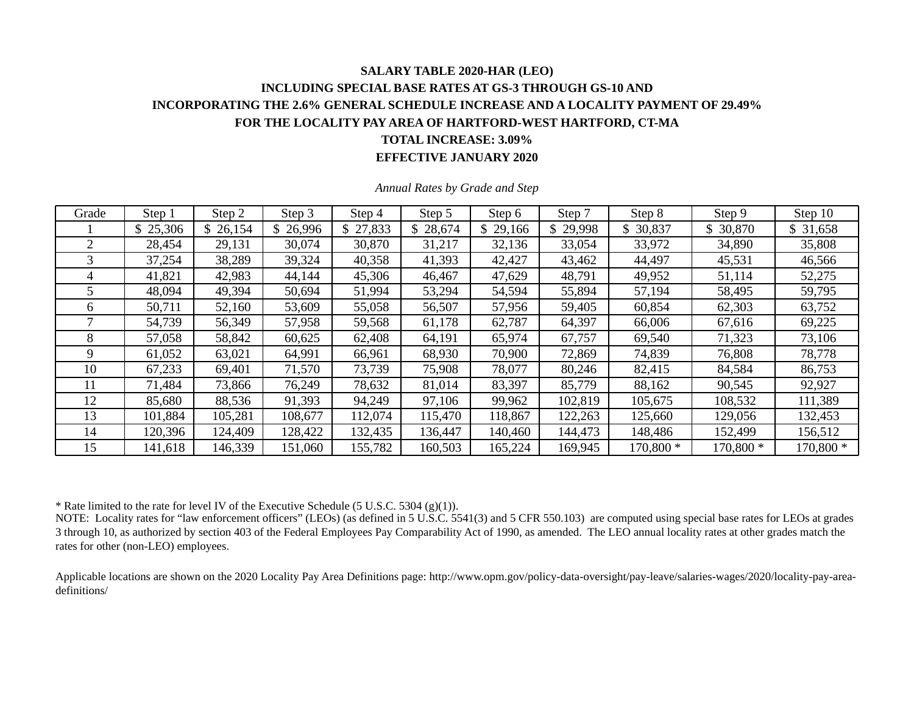## **SALARY TABLE 2020-HAR (LEO) INCLUDING SPECIAL BASE RATES AT GS-3 THROUGH GS-10 AND INCORPORATING THE 2.6% GENERAL SCHEDULE INCREASE AND A LOCALITY PAYMENT OF 29.49% FOR THE LOCALITY PAY AREA OF HARTFORD-WEST HARTFORD, CT-MA TOTAL INCREASE: 3.09%**

#### **EFFECTIVE JANUARY 2020**

| Grade | Step 1   | Step 2   | Step 3   | Step 4   | Step 5   | Step 6        | Step 7   | Step 8    | Step 9    | Step 10   |
|-------|----------|----------|----------|----------|----------|---------------|----------|-----------|-----------|-----------|
|       | \$25,306 | \$26,154 | \$26,996 | \$27,833 | \$28,674 | \$.<br>29,166 | \$29,998 | \$ 30,837 | \$ 30,870 | \$31,658  |
|       | 28,454   | 29,131   | 30,074   | 30,870   | 31,217   | 32,136        | 33,054   | 33,972    | 34,890    | 35,808    |
| 3     | 37,254   | 38,289   | 39,324   | 40,358   | 41,393   | 42,427        | 43,462   | 44,497    | 45,531    | 46,566    |
| 4     | 41,821   | 42,983   | 44,144   | 45,306   | 46,467   | 47,629        | 48,791   | 49,952    | 51,114    | 52,275    |
|       | 48,094   | 49,394   | 50,694   | 51,994   | 53,294   | 54,594        | 55,894   | 57,194    | 58,495    | 59,795    |
| 6.    | 50,711   | 52,160   | 53,609   | 55,058   | 56,507   | 57,956        | 59,405   | 60,854    | 62,303    | 63,752    |
|       | 54,739   | 56,349   | 57,958   | 59,568   | 61,178   | 62,787        | 64,397   | 66,006    | 67,616    | 69,225    |
| 8     | 57,058   | 58,842   | 60,625   | 62,408   | 64,191   | 65,974        | 67,757   | 69,540    | 71,323    | 73,106    |
| 9     | 61,052   | 63,021   | 64,991   | 66,961   | 68,930   | 70,900        | 72,869   | 74,839    | 76,808    | 78,778    |
| 10    | 67,233   | 69,401   | 71,570   | 73,739   | 75,908   | 78,077        | 80,246   | 82,415    | 84,584    | 86,753    |
| 11    | 71,484   | 73,866   | 76,249   | 78,632   | 81,014   | 83,397        | 85,779   | 88,162    | 90,545    | 92,927    |
| 12    | 85,680   | 88,536   | 91,393   | 94,249   | 97,106   | 99,962        | 102,819  | 105,675   | 108,532   | 111,389   |
| 13    | 101,884  | 105,281  | 108,677  | 112,074  | 115,470  | 118,867       | 122,263  | 125,660   | 129,056   | 132,453   |
| 14    | 120,396  | 124,409  | 128,422  | 132,435  | 136,447  | 140,460       | 144,473  | 148,486   | 152,499   | 156,512   |
| 15    | 141,618  | 146,339  | 151,060  | 155,782  | 160,503  | 165,224       | 169,945  | 170,800 * | 170,800 * | 170,800 * |

*Annual Rates by Grade and Step* 

\* Rate limited to the rate for level IV of the Executive Schedule (5 U.S.C. 5304 (g)(1)).

NOTE: Locality rates for "law enforcement officers" (LEOs) (as defined in 5 U.S.C.  $5541(3)$  and 5 CFR 550.103) are computed using special base rates for LEOs at grades 3 through 10, as authorized by section 403 of the Federal Employees Pay Comparability Act of 1990, as amended. The LEO annual locality rates at other grades match the rates for other (non-LEO) employees.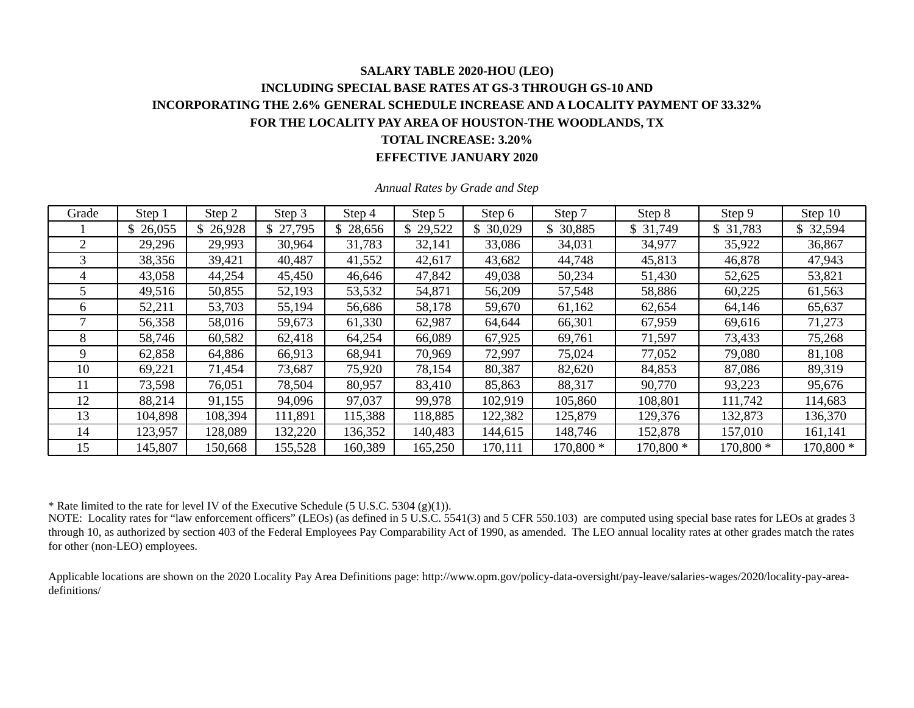### **SALARY TABLE 2020-HOU (LEO) INCLUDING SPECIAL BASE RATES AT GS-3 THROUGH GS-10 AND INCORPORATING THE 2.6% GENERAL SCHEDULE INCREASE AND A LOCALITY PAYMENT OF 33.32% FOR THE LOCALITY PAY AREA OF HOUSTON-THE WOODLANDS, TX TOTAL INCREASE: 3.20% EFFECTIVE JANUARY 2020**

| Grade | Step 1   | Step 2  | Step 3   | Step 4   | Step 5   | Step 6   | Step 7    | Step 8    | Step 9    | Step 10   |
|-------|----------|---------|----------|----------|----------|----------|-----------|-----------|-----------|-----------|
|       | \$26,055 | 26,928  | \$27,795 | \$28,656 | \$29,522 | \$30,029 | 30,885    | \$ 31,749 | \$31,783  | \$32,594  |
|       | 29,296   | 29,993  | 30,964   | 31,783   | 32,141   | 33,086   | 34,031    | 34,977    | 35,922    | 36,867    |
| 3     | 38,356   | 39,421  | 40,487   | 41,552   | 42,617   | 43,682   | 44,748    | 45,813    | 46,878    | 47,943    |
| 4     | 43,058   | 44,254  | 45,450   | 46,646   | 47,842   | 49,038   | 50,234    | 51,430    | 52,625    | 53,821    |
|       | 49,516   | 50,855  | 52,193   | 53,532   | 54,871   | 56,209   | 57,548    | 58,886    | 60,225    | 61,563    |
| 6     | 52,211   | 53,703  | 55,194   | 56,686   | 58,178   | 59,670   | 61,162    | 62,654    | 64,146    | 65,637    |
|       | 56,358   | 58,016  | 59,673   | 61,330   | 62,987   | 64,644   | 66,301    | 67,959    | 69,616    | 71,273    |
| 8     | 58,746   | 60,582  | 62,418   | 64,254   | 66,089   | 67,925   | 69,761    | 71,597    | 73,433    | 75,268    |
| 9     | 62,858   | 64,886  | 66,913   | 68,941   | 70,969   | 72,997   | 75,024    | 77,052    | 79,080    | 81,108    |
| 10    | 69,221   | 71,454  | 73,687   | 75,920   | 78,154   | 80,387   | 82,620    | 84,853    | 87,086    | 89,319    |
| 11    | 73,598   | 76,051  | 78,504   | 80,957   | 83,410   | 85,863   | 88,317    | 90,770    | 93,223    | 95,676    |
| 12    | 88,214   | 91,155  | 94,096   | 97,037   | 99,978   | 102,919  | 105,860   | 108,801   | 111,742   | 114,683   |
| 13    | 104,898  | 108,394 | 111,891  | 115,388  | 118,885  | 122,382  | 125,879   | 129,376   | 132,873   | 136,370   |
| 14    | 123,957  | 128,089 | 132,220  | 136,352  | 140,483  | 144,615  | 148,746   | 152,878   | 157,010   | 161,141   |
| 15    | 145,807  | 150,668 | 155,528  | 160,389  | 165,250  | 170,111  | 170,800 * | 170,800 * | 170,800 * | 170,800 * |

*Annual Rates by Grade and Step* 

\* Rate limited to the rate for level IV of the Executive Schedule (5 U.S.C. 5304 (g)(1)).

NOTE: Locality rates for "law enforcement officers" (LEOs) (as defined in 5 U.S.C. 5541(3) and 5 CFR 550.103) are computed using special base rates for LEOs at grades 3 through 10, as authorized by section 403 of the Federal Employees Pay Comparability Act of 1990, as amended. The LEO annual locality rates at other grades match the rates for other (non-LEO) employees.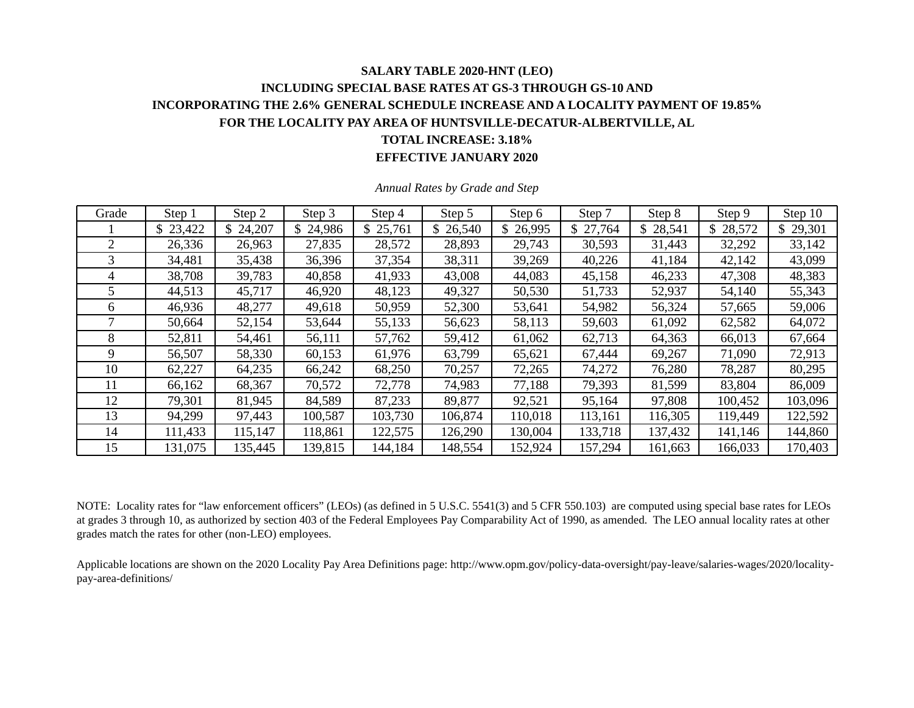# **SALARY TABLE 2020-HNT (LEO) INCLUDING SPECIAL BASE RATES AT GS-3 THROUGH GS-10 AND INCORPORATING THE 2.6% GENERAL SCHEDULE INCREASE AND A LOCALITY PAYMENT OF 19.85% FOR THE LOCALITY PAY AREA OF HUNTSVILLE-DECATUR-ALBERTVILLE, AL TOTAL INCREASE: 3.18%**

#### **EFFECTIVE JANUARY 2020**

| Grade | Step 1   | Step 2   | Step 3  | Step 4   | Step 5   | Step 6   | Step 7   | Step 8  | Step 9   | Step 10  |
|-------|----------|----------|---------|----------|----------|----------|----------|---------|----------|----------|
|       | \$23,422 | \$24,207 | 24,986  | \$25,761 | \$26,540 | \$26,995 | \$27,764 | 28,541  | \$28,572 | \$29,301 |
| 2     | 26,336   | 26,963   | 27,835  | 28,572   | 28,893   | 29,743   | 30,593   | 31,443  | 32,292   | 33,142   |
| 3     | 34,481   | 35,438   | 36,396  | 37,354   | 38,311   | 39,269   | 40,226   | 41,184  | 42,142   | 43,099   |
| 4     | 38,708   | 39,783   | 40,858  | 41,933   | 43,008   | 44,083   | 45,158   | 46,233  | 47,308   | 48,383   |
| 5     | 44,513   | 45,717   | 46,920  | 48,123   | 49,327   | 50,530   | 51,733   | 52,937  | 54,140   | 55,343   |
| 6     | 46,936   | 48,277   | 49,618  | 50,959   | 52,300   | 53,641   | 54,982   | 56,324  | 57,665   | 59,006   |
|       | 50,664   | 52,154   | 53,644  | 55,133   | 56,623   | 58,113   | 59,603   | 61,092  | 62,582   | 64,072   |
| 8     | 52,811   | 54,461   | 56,111  | 57,762   | 59,412   | 61,062   | 62,713   | 64,363  | 66,013   | 67,664   |
| 9     | 56,507   | 58,330   | 60,153  | 61,976   | 63,799   | 65,621   | 67,444   | 69,267  | 71,090   | 72,913   |
| 10    | 62,227   | 64,235   | 66,242  | 68,250   | 70,257   | 72,265   | 74,272   | 76,280  | 78,287   | 80,295   |
| 11    | 66,162   | 68,367   | 70,572  | 72,778   | 74,983   | 77,188   | 79,393   | 81,599  | 83,804   | 86,009   |
| 12    | 79,301   | 81,945   | 84,589  | 87,233   | 89,877   | 92,521   | 95,164   | 97,808  | 100,452  | 103,096  |
| 13    | 94,299   | 97,443   | 100,587 | 103,730  | 106,874  | 110,018  | 113,161  | 116,305 | 119,449  | 122,592  |
| 14    | 111,433  | 115,147  | 118,861 | 122,575  | 126,290  | 130,004  | 133,718  | 137,432 | 141,146  | 144,860  |
| 15    | 131,075  | 135,445  | 139,815 | 144,184  | 148,554  | 152,924  | 157,294  | 161,663 | 166,033  | 170,403  |

*Annual Rates by Grade and Step* 

NOTE: Locality rates for "law enforcement officers" (LEOs) (as defined in 5 U.S.C. 5541(3) and 5 CFR 550.103) are computed using special base rates for LEOs at grades 3 through 10, as authorized by section 403 of the Federal Employees Pay Comparability Act of 1990, as amended. The LEO annual locality rates at other grades match the rates for other (non-LEO) employees.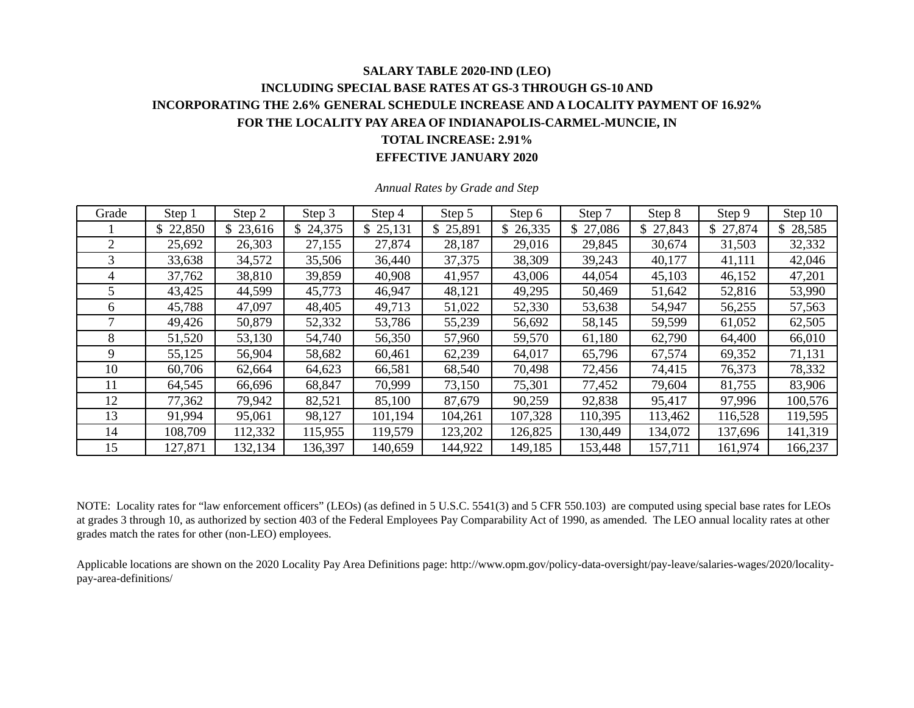### **SALARY TABLE 2020-IND (LEO) INCLUDING SPECIAL BASE RATES AT GS-3 THROUGH GS-10 AND INCORPORATING THE 2.6% GENERAL SCHEDULE INCREASE AND A LOCALITY PAYMENT OF 16.92% FOR THE LOCALITY PAY AREA OF INDIANAPOLIS-CARMEL-MUNCIE, IN TOTAL INCREASE: 2.91% EFFECTIVE JANUARY 2020**

| Grade | Step 1   | Step 2   | Step 3  | Step 4   | Step 5   | Step 6   | Step 7   | Step 8        | Step 9   | Step 10  |
|-------|----------|----------|---------|----------|----------|----------|----------|---------------|----------|----------|
|       | \$22,850 | \$23,616 | 24,375  | \$25,131 | \$25,891 | \$26,335 | \$27,086 | 27,843<br>\$. | \$27,874 | \$28,585 |
| 2     | 25,692   | 26,303   | 27,155  | 27,874   | 28,187   | 29,016   | 29,845   | 30,674        | 31,503   | 32,332   |
| 3     | 33,638   | 34,572   | 35,506  | 36,440   | 37,375   | 38,309   | 39,243   | 40,177        | 41,111   | 42,046   |
| 4     | 37,762   | 38,810   | 39,859  | 40,908   | 41,957   | 43,006   | 44,054   | 45,103        | 46,152   | 47,201   |
|       | 43,425   | 44,599   | 45,773  | 46,947   | 48,121   | 49,295   | 50,469   | 51,642        | 52,816   | 53,990   |
| 6     | 45,788   | 47,097   | 48,405  | 49,713   | 51,022   | 52,330   | 53,638   | 54,947        | 56,255   | 57,563   |
|       | 49,426   | 50,879   | 52,332  | 53,786   | 55,239   | 56,692   | 58,145   | 59,599        | 61,052   | 62,505   |
| 8     | 51,520   | 53,130   | 54,740  | 56,350   | 57,960   | 59,570   | 61,180   | 62,790        | 64,400   | 66,010   |
| 9     | 55,125   | 56,904   | 58,682  | 60,461   | 62,239   | 64,017   | 65,796   | 67,574        | 69,352   | 71,131   |
| 10    | 60,706   | 62,664   | 64,623  | 66,581   | 68,540   | 70,498   | 72,456   | 74,415        | 76,373   | 78,332   |
| 11    | 64,545   | 66,696   | 68,847  | 70,999   | 73,150   | 75,301   | 77,452   | 79,604        | 81,755   | 83,906   |
| 12    | 77,362   | 79,942   | 82,521  | 85,100   | 87,679   | 90,259   | 92,838   | 95,417        | 97,996   | 100,576  |
| 13    | 91,994   | 95,061   | 98,127  | 101,194  | 104,261  | 107,328  | 110,395  | 113,462       | 116,528  | 119,595  |
| 14    | 108,709  | 112,332  | 115,955 | 119,579  | 123,202  | 126,825  | 130,449  | 134,072       | 137,696  | 141,319  |
| 15    | 127,871  | 132,134  | 136,397 | 140,659  | 144,922  | 149,185  | 153,448  | 157,711       | 161,974  | 166,237  |

*Annual Rates by Grade and Step* 

NOTE: Locality rates for "law enforcement officers" (LEOs) (as defined in 5 U.S.C. 5541(3) and 5 CFR 550.103) are computed using special base rates for LEOs at grades 3 through 10, as authorized by section 403 of the Federal Employees Pay Comparability Act of 1990, as amended. The LEO annual locality rates at other grades match the rates for other (non-LEO) employees.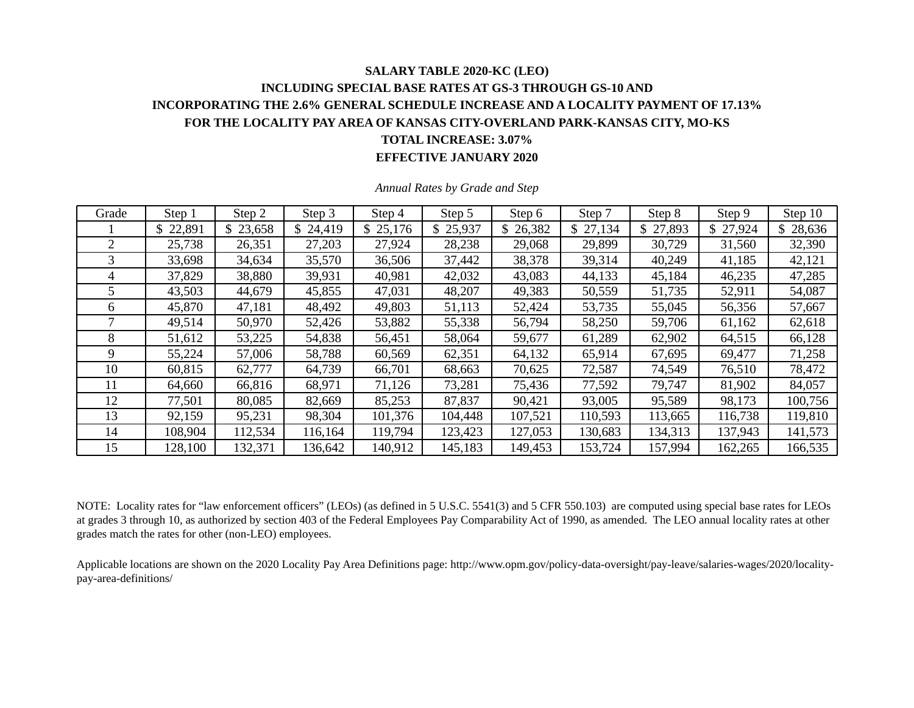### **SALARY TABLE 2020-KC (LEO) INCLUDING SPECIAL BASE RATES AT GS-3 THROUGH GS-10 AND INCORPORATING THE 2.6% GENERAL SCHEDULE INCREASE AND A LOCALITY PAYMENT OF 17.13% FOR THE LOCALITY PAY AREA OF KANSAS CITY-OVERLAND PARK-KANSAS CITY, MO-KS TOTAL INCREASE: 3.07% EFFECTIVE JANUARY 2020**

| Grade | Step 1   | Step 2   | Step 3  | Step 4   | Step 5   | Step 6  | Step 7   | Step 8        | Step 9   | Step 10       |
|-------|----------|----------|---------|----------|----------|---------|----------|---------------|----------|---------------|
|       | \$22,891 | \$23,658 | 24,419  | \$25,176 | \$25,937 | 26,382  | \$27,134 | 27,893<br>\$. | \$27,924 | 28,636<br>\$. |
| 2     | 25,738   | 26,351   | 27,203  | 27,924   | 28,238   | 29,068  | 29,899   | 30,729        | 31,560   | 32,390        |
| 3     | 33,698   | 34,634   | 35,570  | 36,506   | 37,442   | 38,378  | 39,314   | 40,249        | 41,185   | 42,121        |
| 4     | 37,829   | 38,880   | 39,931  | 40,981   | 42,032   | 43,083  | 44,133   | 45,184        | 46,235   | 47,285        |
| 5.    | 43,503   | 44,679   | 45,855  | 47,031   | 48,207   | 49,383  | 50,559   | 51,735        | 52,911   | 54,087        |
| 6     | 45,870   | 47,181   | 48,492  | 49,803   | 51,113   | 52,424  | 53,735   | 55,045        | 56,356   | 57,667        |
|       | 49,514   | 50,970   | 52,426  | 53,882   | 55,338   | 56,794  | 58,250   | 59,706        | 61,162   | 62,618        |
| 8     | 51,612   | 53,225   | 54,838  | 56,451   | 58,064   | 59,677  | 61,289   | 62,902        | 64,515   | 66,128        |
| 9     | 55,224   | 57,006   | 58,788  | 60,569   | 62,351   | 64,132  | 65,914   | 67,695        | 69,477   | 71,258        |
| 10    | 60,815   | 62,777   | 64,739  | 66,701   | 68,663   | 70,625  | 72,587   | 74,549        | 76,510   | 78,472        |
| 11    | 64,660   | 66,816   | 68,971  | 71,126   | 73,281   | 75,436  | 77,592   | 79,747        | 81,902   | 84,057        |
| 12    | 77,501   | 80,085   | 82,669  | 85,253   | 87,837   | 90,421  | 93,005   | 95,589        | 98,173   | 100,756       |
| 13    | 92,159   | 95,231   | 98,304  | 101,376  | 104,448  | 107,521 | 110,593  | 113,665       | 116,738  | 119,810       |
| 14    | 108,904  | 112,534  | 116,164 | 119,794  | 123,423  | 127,053 | 130,683  | 134,313       | 137,943  | 141,573       |
| 15    | 128,100  | 132,371  | 136,642 | 140,912  | 145,183  | 149,453 | 153,724  | 157,994       | 162,265  | 166,535       |

*Annual Rates by Grade and Step* 

NOTE: Locality rates for "law enforcement officers" (LEOs) (as defined in 5 U.S.C. 5541(3) and 5 CFR 550.103) are computed using special base rates for LEOs at grades 3 through 10, as authorized by section 403 of the Federal Employees Pay Comparability Act of 1990, as amended. The LEO annual locality rates at other grades match the rates for other (non-LEO) employees.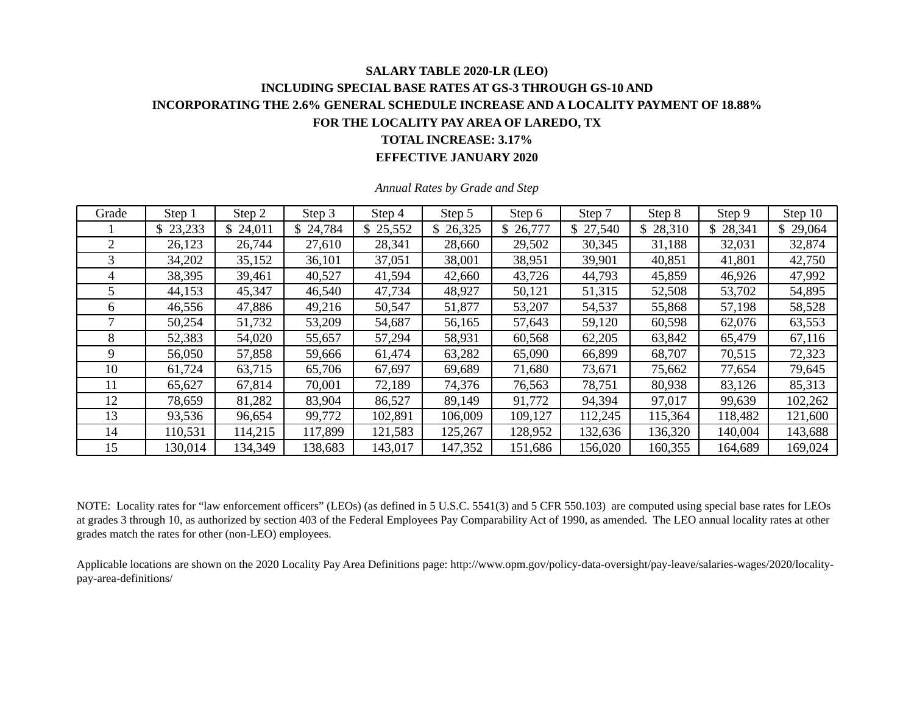#### **SALARY TABLE 2020-LR (LEO) INCLUDING SPECIAL BASE RATES AT GS-3 THROUGH GS-10 AND INCORPORATING THE 2.6% GENERAL SCHEDULE INCREASE AND A LOCALITY PAYMENT OF 18.88% FOR THE LOCALITY PAY AREA OF LAREDO, TX TOTAL INCREASE: 3.17% EFFECTIVE JANUARY 2020**

Grade | Step 1 | Step 2 | Step 3 | Step 4 | Step 5 | Step 6 | Step 7 | Step 8 | Step 9 | Step 10 1 \$ 23,233 \$ 24,011 \$ 24,784 \$ 25,552 \$ 26,325 \$ 26,777 | \$ 27,540 | \$ 28,310 | \$ 28,341 | \$ 29,064 2 26,123 26,744 27,610 28,341 28,660 29,502 30,345 31,188 32,031 32,874 3 34,202 35,152 36,101 37,051 38,001 38,951 39,901 40,851 41,801 42,750 4 38,395 39,461 40,527 41,594 42,660 43,726 44,793 45,859 46,926 47,992 5 | 44,153 | 45,347 | 46,540 | 47,734 | 48,927 | 50,121 | 51,315 | 52,508 | 53,702 | 54,895 6 | 46,556 | 47,886 | 49,216 | 50,547 | 51,877 | 53,207 | 54,537 | 55,868 | 57,198 | 58,528 7 | 50,254 | 51,732 | 53,209 | 54,687 | 56,165 | 57,643 | 59,120 | 60,598 | 62,076 | 63,553 8 | 52,383 | 54,020 | 55,657 | 57,294 | 58,931 | 60,568 | 62,205 | 63,842 | 65,479 | 67,116 9 | 56,050 | 57,858 | 59,666 | 61,474 | 63,282 | 65,090 | 66,899 | 68,707 | 70,515 | 72,323 10 61,724 63,715 65,706 67,697 69,689 71,680 73,671 75,662 77,654 79,645 11 | 65,627 | 67,814 | 70,001 | 72,189 | 74,376 | 76,563 | 78,751 | 80,938 | 83,126 | 85,313 12 | 78,659 | 81,282 | 83,904 | 86,527 | 89,149 | 91,772 | 94,394 | 97,017 | 99,639 | 102,262 13 93,536 96,654 99,772 102,891 106,009 109,127 112,245 115,364 118,482 121,600 14 110,531 114,215 117,899 121,583 125,267 128,952 132,636 136,320 140,004 143,688 15 | 130,014 | 134,349 | 138,683 | 143,017 | 147,352 | 151,686 | 156,020 | 160,355 | 164,689 | 169,024

*Annual Rates by Grade and Step* 

NOTE: Locality rates for "law enforcement officers" (LEOs) (as defined in 5 U.S.C. 5541(3) and 5 CFR 550.103) are computed using special base rates for LEOs at grades 3 through 10, as authorized by section 403 of the Federal Employees Pay Comparability Act of 1990, as amended. The LEO annual locality rates at other grades match the rates for other (non-LEO) employees.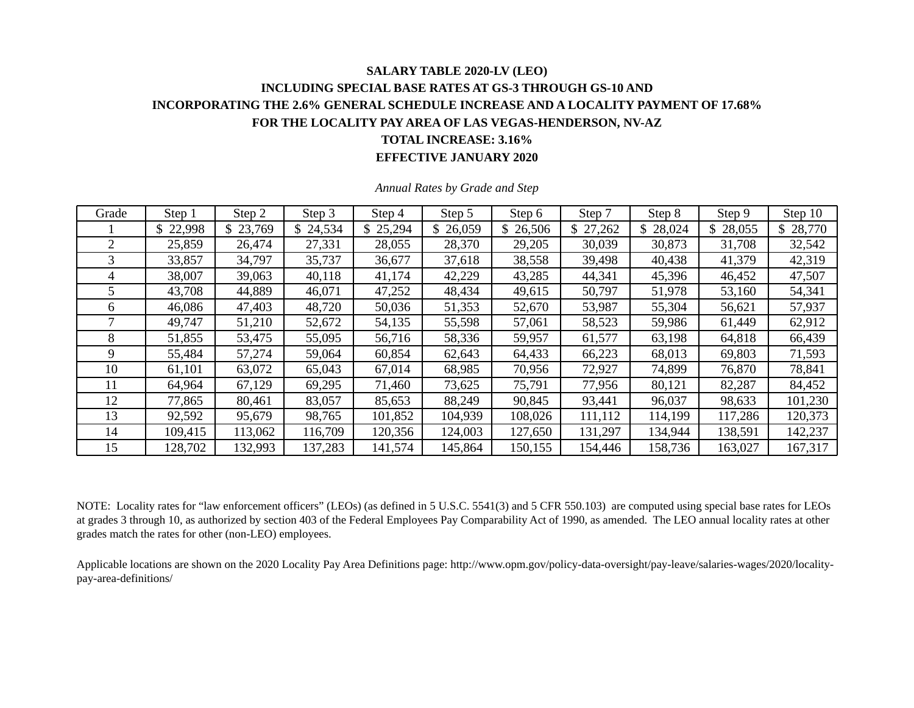### **SALARY TABLE 2020-LV (LEO) INCLUDING SPECIAL BASE RATES AT GS-3 THROUGH GS-10 AND INCORPORATING THE 2.6% GENERAL SCHEDULE INCREASE AND A LOCALITY PAYMENT OF 17.68% FOR THE LOCALITY PAY AREA OF LAS VEGAS-HENDERSON, NV-AZ TOTAL INCREASE: 3.16% EFFECTIVE JANUARY 2020**

| Grade | Step 1   | Step 2   | Step 3  | Step 4   | Step 5   | Step 6   | Step 7   | Step 8       | Step 9   | Step 10  |
|-------|----------|----------|---------|----------|----------|----------|----------|--------------|----------|----------|
|       | \$22,998 | \$23,769 | 24,534  | \$25,294 | \$26,059 | \$26,506 | \$27,262 | 28,024<br>\$ | \$28,055 | \$28,770 |
| 2     | 25,859   | 26,474   | 27,331  | 28,055   | 28,370   | 29,205   | 30,039   | 30,873       | 31,708   | 32,542   |
| 3     | 33,857   | 34,797   | 35,737  | 36,677   | 37,618   | 38,558   | 39,498   | 40,438       | 41,379   | 42,319   |
| 4     | 38,007   | 39,063   | 40,118  | 41,174   | 42,229   | 43,285   | 44,341   | 45,396       | 46,452   | 47,507   |
| 5     | 43,708   | 44,889   | 46,071  | 47,252   | 48,434   | 49,615   | 50,797   | 51,978       | 53,160   | 54,341   |
| 6     | 46,086   | 47,403   | 48,720  | 50,036   | 51,353   | 52,670   | 53,987   | 55,304       | 56,621   | 57,937   |
|       | 49,747   | 51,210   | 52,672  | 54,135   | 55,598   | 57,061   | 58,523   | 59,986       | 61,449   | 62,912   |
| 8     | 51,855   | 53,475   | 55,095  | 56,716   | 58,336   | 59,957   | 61,577   | 63,198       | 64,818   | 66,439   |
| 9     | 55,484   | 57,274   | 59,064  | 60,854   | 62,643   | 64,433   | 66,223   | 68,013       | 69,803   | 71,593   |
| 10    | 61,101   | 63,072   | 65,043  | 67,014   | 68,985   | 70,956   | 72,927   | 74,899       | 76,870   | 78,841   |
| 11    | 64,964   | 67,129   | 69,295  | 71,460   | 73,625   | 75,791   | 77,956   | 80,121       | 82,287   | 84,452   |
| 12    | 77,865   | 80,461   | 83,057  | 85,653   | 88,249   | 90,845   | 93,441   | 96,037       | 98,633   | 101,230  |
| 13    | 92,592   | 95,679   | 98,765  | 101,852  | 104,939  | 108,026  | 111,112  | 114,199      | 117,286  | 120,373  |
| 14    | 109,415  | 113,062  | 116,709 | 120,356  | 124,003  | 127,650  | 131,297  | 134,944      | 138,591  | 142,237  |
| 15    | 128,702  | 132,993  | 137,283 | 141,574  | 145,864  | 150,155  | 154,446  | 158,736      | 163,027  | 167,317  |

*Annual Rates by Grade and Step* 

NOTE: Locality rates for "law enforcement officers" (LEOs) (as defined in 5 U.S.C. 5541(3) and 5 CFR 550.103) are computed using special base rates for LEOs at grades 3 through 10, as authorized by section 403 of the Federal Employees Pay Comparability Act of 1990, as amended. The LEO annual locality rates at other grades match the rates for other (non-LEO) employees.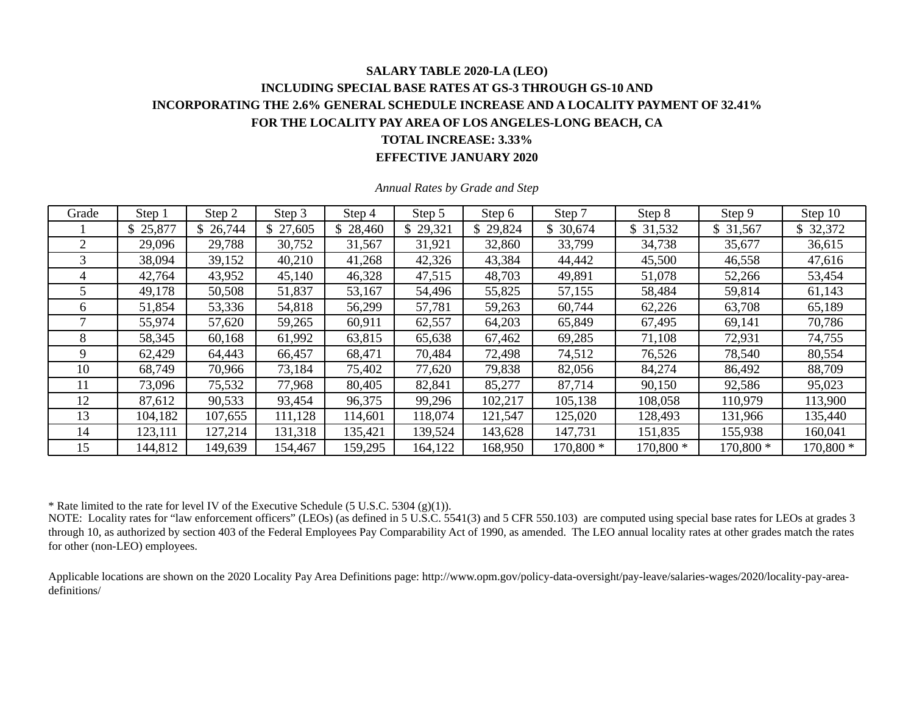### **SALARY TABLE 2020-LA (LEO) INCLUDING SPECIAL BASE RATES AT GS-3 THROUGH GS-10 AND INCORPORATING THE 2.6% GENERAL SCHEDULE INCREASE AND A LOCALITY PAYMENT OF 32.41% FOR THE LOCALITY PAY AREA OF LOS ANGELES-LONG BEACH, CA TOTAL INCREASE: 3.33% EFFECTIVE JANUARY 2020**

| Grade | Step 1   | Step 2  | Step 3   | Step 4   | Step 5   | Step 6   | Step 7    | Step 8    | Step 9    | Step 10   |
|-------|----------|---------|----------|----------|----------|----------|-----------|-----------|-----------|-----------|
|       | \$25,877 | 26,744  | \$27,605 | \$28,460 | \$29,321 | \$29,824 | 30,674    | \$31,532  | \$31,567  | \$32,372  |
|       | 29,096   | 29,788  | 30,752   | 31,567   | 31,921   | 32,860   | 33,799    | 34,738    | 35,677    | 36,615    |
|       | 38,094   | 39,152  | 40,210   | 41,268   | 42,326   | 43,384   | 44,442    | 45,500    | 46,558    | 47,616    |
| 4     | 42,764   | 43,952  | 45,140   | 46,328   | 47,515   | 48,703   | 49,891    | 51,078    | 52,266    | 53,454    |
|       | 49,178   | 50,508  | 51,837   | 53,167   | 54,496   | 55,825   | 57,155    | 58,484    | 59,814    | 61,143    |
| 6     | 51,854   | 53,336  | 54,818   | 56,299   | 57,781   | 59,263   | 60,744    | 62,226    | 63,708    | 65,189    |
|       | 55,974   | 57,620  | 59,265   | 60,911   | 62,557   | 64,203   | 65,849    | 67,495    | 69,141    | 70,786    |
| 8     | 58,345   | 60,168  | 61,992   | 63,815   | 65,638   | 67,462   | 69,285    | 71,108    | 72,931    | 74,755    |
| 9     | 62,429   | 64,443  | 66,457   | 68,471   | 70,484   | 72,498   | 74,512    | 76,526    | 78,540    | 80,554    |
| 10    | 68,749   | 70,966  | 73,184   | 75,402   | 77,620   | 79,838   | 82,056    | 84,274    | 86,492    | 88,709    |
|       | 73,096   | 75,532  | 77,968   | 80,405   | 82,841   | 85,277   | 87,714    | 90,150    | 92,586    | 95,023    |
| 12    | 87,612   | 90,533  | 93,454   | 96,375   | 99,296   | 102,217  | 105,138   | 108,058   | 110,979   | 113,900   |
| 13    | 104,182  | 107,655 | 111,128  | 114,601  | 118,074  | 121,547  | 125,020   | 128,493   | 131,966   | 135,440   |
| 14    | 123,111  | 127,214 | 131,318  | 135,421  | 139,524  | 143,628  | 147,731   | 151,835   | 155,938   | 160,041   |
| 15    | 144,812  | 149,639 | 154,467  | 159,295  | 164,122  | 168,950  | 170,800 * | 170,800 * | 170,800 * | 170,800 * |

*Annual Rates by Grade and Step* 

\* Rate limited to the rate for level IV of the Executive Schedule (5 U.S.C. 5304 (g)(1)).

NOTE: Locality rates for "law enforcement officers" (LEOs) (as defined in 5 U.S.C. 5541(3) and 5 CFR 550.103) are computed using special base rates for LEOs at grades 3 through 10, as authorized by section 403 of the Federal Employees Pay Comparability Act of 1990, as amended. The LEO annual locality rates at other grades match the rates for other (non-LEO) employees.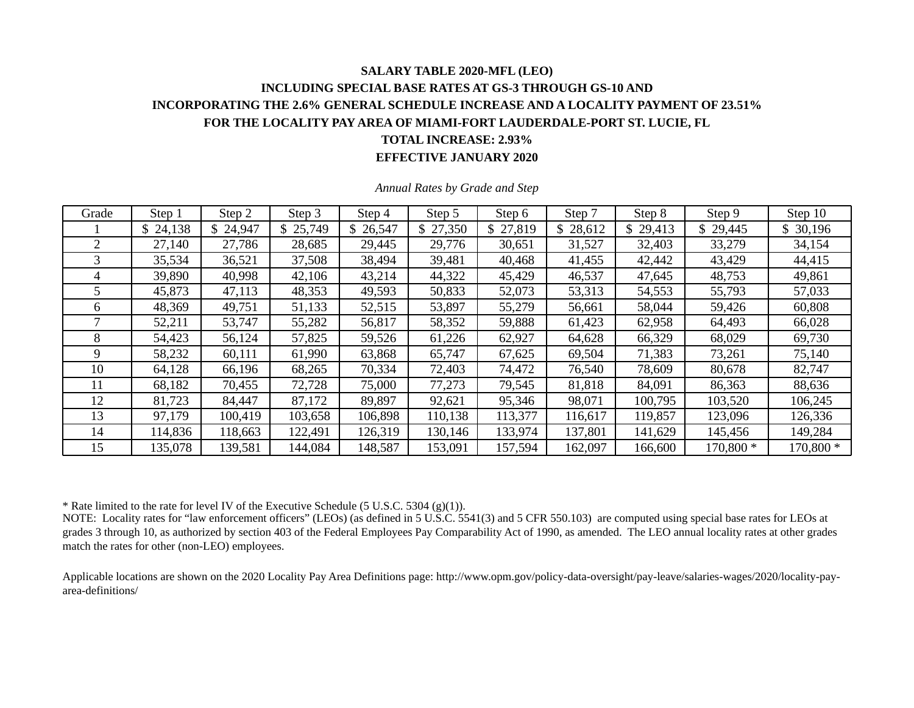# **SALARY TABLE 2020-MFL (LEO) INCLUDING SPECIAL BASE RATES AT GS-3 THROUGH GS-10 AND INCORPORATING THE 2.6% GENERAL SCHEDULE INCREASE AND A LOCALITY PAYMENT OF 23.51% FOR THE LOCALITY PAY AREA OF MIAMI-FORT LAUDERDALE-PORT ST. LUCIE, FL TOTAL INCREASE: 2.93%**

#### **EFFECTIVE JANUARY 2020**

| Grade        | Step 1   | Step 2   | Step 3   | Step 4   | Step 5   | Step 6   | Step 7   | Step 8       | Step 9    | Step 10   |
|--------------|----------|----------|----------|----------|----------|----------|----------|--------------|-----------|-----------|
|              | \$24,138 | \$24,947 | \$25,749 | \$26,547 | \$27,350 | \$27,819 | \$28,612 | \$<br>29,413 | \$29,445  | \$30,196  |
| 2            | 27,140   | 27,786   | 28,685   | 29,445   | 29,776   | 30,651   | 31,527   | 32,403       | 33,279    | 34,154    |
|              | 35,534   | 36,521   | 37,508   | 38,494   | 39,481   | 40,468   | 41,455   | 42,442       | 43,429    | 44,415    |
| 4            | 39,890   | 40,998   | 42,106   | 43,214   | 44,322   | 45,429   | 46,537   | 47,645       | 48,753    | 49,861    |
|              | 45,873   | 47,113   | 48,353   | 49,593   | 50,833   | 52,073   | 53,313   | 54,553       | 55,793    | 57,033    |
| <sub>0</sub> | 48,369   | 49,751   | 51,133   | 52,515   | 53,897   | 55,279   | 56,661   | 58,044       | 59,426    | 60,808    |
|              | 52,211   | 53,747   | 55,282   | 56,817   | 58,352   | 59,888   | 61,423   | 62,958       | 64,493    | 66,028    |
| 8            | 54,423   | 56,124   | 57,825   | 59,526   | 61,226   | 62,927   | 64,628   | 66,329       | 68,029    | 69,730    |
| 9            | 58,232   | 60,111   | 61,990   | 63,868   | 65,747   | 67,625   | 69,504   | 71,383       | 73,261    | 75,140    |
| 10           | 64,128   | 66,196   | 68,265   | 70,334   | 72,403   | 74,472   | 76,540   | 78,609       | 80,678    | 82,747    |
| 11           | 68,182   | 70,455   | 72,728   | 75,000   | 77,273   | 79,545   | 81,818   | 84,091       | 86,363    | 88,636    |
| 12           | 81,723   | 84,447   | 87,172   | 89,897   | 92,621   | 95,346   | 98,071   | 100,795      | 103,520   | 106,245   |
| 13           | 97,179   | 100,419  | 103,658  | 106,898  | 110,138  | 113,377  | 116,617  | 119,857      | 123,096   | 126,336   |
| 14           | 114,836  | 118,663  | 122,491  | 126,319  | 130,146  | 133,974  | 137,801  | 141,629      | 145,456   | 149,284   |
| 15           | 135,078  | 139,581  | 144,084  | 148,587  | 153,091  | 157,594  | 162,097  | 166,600      | 170,800 * | 170,800 * |

*Annual Rates by Grade and Step* 

\* Rate limited to the rate for level IV of the Executive Schedule (5 U.S.C. 5304 (g)(1)).

NOTE: Locality rates for "law enforcement officers" (LEOs) (as defined in 5 U.S.C. 5541(3) and 5 CFR 550.103) are computed using special base rates for LEOs at grades 3 through 10, as authorized by section 403 of the Federal Employees Pay Comparability Act of 1990, as amended. The LEO annual locality rates at other grades match the rates for other (non-LEO) employees.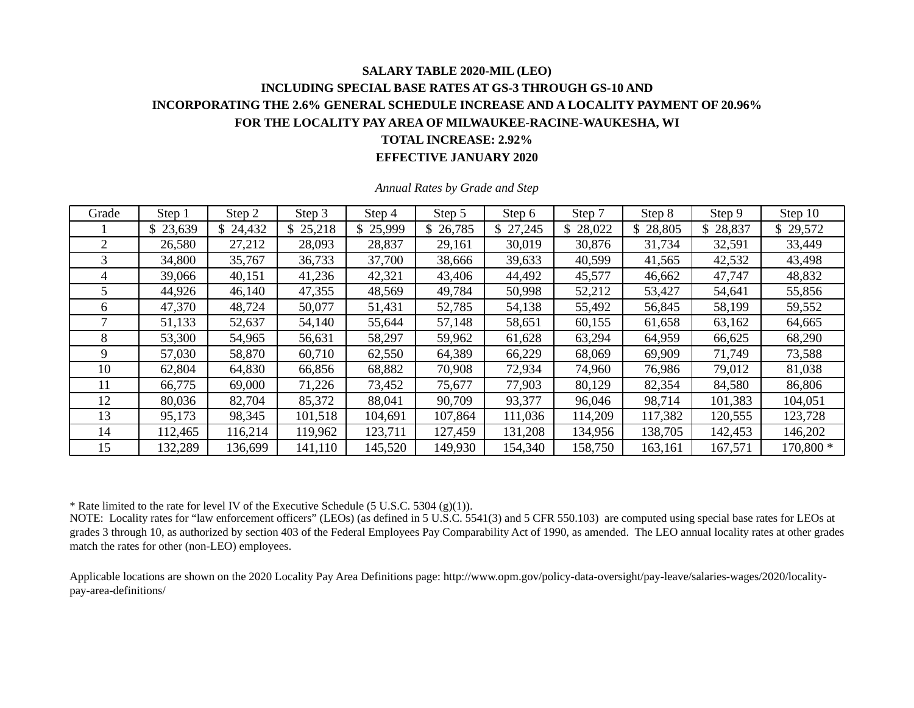### **SALARY TABLE 2020-MIL (LEO) INCLUDING SPECIAL BASE RATES AT GS-3 THROUGH GS-10 AND INCORPORATING THE 2.6% GENERAL SCHEDULE INCREASE AND A LOCALITY PAYMENT OF 20.96% FOR THE LOCALITY PAY AREA OF MILWAUKEE-RACINE-WAUKESHA, WI TOTAL INCREASE: 2.92% EFFECTIVE JANUARY 2020**

| Grade | Step 1   | Step 2   | Step 3   | Step 4   | Step 5   | Step 6   | Step 7   | Step 8   | Step 9   | Step 10   |
|-------|----------|----------|----------|----------|----------|----------|----------|----------|----------|-----------|
|       | \$23,639 | \$24,432 | \$25,218 | \$25,999 | \$26,785 | \$27,245 | \$28,022 | \$28,805 | \$28,837 | \$29,572  |
|       | 26,580   | 27,212   | 28,093   | 28,837   | 29,161   | 30,019   | 30,876   | 31,734   | 32,591   | 33,449    |
| 3     | 34,800   | 35,767   | 36,733   | 37,700   | 38,666   | 39,633   | 40,599   | 41,565   | 42,532   | 43,498    |
| 4     | 39,066   | 40,151   | 41,236   | 42,321   | 43,406   | 44,492   | 45,577   | 46,662   | 47,747   | 48,832    |
| 5     | 44,926   | 46,140   | 47,355   | 48,569   | 49,784   | 50,998   | 52,212   | 53,427   | 54,641   | 55,856    |
| 6     | 47,370   | 48,724   | 50,077   | 51,431   | 52,785   | 54,138   | 55,492   | 56,845   | 58,199   | 59,552    |
|       | 51,133   | 52,637   | 54,140   | 55,644   | 57,148   | 58,651   | 60,155   | 61,658   | 63,162   | 64,665    |
| 8     | 53,300   | 54,965   | 56,631   | 58,297   | 59,962   | 61,628   | 63,294   | 64,959   | 66,625   | 68,290    |
| 9     | 57,030   | 58,870   | 60,710   | 62,550   | 64,389   | 66,229   | 68,069   | 69,909   | 71,749   | 73,588    |
| 10    | 62,804   | 64,830   | 66,856   | 68,882   | 70,908   | 72,934   | 74,960   | 76,986   | 79,012   | 81,038    |
| 11    | 66,775   | 69,000   | 71,226   | 73,452   | 75,677   | 77,903   | 80,129   | 82,354   | 84,580   | 86,806    |
| 12    | 80,036   | 82,704   | 85,372   | 88,041   | 90,709   | 93,377   | 96,046   | 98,714   | 101,383  | 104,051   |
| 13    | 95,173   | 98,345   | 101,518  | 104,691  | 107,864  | 111,036  | 114,209  | 117,382  | 120,555  | 123,728   |
| 14    | 112,465  | 116,214  | 119,962  | 123,711  | 127,459  | 131,208  | 134,956  | 138,705  | 142,453  | 146,202   |
| 15    | 132,289  | 136,699  | 141,110  | 145,520  | 149,930  | 154,340  | 158,750  | 163,161  | 167,571  | 170,800 * |

*Annual Rates by Grade and Step* 

\* Rate limited to the rate for level IV of the Executive Schedule (5 U.S.C. 5304 (g)(1)).

NOTE: Locality rates for "law enforcement officers" (LEOs) (as defined in 5 U.S.C. 5541(3) and 5 CFR 550.103) are computed using special base rates for LEOs at grades 3 through 10, as authorized by section 403 of the Federal Employees Pay Comparability Act of 1990, as amended. The LEO annual locality rates at other grades match the rates for other (non-LEO) employees.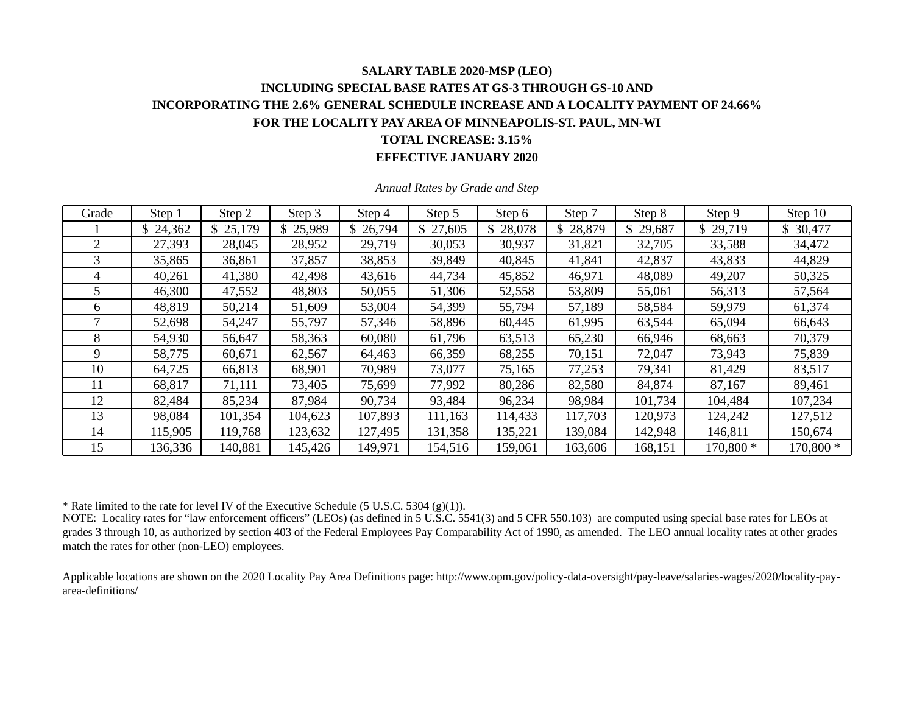### **SALARY TABLE 2020-MSP (LEO) INCLUDING SPECIAL BASE RATES AT GS-3 THROUGH GS-10 AND INCORPORATING THE 2.6% GENERAL SCHEDULE INCREASE AND A LOCALITY PAYMENT OF 24.66% FOR THE LOCALITY PAY AREA OF MINNEAPOLIS-ST. PAUL, MN-WI TOTAL INCREASE: 3.15% EFFECTIVE JANUARY 2020**

| Grade        | Step 1   | Step 2   | Step 3   | Step 4   | Step 5   | Step 6   | Step 7   | Step 8       | Step 9    | Step 10   |
|--------------|----------|----------|----------|----------|----------|----------|----------|--------------|-----------|-----------|
|              | \$24,362 | \$25,179 | \$25,989 | \$26,794 | \$27,605 | \$28,078 | \$28,879 | \$<br>29,687 | \$29,719  | \$30,477  |
| 2            | 27,393   | 28,045   | 28,952   | 29,719   | 30,053   | 30,937   | 31,821   | 32,705       | 33,588    | 34,472    |
| 3            | 35,865   | 36,861   | 37,857   | 38,853   | 39,849   | 40,845   | 41,841   | 42,837       | 43,833    | 44,829    |
|              | 40,261   | 41,380   | 42,498   | 43,616   | 44,734   | 45,852   | 46,971   | 48,089       | 49,207    | 50,325    |
|              | 46,300   | 47,552   | 48,803   | 50,055   | 51,306   | 52,558   | 53,809   | 55,061       | 56,313    | 57,564    |
| <sub>0</sub> | 48,819   | 50,214   | 51,609   | 53,004   | 54,399   | 55,794   | 57,189   | 58,584       | 59,979    | 61,374    |
|              | 52,698   | 54,247   | 55,797   | 57,346   | 58,896   | 60,445   | 61,995   | 63,544       | 65,094    | 66,643    |
| 8            | 54,930   | 56,647   | 58,363   | 60,080   | 61,796   | 63,513   | 65,230   | 66,946       | 68,663    | 70,379    |
| 9            | 58,775   | 60,671   | 62,567   | 64,463   | 66,359   | 68,255   | 70,151   | 72,047       | 73,943    | 75,839    |
| 10           | 64,725   | 66,813   | 68,901   | 70,989   | 73,077   | 75,165   | 77,253   | 79,341       | 81,429    | 83,517    |
| 11           | 68,817   | 71,111   | 73,405   | 75,699   | 77,992   | 80,286   | 82,580   | 84,874       | 87,167    | 89,461    |
| 12           | 82,484   | 85,234   | 87,984   | 90,734   | 93,484   | 96,234   | 98,984   | 101,734      | 104,484   | 107,234   |
| 13           | 98,084   | 101,354  | 104,623  | 107,893  | 111,163  | 114,433  | 117,703  | 120,973      | 124,242   | 127,512   |
| 14           | 115,905  | 119,768  | 123,632  | 127,495  | 131,358  | 135,221  | 139,084  | 142,948      | 146,811   | 150,674   |
| 15           | 136,336  | 140,881  | 145,426  | 149,971  | 154,516  | 159,061  | 163,606  | 168,151      | 170,800 * | 170,800 * |

*Annual Rates by Grade and Step* 

\* Rate limited to the rate for level IV of the Executive Schedule (5 U.S.C. 5304 (g)(1)).

NOTE: Locality rates for "law enforcement officers" (LEOs) (as defined in 5 U.S.C. 5541(3) and 5 CFR 550.103) are computed using special base rates for LEOs at grades 3 through 10, as authorized by section 403 of the Federal Employees Pay Comparability Act of 1990, as amended. The LEO annual locality rates at other grades match the rates for other (non-LEO) employees.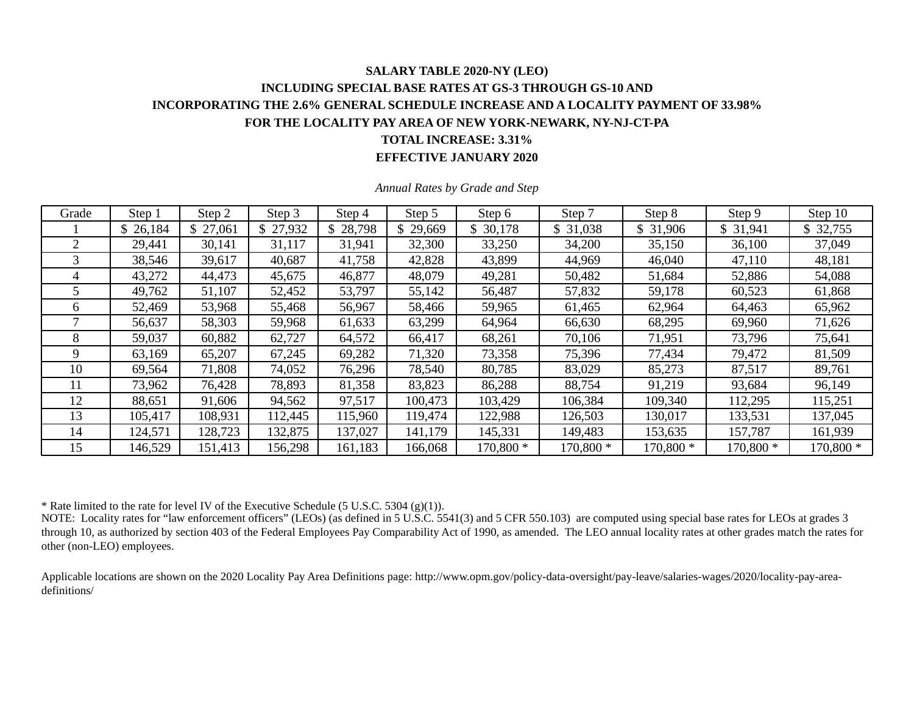### **SALARY TABLE 2020-NY (LEO) INCLUDING SPECIAL BASE RATES AT GS-3 THROUGH GS-10 AND INCORPORATING THE 2.6% GENERAL SCHEDULE INCREASE AND A LOCALITY PAYMENT OF 33.98% FOR THE LOCALITY PAY AREA OF NEW YORK-NEWARK, NY-NJ-CT-PA TOTAL INCREASE: 3.31% EFFECTIVE JANUARY 2020**

| Grade | Step 1   | Step 2   | Step 3  | Step 4   | Step 5  | Step 6    | Step 7    | Step 8    | Step 9    | Step 10   |
|-------|----------|----------|---------|----------|---------|-----------|-----------|-----------|-----------|-----------|
|       | \$26,184 | \$27,061 | 27,932  | \$28,798 | 29,669  | \$30,178  | \$ 31,038 | \$31,906  | \$31,941  | \$32,755  |
| 2     | 29,441   | 30,141   | 31,117  | 31,941   | 32,300  | 33,250    | 34,200    | 35,150    | 36,100    | 37,049    |
| 3     | 38,546   | 39,617   | 40,687  | 41,758   | 42,828  | 43,899    | 44,969    | 46,040    | 47,110    | 48,181    |
|       | 43,272   | 44,473   | 45,675  | 46,877   | 48,079  | 49,281    | 50,482    | 51,684    | 52,886    | 54,088    |
|       | 49,762   | 51,107   | 52,452  | 53,797   | 55,142  | 56,487    | 57,832    | 59,178    | 60,523    | 61,868    |
| 6     | 52,469   | 53,968   | 55,468  | 56,967   | 58,466  | 59,965    | 61,465    | 62,964    | 64,463    | 65,962    |
|       | 56,637   | 58,303   | 59,968  | 61,633   | 63,299  | 64,964    | 66,630    | 68,295    | 69,960    | 71,626    |
| 8     | 59,037   | 60,882   | 62,727  | 64,572   | 66,417  | 68,261    | 70,106    | 71,951    | 73,796    | 75,641    |
| 9     | 63,169   | 65,207   | 67,245  | 69,282   | 71,320  | 73,358    | 75,396    | 77,434    | 79,472    | 81,509    |
| 10    | 69,564   | 71,808   | 74,052  | 76,296   | 78,540  | 80,785    | 83,029    | 85,273    | 87,517    | 89,761    |
| 11    | 73,962   | 76,428   | 78,893  | 81,358   | 83,823  | 86,288    | 88,754    | 91,219    | 93,684    | 96,149    |
| 12    | 88,651   | 91,606   | 94,562  | 97,517   | 100,473 | 103,429   | 106,384   | 109,340   | 112,295   | 115,251   |
| 13    | 105,417  | 108,931  | 112,445 | 115,960  | 119,474 | 122,988   | 126,503   | 130,017   | 133,531   | 137,045   |
| 14    | 124,571  | 128,723  | 132,875 | 137,027  | 141,179 | 145,331   | 149,483   | 153,635   | 157,787   | 161,939   |
| 15    | 146,529  | 151,413  | 156,298 | 161,183  | 166,068 | 170,800 * | 170,800 * | 170,800 * | 170,800 * | 170,800 * |

*Annual Rates by Grade and Step* 

\* Rate limited to the rate for level IV of the Executive Schedule (5 U.S.C. 5304 (g)(1)).

NOTE: Locality rates for "law enforcement officers" (LEOs) (as defined in 5 U.S.C. 5541(3) and 5 CFR 550.103) are computed using special base rates for LEOs at grades 3 through 10, as authorized by section 403 of the Federal Employees Pay Comparability Act of 1990, as amended. The LEO annual locality rates at other grades match the rates for other (non-LEO) employees.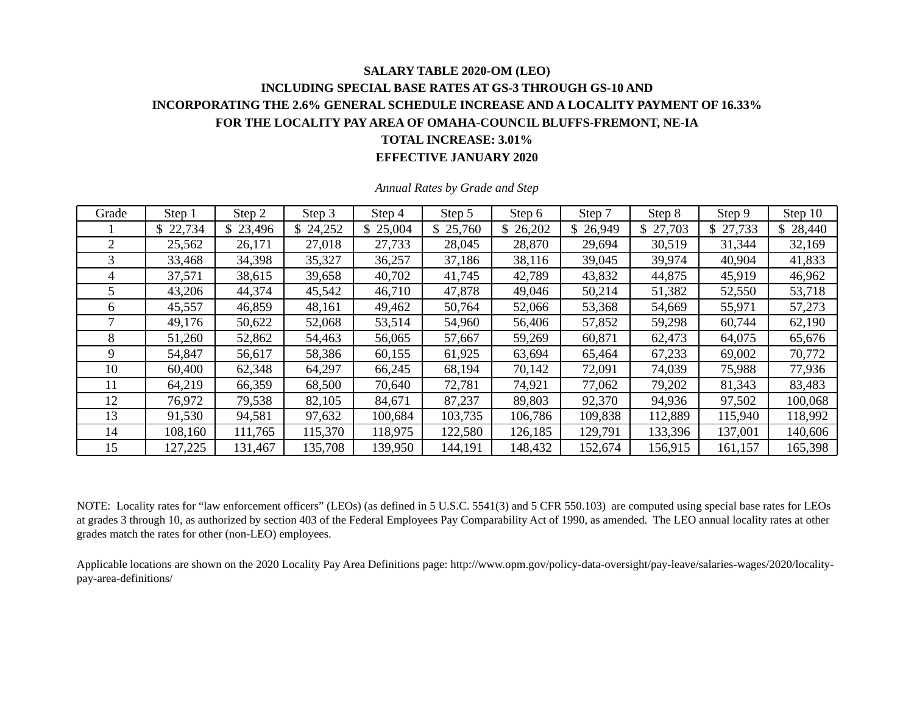### **SALARY TABLE 2020-OM (LEO) INCLUDING SPECIAL BASE RATES AT GS-3 THROUGH GS-10 AND INCORPORATING THE 2.6% GENERAL SCHEDULE INCREASE AND A LOCALITY PAYMENT OF 16.33% FOR THE LOCALITY PAY AREA OF OMAHA-COUNCIL BLUFFS-FREMONT, NE-IA TOTAL INCREASE: 3.01% EFFECTIVE JANUARY 2020**

| Grade          | Step 1   | Step 2   | Step 3  | Step 4   | Step 5   | Step 6   | Step 7   | Step 8   | Step 9   | Step 10       |
|----------------|----------|----------|---------|----------|----------|----------|----------|----------|----------|---------------|
|                | \$22,734 | \$23,496 | 24,252  | \$25,004 | \$25,760 | \$26,202 | \$26,949 | \$27,703 | \$27,733 | 28,440<br>\$. |
| $\mathfrak{D}$ | 25,562   | 26,171   | 27,018  | 27,733   | 28,045   | 28,870   | 29,694   | 30,519   | 31,344   | 32,169        |
|                | 33,468   | 34,398   | 35,327  | 36,257   | 37,186   | 38,116   | 39,045   | 39,974   | 40,904   | 41,833        |
| 4              | 37,571   | 38,615   | 39,658  | 40,702   | 41,745   | 42,789   | 43,832   | 44,875   | 45,919   | 46,962        |
| 5              | 43,206   | 44,374   | 45,542  | 46,710   | 47,878   | 49,046   | 50,214   | 51,382   | 52,550   | 53,718        |
| 6              | 45,557   | 46,859   | 48,161  | 49,462   | 50,764   | 52,066   | 53,368   | 54,669   | 55,971   | 57,273        |
|                | 49,176   | 50,622   | 52,068  | 53,514   | 54,960   | 56,406   | 57,852   | 59,298   | 60,744   | 62,190        |
| 8              | 51,260   | 52,862   | 54,463  | 56,065   | 57,667   | 59,269   | 60,871   | 62,473   | 64,075   | 65,676        |
| 9              | 54,847   | 56,617   | 58,386  | 60,155   | 61,925   | 63,694   | 65,464   | 67,233   | 69,002   | 70,772        |
| 10             | 60,400   | 62,348   | 64,297  | 66,245   | 68,194   | 70,142   | 72,091   | 74,039   | 75,988   | 77,936        |
| 11             | 64,219   | 66,359   | 68,500  | 70,640   | 72,781   | 74,921   | 77,062   | 79,202   | 81,343   | 83,483        |
| 12             | 76,972   | 79,538   | 82,105  | 84,671   | 87,237   | 89,803   | 92,370   | 94,936   | 97,502   | 100,068       |
| 13             | 91,530   | 94,581   | 97,632  | 100,684  | 103,735  | 106,786  | 109,838  | 112,889  | 115,940  | 118,992       |
| 14             | 108,160  | 111,765  | 115,370 | 118,975  | 122,580  | 126,185  | 129,791  | 133,396  | 137,001  | 140,606       |
| 15             | 127,225  | 131,467  | 135,708 | 139,950  | 144,191  | 148,432  | 152,674  | 156,915  | 161,157  | 165,398       |

*Annual Rates by Grade and Step* 

NOTE: Locality rates for "law enforcement officers" (LEOs) (as defined in 5 U.S.C. 5541(3) and 5 CFR 550.103) are computed using special base rates for LEOs at grades 3 through 10, as authorized by section 403 of the Federal Employees Pay Comparability Act of 1990, as amended. The LEO annual locality rates at other grades match the rates for other (non-LEO) employees.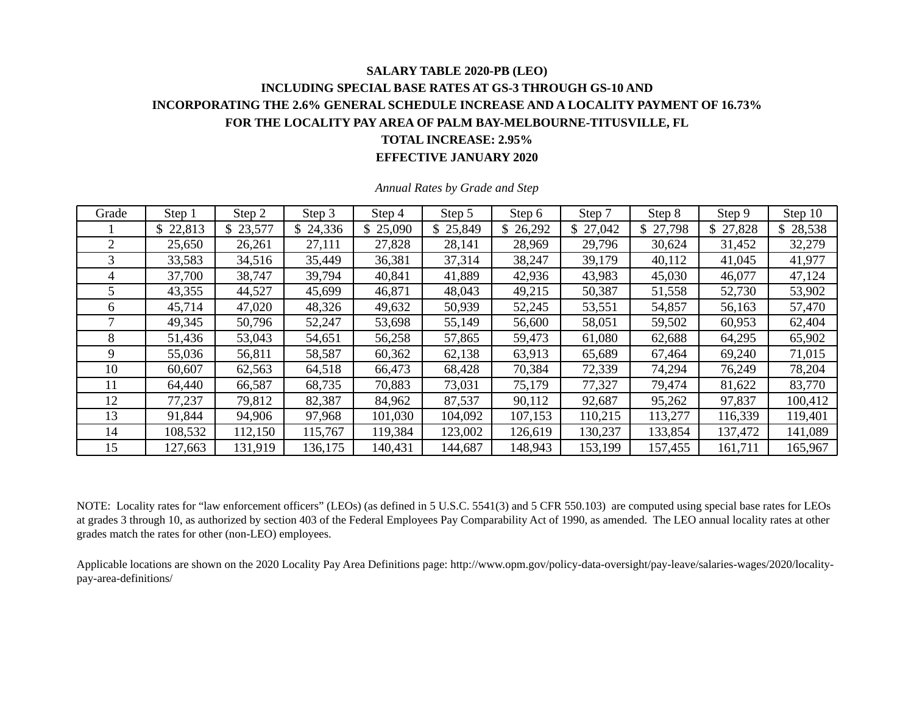## **SALARY TABLE 2020-PB (LEO) INCLUDING SPECIAL BASE RATES AT GS-3 THROUGH GS-10 AND INCORPORATING THE 2.6% GENERAL SCHEDULE INCREASE AND A LOCALITY PAYMENT OF 16.73% FOR THE LOCALITY PAY AREA OF PALM BAY-MELBOURNE-TITUSVILLE, FL TOTAL INCREASE: 2.95%**

**EFFECTIVE JANUARY 2020** 

| Grade | Step 1   | Step 2   | Step 3  | Step 4   | Step 5   | Step 6   | Step 7   | Step 8       | Step 9   | Step 10 |
|-------|----------|----------|---------|----------|----------|----------|----------|--------------|----------|---------|
|       | \$22,813 | \$23,577 | 24,336  | \$25,090 | \$25,849 | \$26,292 | \$27,042 | 27,798<br>\$ | \$27,828 | 28,538  |
| 2     | 25,650   | 26,261   | 27,111  | 27,828   | 28,141   | 28,969   | 29,796   | 30,624       | 31,452   | 32,279  |
| 3     | 33,583   | 34,516   | 35,449  | 36,381   | 37,314   | 38,247   | 39,179   | 40,112       | 41,045   | 41,977  |
| 4     | 37,700   | 38,747   | 39,794  | 40,841   | 41,889   | 42,936   | 43,983   | 45,030       | 46,077   | 47,124  |
| 5     | 43,355   | 44,527   | 45,699  | 46,871   | 48,043   | 49,215   | 50,387   | 51,558       | 52,730   | 53,902  |
| 6     | 45,714   | 47,020   | 48,326  | 49,632   | 50,939   | 52,245   | 53,551   | 54,857       | 56,163   | 57,470  |
|       | 49,345   | 50,796   | 52,247  | 53,698   | 55,149   | 56,600   | 58,051   | 59,502       | 60,953   | 62,404  |
| 8     | 51,436   | 53,043   | 54,651  | 56,258   | 57,865   | 59,473   | 61,080   | 62,688       | 64,295   | 65,902  |
| 9     | 55,036   | 56,811   | 58,587  | 60,362   | 62,138   | 63,913   | 65,689   | 67,464       | 69,240   | 71,015  |
| 10    | 60,607   | 62,563   | 64,518  | 66,473   | 68,428   | 70,384   | 72,339   | 74,294       | 76,249   | 78,204  |
| 11    | 64,440   | 66,587   | 68,735  | 70,883   | 73,031   | 75,179   | 77,327   | 79,474       | 81,622   | 83,770  |
| 12    | 77,237   | 79,812   | 82,387  | 84,962   | 87,537   | 90,112   | 92,687   | 95,262       | 97,837   | 100,412 |
| 13    | 91,844   | 94,906   | 97,968  | 101,030  | 104,092  | 107,153  | 110,215  | 113,277      | 116,339  | 119,401 |
| 14    | 108,532  | 112,150  | 115,767 | 119,384  | 123,002  | 126,619  | 130,237  | 133,854      | 137,472  | 141,089 |
| 15    | 127,663  | 131,919  | 136,175 | 140,431  | 144,687  | 148,943  | 153,199  | 157,455      | 161,711  | 165,967 |

*Annual Rates by Grade and Step* 

NOTE: Locality rates for "law enforcement officers" (LEOs) (as defined in 5 U.S.C. 5541(3) and 5 CFR 550.103) are computed using special base rates for LEOs at grades 3 through 10, as authorized by section 403 of the Federal Employees Pay Comparability Act of 1990, as amended. The LEO annual locality rates at other grades match the rates for other (non-LEO) employees.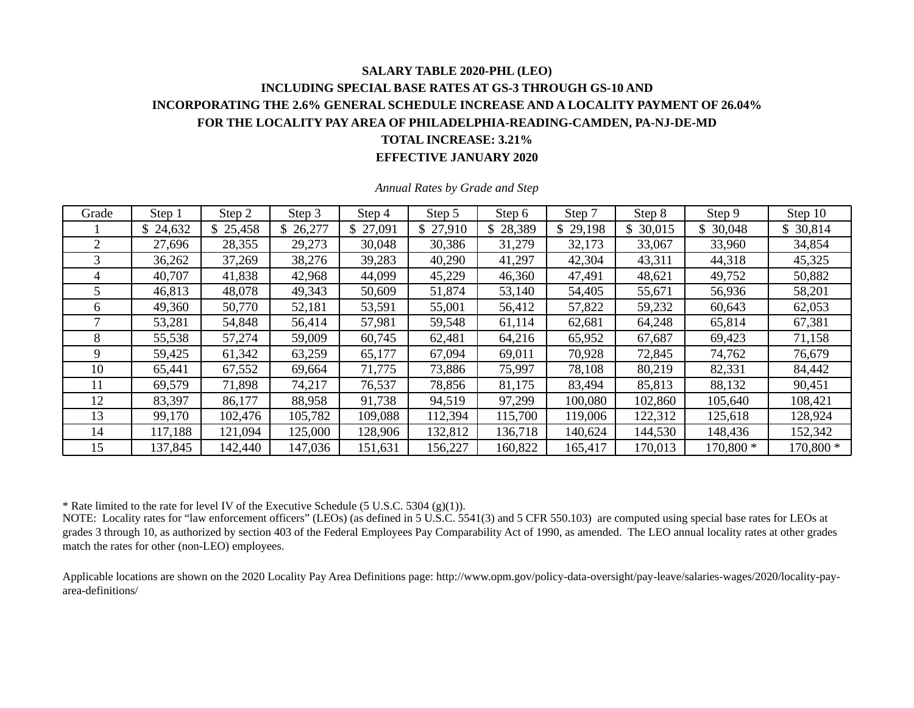### **SALARY TABLE 2020-PHL (LEO) INCLUDING SPECIAL BASE RATES AT GS-3 THROUGH GS-10 AND INCORPORATING THE 2.6% GENERAL SCHEDULE INCREASE AND A LOCALITY PAYMENT OF 26.04% FOR THE LOCALITY PAY AREA OF PHILADELPHIA-READING-CAMDEN, PA-NJ-DE-MD TOTAL INCREASE: 3.21% EFFECTIVE JANUARY 2020**

| Grade | Step 1   | Step 2   | Step 3   | Step 4   | Step 5   | Step 6   | Step 7   | Step 8  | Step 9    | Step 10    |
|-------|----------|----------|----------|----------|----------|----------|----------|---------|-----------|------------|
|       | \$24,632 | \$25,458 | \$26,277 | \$27,091 | \$27,910 | \$28,389 | \$29,198 | 30,015  | \$30,048  | \$30,814   |
| 2     | 27,696   | 28,355   | 29,273   | 30,048   | 30,386   | 31,279   | 32,173   | 33,067  | 33,960    | 34,854     |
| 3     | 36,262   | 37,269   | 38,276   | 39,283   | 40,290   | 41,297   | 42,304   | 43,311  | 44,318    | 45,325     |
| 4     | 40,707   | 41,838   | 42,968   | 44,099   | 45,229   | 46,360   | 47,491   | 48,621  | 49,752    | 50,882     |
|       | 46,813   | 48,078   | 49,343   | 50,609   | 51,874   | 53,140   | 54,405   | 55,671  | 56,936    | 58,201     |
| 6     | 49,360   | 50,770   | 52,181   | 53,591   | 55,001   | 56,412   | 57,822   | 59,232  | 60,643    | 62,053     |
|       | 53,281   | 54,848   | 56,414   | 57,981   | 59,548   | 61,114   | 62,681   | 64,248  | 65,814    | 67,381     |
| 8     | 55,538   | 57,274   | 59,009   | 60,745   | 62,481   | 64,216   | 65,952   | 67,687  | 69,423    | 71,158     |
| 9     | 59,425   | 61,342   | 63,259   | 65,177   | 67,094   | 69,011   | 70,928   | 72,845  | 74,762    | 76,679     |
| 10    | 65,441   | 67,552   | 69,664   | 71,775   | 73,886   | 75,997   | 78,108   | 80,219  | 82,331    | 84,442     |
| 11    | 69,579   | 71,898   | 74,217   | 76,537   | 78,856   | 81,175   | 83,494   | 85,813  | 88,132    | 90,451     |
| 12    | 83,397   | 86,177   | 88,958   | 91,738   | 94,519   | 97,299   | 100,080  | 102,860 | 105,640   | 108,421    |
| 13    | 99,170   | 102,476  | 105,782  | 109,088  | 112,394  | 115,700  | 119,006  | 122,312 | 125,618   | 128,924    |
| 14    | 117,188  | 121,094  | 125,000  | 128,906  | 132,812  | 136,718  | 140,624  | 144,530 | 148,436   | 152,342    |
| 15    | 137,845  | 142,440  | 147,036  | 151,631  | 156,227  | 160,822  | 165,417  | 170,013 | 170,800 * | $170,800*$ |

*Annual Rates by Grade and Step* 

\* Rate limited to the rate for level IV of the Executive Schedule (5 U.S.C. 5304 (g)(1)).

NOTE: Locality rates for "law enforcement officers" (LEOs) (as defined in 5 U.S.C. 5541(3) and 5 CFR 550.103) are computed using special base rates for LEOs at grades 3 through 10, as authorized by section 403 of the Federal Employees Pay Comparability Act of 1990, as amended. The LEO annual locality rates at other grades match the rates for other (non-LEO) employees.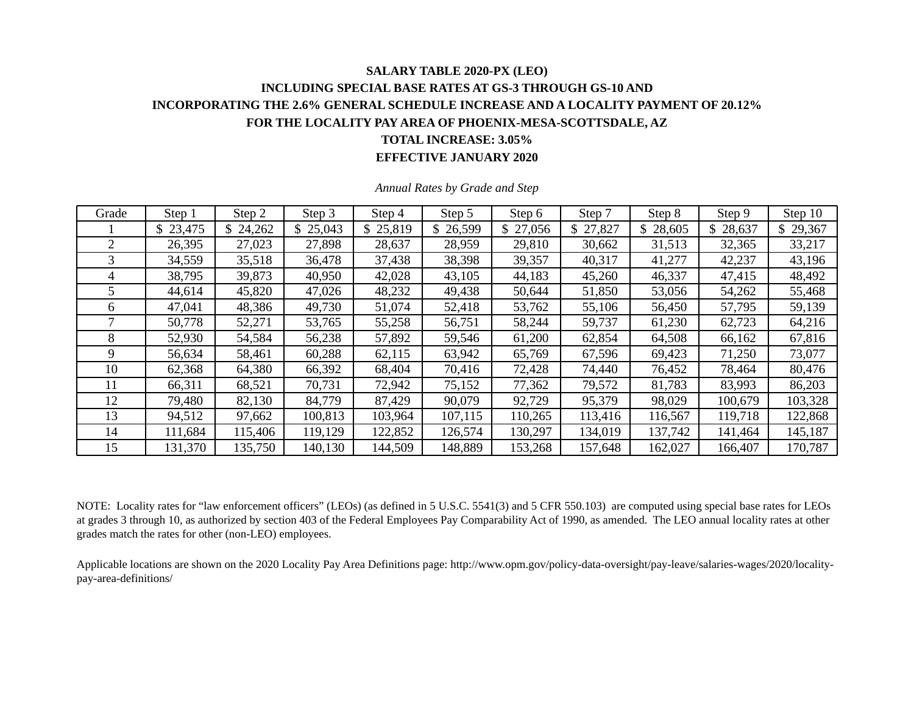# **SALARY TABLE 2020-PX (LEO) INCLUDING SPECIAL BASE RATES AT GS-3 THROUGH GS-10 AND INCORPORATING THE 2.6% GENERAL SCHEDULE INCREASE AND A LOCALITY PAYMENT OF 20.12% FOR THE LOCALITY PAY AREA OF PHOENIX-MESA-SCOTTSDALE, AZ TOTAL INCREASE: 3.05%**

**EFFECTIVE JANUARY 2020** 

| Grade | Step 1   | Step 2   | Step 3  | Step 4   | Step 5   | Step 6   | Step 7   | Step 8       | Step 9   | Step 10  |
|-------|----------|----------|---------|----------|----------|----------|----------|--------------|----------|----------|
|       | \$23,475 | \$24,262 | 25,043  | \$25,819 | \$26,599 | \$27,056 | \$27,827 | \$<br>28,605 | \$28,637 | \$29,367 |
| 2     | 26,395   | 27,023   | 27,898  | 28,637   | 28,959   | 29,810   | 30,662   | 31,513       | 32,365   | 33,217   |
| 3     | 34,559   | 35,518   | 36,478  | 37,438   | 38,398   | 39,357   | 40,317   | 41,277       | 42,237   | 43,196   |
| 4     | 38,795   | 39,873   | 40,950  | 42,028   | 43,105   | 44,183   | 45,260   | 46,337       | 47,415   | 48,492   |
| 5     | 44,614   | 45,820   | 47,026  | 48,232   | 49,438   | 50,644   | 51,850   | 53,056       | 54,262   | 55,468   |
| 6     | 47,041   | 48,386   | 49,730  | 51,074   | 52,418   | 53,762   | 55,106   | 56,450       | 57,795   | 59,139   |
|       | 50,778   | 52,271   | 53,765  | 55,258   | 56,751   | 58,244   | 59,737   | 61,230       | 62,723   | 64,216   |
| 8     | 52,930   | 54,584   | 56,238  | 57,892   | 59,546   | 61,200   | 62,854   | 64,508       | 66,162   | 67,816   |
| 9     | 56,634   | 58,461   | 60,288  | 62,115   | 63,942   | 65,769   | 67,596   | 69,423       | 71,250   | 73,077   |
| 10    | 62,368   | 64,380   | 66,392  | 68,404   | 70,416   | 72,428   | 74,440   | 76,452       | 78,464   | 80,476   |
| 11    | 66,311   | 68,521   | 70,731  | 72,942   | 75,152   | 77,362   | 79,572   | 81,783       | 83,993   | 86,203   |
| 12    | 79,480   | 82,130   | 84,779  | 87,429   | 90,079   | 92,729   | 95,379   | 98,029       | 100,679  | 103,328  |
| 13    | 94,512   | 97,662   | 100,813 | 103,964  | 107,115  | 110,265  | 113,416  | 116,567      | 119,718  | 122,868  |
| 14    | 111,684  | 115,406  | 119,129 | 122,852  | 126,574  | 130,297  | 134,019  | 137,742      | 141,464  | 145,187  |
| 15    | 131,370  | 135,750  | 140,130 | 144,509  | 148,889  | 153,268  | 157,648  | 162,027      | 166,407  | 170,787  |

*Annual Rates by Grade and Step* 

NOTE: Locality rates for "law enforcement officers" (LEOs) (as defined in 5 U.S.C. 5541(3) and 5 CFR 550.103) are computed using special base rates for LEOs at grades 3 through 10, as authorized by section 403 of the Federal Employees Pay Comparability Act of 1990, as amended. The LEO annual locality rates at other grades match the rates for other (non-LEO) employees.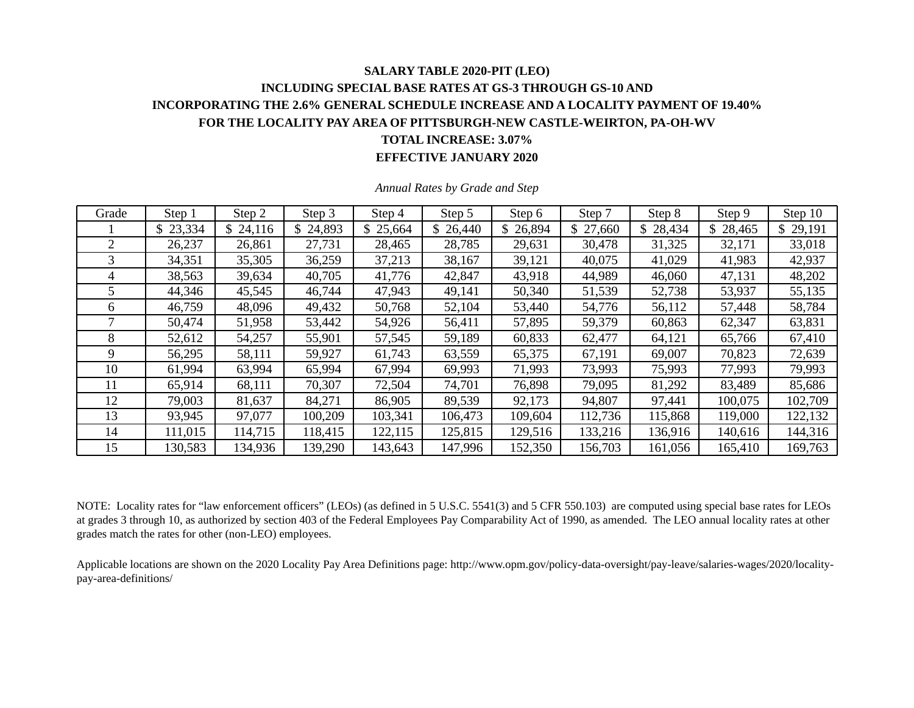### **SALARY TABLE 2020-PIT (LEO) INCLUDING SPECIAL BASE RATES AT GS-3 THROUGH GS-10 AND INCORPORATING THE 2.6% GENERAL SCHEDULE INCREASE AND A LOCALITY PAYMENT OF 19.40% FOR THE LOCALITY PAY AREA OF PITTSBURGH-NEW CASTLE-WEIRTON, PA-OH-WV TOTAL INCREASE: 3.07% EFFECTIVE JANUARY 2020**

| Grade          | Step 1   | Step 2   | Step 3  | Step 4   | Step 5   | Step 6   | Step 7   | Step 8  | Step 9   | Step 10  |
|----------------|----------|----------|---------|----------|----------|----------|----------|---------|----------|----------|
|                | \$23,334 | \$24,116 | 24,893  | \$25,664 | \$26,440 | \$26,894 | \$27,660 | 28,434  | \$28,465 | \$29,191 |
| $\overline{2}$ | 26,237   | 26,861   | 27,731  | 28,465   | 28,785   | 29,631   | 30,478   | 31,325  | 32,171   | 33,018   |
| 3              | 34,351   | 35,305   | 36,259  | 37,213   | 38,167   | 39,121   | 40,075   | 41,029  | 41,983   | 42,937   |
| 4              | 38,563   | 39,634   | 40,705  | 41,776   | 42,847   | 43,918   | 44,989   | 46,060  | 47,131   | 48,202   |
| 5.             | 44,346   | 45,545   | 46,744  | 47,943   | 49,141   | 50,340   | 51,539   | 52,738  | 53,937   | 55,135   |
| 6              | 46,759   | 48,096   | 49,432  | 50,768   | 52,104   | 53,440   | 54,776   | 56,112  | 57,448   | 58,784   |
|                | 50,474   | 51,958   | 53,442  | 54,926   | 56,411   | 57,895   | 59,379   | 60,863  | 62,347   | 63,831   |
| 8              | 52,612   | 54,257   | 55,901  | 57,545   | 59,189   | 60,833   | 62,477   | 64,121  | 65,766   | 67,410   |
| 9              | 56,295   | 58,111   | 59,927  | 61,743   | 63,559   | 65,375   | 67,191   | 69,007  | 70,823   | 72,639   |
| 10             | 61,994   | 63,994   | 65,994  | 67,994   | 69,993   | 71,993   | 73,993   | 75,993  | 77,993   | 79,993   |
| 11             | 65,914   | 68,111   | 70,307  | 72,504   | 74,701   | 76,898   | 79,095   | 81,292  | 83,489   | 85,686   |
| 12             | 79,003   | 81,637   | 84,271  | 86,905   | 89,539   | 92,173   | 94,807   | 97,441  | 100,075  | 102,709  |
| 13             | 93,945   | 97,077   | 100,209 | 103,341  | 106,473  | 109,604  | 112,736  | 115,868 | 119,000  | 122,132  |
| 14             | 111,015  | 114,715  | 118,415 | 122,115  | 125,815  | 129,516  | 133,216  | 136,916 | 140,616  | 144,316  |
| 15             | 130,583  | 134,936  | 139,290 | 143,643  | 147,996  | 152,350  | 156,703  | 161,056 | 165,410  | 169,763  |

*Annual Rates by Grade and Step* 

NOTE: Locality rates for "law enforcement officers" (LEOs) (as defined in 5 U.S.C. 5541(3) and 5 CFR 550.103) are computed using special base rates for LEOs at grades 3 through 10, as authorized by section 403 of the Federal Employees Pay Comparability Act of 1990, as amended. The LEO annual locality rates at other grades match the rates for other (non-LEO) employees.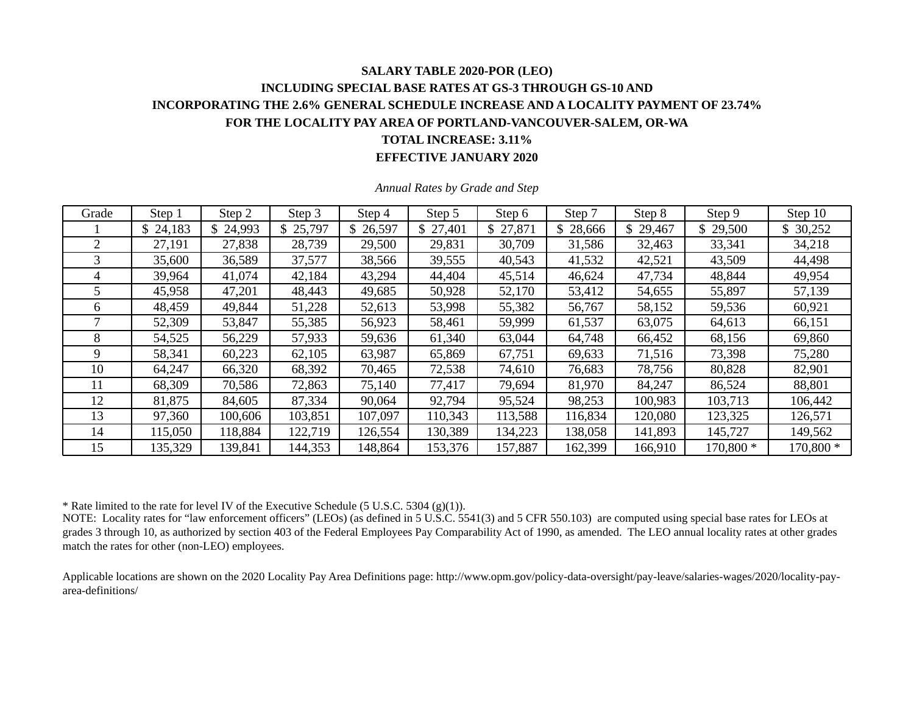# **SALARY TABLE 2020-POR (LEO) INCLUDING SPECIAL BASE RATES AT GS-3 THROUGH GS-10 AND INCORPORATING THE 2.6% GENERAL SCHEDULE INCREASE AND A LOCALITY PAYMENT OF 23.74% FOR THE LOCALITY PAY AREA OF PORTLAND-VANCOUVER-SALEM, OR-WA TOTAL INCREASE: 3.11%**

#### **EFFECTIVE JANUARY 2020**

| Grade        | Step 1   | Step 2   | Step 3   | Step 4   | Step 5   | Step 6    | Step 7   | Step 8       | Step 9    | Step 10   |
|--------------|----------|----------|----------|----------|----------|-----------|----------|--------------|-----------|-----------|
|              | \$24,183 | \$24,993 | \$25,797 | \$26,597 | \$27,401 | \$ 27,871 | \$28,666 | \$<br>29,467 | \$29,500  | \$30,252  |
| 2            | 27,191   | 27,838   | 28,739   | 29,500   | 29,831   | 30,709    | 31,586   | 32,463       | 33,341    | 34,218    |
| 3            | 35,600   | 36,589   | 37,577   | 38,566   | 39,555   | 40,543    | 41,532   | 42,521       | 43,509    | 44,498    |
| 4            | 39,964   | 41,074   | 42,184   | 43,294   | 44,404   | 45,514    | 46,624   | 47,734       | 48,844    | 49,954    |
|              | 45,958   | 47,201   | 48,443   | 49,685   | 50,928   | 52,170    | 53,412   | 54,655       | 55,897    | 57,139    |
| <sub>0</sub> | 48,459   | 49,844   | 51,228   | 52,613   | 53,998   | 55,382    | 56,767   | 58,152       | 59,536    | 60,921    |
|              | 52,309   | 53,847   | 55,385   | 56,923   | 58,461   | 59,999    | 61,537   | 63,075       | 64,613    | 66,151    |
| 8            | 54,525   | 56,229   | 57,933   | 59,636   | 61,340   | 63,044    | 64,748   | 66,452       | 68,156    | 69,860    |
| 9            | 58,341   | 60,223   | 62,105   | 63,987   | 65,869   | 67,751    | 69,633   | 71,516       | 73,398    | 75,280    |
| 10           | 64,247   | 66,320   | 68,392   | 70,465   | 72,538   | 74,610    | 76,683   | 78,756       | 80,828    | 82,901    |
| 11           | 68,309   | 70,586   | 72,863   | 75,140   | 77,417   | 79,694    | 81,970   | 84,247       | 86,524    | 88,801    |
| 12           | 81,875   | 84,605   | 87,334   | 90,064   | 92,794   | 95,524    | 98,253   | 100,983      | 103,713   | 106,442   |
| 13           | 97,360   | 100,606  | 103,851  | 107,097  | 110,343  | 113,588   | 116,834  | 120,080      | 123,325   | 126,571   |
| 14           | 115,050  | 118,884  | 122,719  | 126,554  | 130,389  | 134,223   | 138,058  | 141,893      | 145,727   | 149,562   |
| 15           | 135,329  | 139,841  | 144,353  | 148,864  | 153,376  | 157,887   | 162,399  | 166,910      | 170,800 * | 170,800 * |

*Annual Rates by Grade and Step* 

\* Rate limited to the rate for level IV of the Executive Schedule (5 U.S.C. 5304 (g)(1)).

NOTE: Locality rates for "law enforcement officers" (LEOs) (as defined in 5 U.S.C. 5541(3) and 5 CFR 550.103) are computed using special base rates for LEOs at grades 3 through 10, as authorized by section 403 of the Federal Employees Pay Comparability Act of 1990, as amended. The LEO annual locality rates at other grades match the rates for other (non-LEO) employees.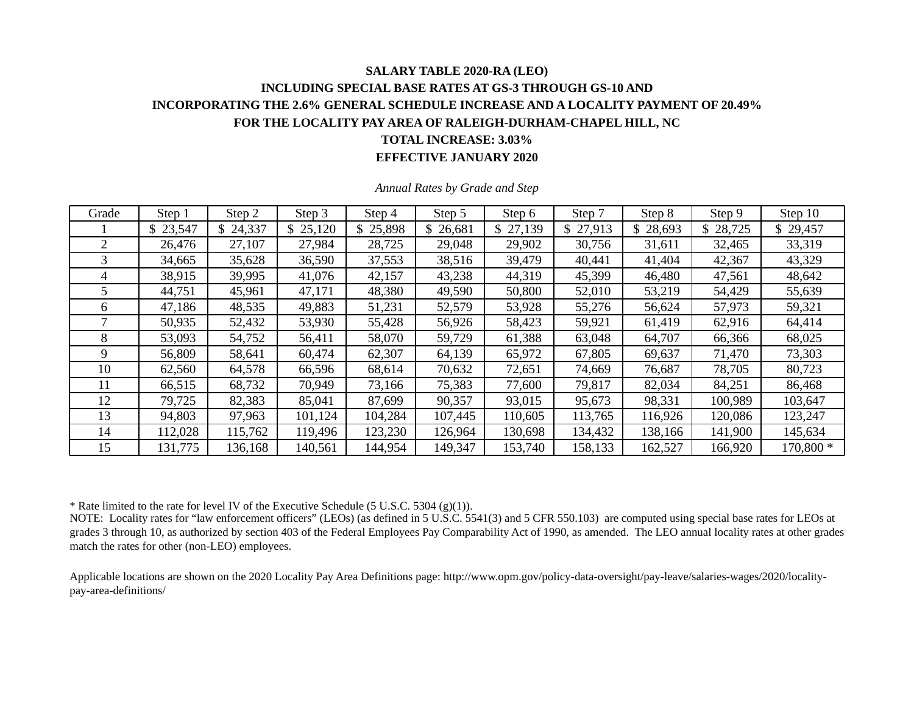# **SALARY TABLE 2020-RA (LEO) INCLUDING SPECIAL BASE RATES AT GS-3 THROUGH GS-10 AND INCORPORATING THE 2.6% GENERAL SCHEDULE INCREASE AND A LOCALITY PAYMENT OF 20.49% FOR THE LOCALITY PAY AREA OF RALEIGH-DURHAM-CHAPEL HILL, NC TOTAL INCREASE: 3.03%**

**EFFECTIVE JANUARY 2020** 

| Grade | Step 1   | Step 2   | Step 3   | Step 4   | Step 5   | Step 6   | Step 7   | Step 8   | Step 9  | Step 10   |
|-------|----------|----------|----------|----------|----------|----------|----------|----------|---------|-----------|
|       | \$23,547 | \$24,337 | \$25,120 | \$25,898 | \$26,681 | \$27,139 | \$27,913 | \$28,693 | 28,725  | \$29,457  |
| 2     | 26,476   | 27,107   | 27,984   | 28,725   | 29,048   | 29,902   | 30,756   | 31,611   | 32,465  | 33,319    |
| 3     | 34,665   | 35,628   | 36,590   | 37,553   | 38,516   | 39,479   | 40,441   | 41,404   | 42,367  | 43,329    |
| 4     | 38,915   | 39,995   | 41,076   | 42,157   | 43,238   | 44,319   | 45,399   | 46,480   | 47,561  | 48,642    |
| 5     | 44,751   | 45,961   | 47,171   | 48,380   | 49,590   | 50,800   | 52,010   | 53,219   | 54,429  | 55,639    |
| 6     | 47,186   | 48,535   | 49,883   | 51,231   | 52,579   | 53,928   | 55,276   | 56,624   | 57,973  | 59,321    |
|       | 50,935   | 52,432   | 53,930   | 55,428   | 56,926   | 58,423   | 59,921   | 61,419   | 62,916  | 64,414    |
| 8     | 53,093   | 54,752   | 56,411   | 58,070   | 59,729   | 61,388   | 63,048   | 64,707   | 66,366  | 68,025    |
| 9     | 56,809   | 58,641   | 60,474   | 62,307   | 64,139   | 65,972   | 67,805   | 69,637   | 71,470  | 73,303    |
| 10    | 62,560   | 64,578   | 66,596   | 68,614   | 70,632   | 72,651   | 74,669   | 76,687   | 78,705  | 80,723    |
| 11    | 66,515   | 68,732   | 70,949   | 73,166   | 75,383   | 77,600   | 79,817   | 82,034   | 84,251  | 86,468    |
| 12    | 79,725   | 82,383   | 85,041   | 87,699   | 90,357   | 93,015   | 95,673   | 98,331   | 100,989 | 103,647   |
| 13    | 94,803   | 97,963   | 101,124  | 104,284  | 107,445  | 110,605  | 113,765  | 116,926  | 120,086 | 123,247   |
| 14    | 112,028  | 115,762  | 119,496  | 123,230  | 126,964  | 130,698  | 134,432  | 138,166  | 141,900 | 145,634   |
| 15    | 131,775  | 136,168  | 140,561  | 144,954  | 149,347  | 153,740  | 158,133  | 162,527  | 166,920 | 170,800 * |

*Annual Rates by Grade and Step* 

\* Rate limited to the rate for level IV of the Executive Schedule (5 U.S.C. 5304 (g)(1)).

NOTE: Locality rates for "law enforcement officers" (LEOs) (as defined in 5 U.S.C. 5541(3) and 5 CFR 550.103) are computed using special base rates for LEOs at grades 3 through 10, as authorized by section 403 of the Federal Employees Pay Comparability Act of 1990, as amended. The LEO annual locality rates at other grades match the rates for other (non-LEO) employees.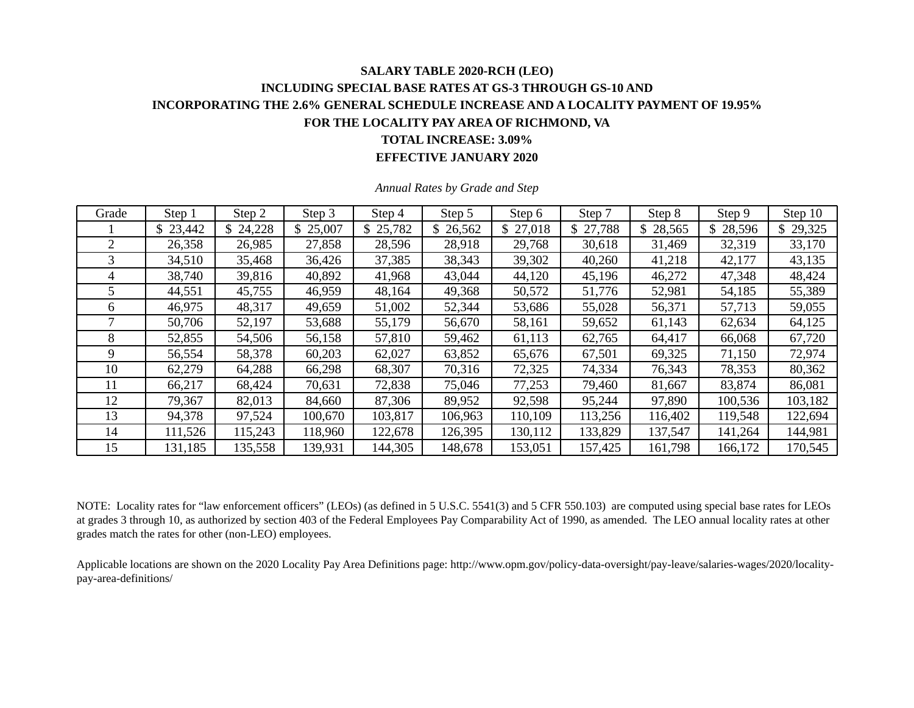## **SALARY TABLE 2020-RCH (LEO) INCLUDING SPECIAL BASE RATES AT GS-3 THROUGH GS-10 AND INCORPORATING THE 2.6% GENERAL SCHEDULE INCREASE AND A LOCALITY PAYMENT OF 19.95% FOR THE LOCALITY PAY AREA OF RICHMOND, VA TOTAL INCREASE: 3.09%**

**EFFECTIVE JANUARY 2020** 

| Grade | Step 1   | Step 2   | Step 3  | Step 4   | Step 5   | Step 6   | Step 7   | Step 8  | Step 9   | Step 10  |
|-------|----------|----------|---------|----------|----------|----------|----------|---------|----------|----------|
|       | \$23,442 | \$24,228 | 25,007  | \$25,782 | \$26,562 | \$27,018 | \$27,788 | 28,565  | \$28,596 | \$29,325 |
| 2     | 26,358   | 26,985   | 27,858  | 28,596   | 28,918   | 29,768   | 30,618   | 31,469  | 32,319   | 33,170   |
| 3     | 34,510   | 35,468   | 36,426  | 37,385   | 38,343   | 39,302   | 40,260   | 41,218  | 42,177   | 43,135   |
| 4     | 38,740   | 39,816   | 40,892  | 41,968   | 43,044   | 44,120   | 45,196   | 46,272  | 47,348   | 48,424   |
| 5     | 44,551   | 45,755   | 46,959  | 48,164   | 49,368   | 50,572   | 51,776   | 52,981  | 54,185   | 55,389   |
| 6     | 46,975   | 48,317   | 49,659  | 51,002   | 52,344   | 53,686   | 55,028   | 56,371  | 57,713   | 59,055   |
|       | 50,706   | 52,197   | 53,688  | 55,179   | 56,670   | 58,161   | 59,652   | 61,143  | 62,634   | 64,125   |
| 8     | 52,855   | 54,506   | 56,158  | 57,810   | 59,462   | 61,113   | 62,765   | 64,417  | 66,068   | 67,720   |
| 9     | 56,554   | 58,378   | 60,203  | 62,027   | 63,852   | 65,676   | 67,501   | 69,325  | 71,150   | 72,974   |
| 10    | 62,279   | 64,288   | 66,298  | 68,307   | 70,316   | 72,325   | 74,334   | 76,343  | 78,353   | 80,362   |
| 11    | 66,217   | 68,424   | 70,631  | 72,838   | 75,046   | 77,253   | 79,460   | 81,667  | 83,874   | 86,081   |
| 12    | 79,367   | 82,013   | 84,660  | 87,306   | 89,952   | 92,598   | 95,244   | 97,890  | 100,536  | 103,182  |
| 13    | 94,378   | 97,524   | 100,670 | 103,817  | 106,963  | 110,109  | 113,256  | 116,402 | 119,548  | 122,694  |
| 14    | 111,526  | 115,243  | 118,960 | 122,678  | 126,395  | 130,112  | 133,829  | 137,547 | 141,264  | 144,981  |
| 15    | 131,185  | 135,558  | 139,931 | 144,305  | 148,678  | 153,051  | 157,425  | 161,798 | 166,172  | 170,545  |

*Annual Rates by Grade and Step* 

NOTE: Locality rates for "law enforcement officers" (LEOs) (as defined in 5 U.S.C. 5541(3) and 5 CFR 550.103) are computed using special base rates for LEOs at grades 3 through 10, as authorized by section 403 of the Federal Employees Pay Comparability Act of 1990, as amended. The LEO annual locality rates at other grades match the rates for other (non-LEO) employees.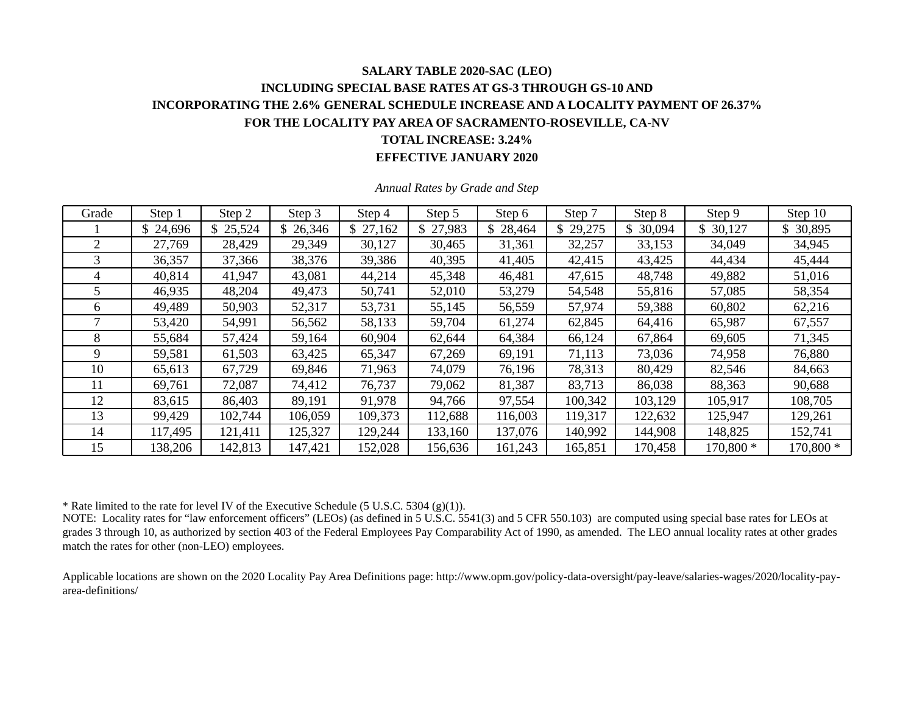### **SALARY TABLE 2020-SAC (LEO) INCLUDING SPECIAL BASE RATES AT GS-3 THROUGH GS-10 AND INCORPORATING THE 2.6% GENERAL SCHEDULE INCREASE AND A LOCALITY PAYMENT OF 26.37% FOR THE LOCALITY PAY AREA OF SACRAMENTO-ROSEVILLE, CA-NV TOTAL INCREASE: 3.24% EFFECTIVE JANUARY 2020**

| Grade | Step 1  | Step 2   | Step 3   | Step 4   | Step 5   | Step 6   | Step 7   | Step 8       | Step 9    | Step 10   |
|-------|---------|----------|----------|----------|----------|----------|----------|--------------|-----------|-----------|
|       | 24,696  | \$25,524 | \$26,346 | \$27,162 | \$27,983 | \$28,464 | \$29,275 | \$<br>30,094 | \$30,127  | \$ 30,895 |
| 2     | 27,769  | 28,429   | 29,349   | 30,127   | 30,465   | 31,361   | 32,257   | 33,153       | 34,049    | 34,945    |
| 3     | 36,357  | 37,366   | 38,376   | 39,386   | 40,395   | 41,405   | 42,415   | 43,425       | 44,434    | 45,444    |
| 4     | 40,814  | 41,947   | 43,081   | 44,214   | 45,348   | 46,481   | 47,615   | 48,748       | 49,882    | 51,016    |
|       | 46,935  | 48,204   | 49,473   | 50,741   | 52,010   | 53,279   | 54,548   | 55,816       | 57,085    | 58,354    |
| 6     | 49,489  | 50,903   | 52,317   | 53,731   | 55,145   | 56,559   | 57,974   | 59,388       | 60,802    | 62,216    |
|       | 53,420  | 54,991   | 56,562   | 58,133   | 59,704   | 61,274   | 62,845   | 64,416       | 65,987    | 67,557    |
| 8     | 55,684  | 57,424   | 59,164   | 60,904   | 62,644   | 64,384   | 66,124   | 67,864       | 69,605    | 71,345    |
| 9     | 59,581  | 61,503   | 63,425   | 65,347   | 67,269   | 69,191   | 71,113   | 73,036       | 74,958    | 76,880    |
| 10    | 65,613  | 67,729   | 69,846   | 71,963   | 74,079   | 76,196   | 78,313   | 80,429       | 82,546    | 84,663    |
| 11    | 69,761  | 72,087   | 74,412   | 76,737   | 79,062   | 81,387   | 83,713   | 86,038       | 88,363    | 90,688    |
| 12    | 83,615  | 86,403   | 89,191   | 91,978   | 94,766   | 97,554   | 100,342  | 103,129      | 105,917   | 108,705   |
| 13    | 99,429  | 102,744  | 106,059  | 109,373  | 112,688  | 116,003  | 119,317  | 122,632      | 125,947   | 129,261   |
| 14    | 117,495 | 121,411  | 125,327  | 129,244  | 133,160  | 137,076  | 140,992  | 144,908      | 148,825   | 152,741   |
| 15    | 138,206 | 142,813  | 147,421  | 152,028  | 156,636  | 161,243  | 165,851  | 170,458      | 170,800 * | 170,800 * |

*Annual Rates by Grade and Step* 

\* Rate limited to the rate for level IV of the Executive Schedule (5 U.S.C. 5304 (g)(1)).

NOTE: Locality rates for "law enforcement officers" (LEOs) (as defined in 5 U.S.C. 5541(3) and 5 CFR 550.103) are computed using special base rates for LEOs at grades 3 through 10, as authorized by section 403 of the Federal Employees Pay Comparability Act of 1990, as amended. The LEO annual locality rates at other grades match the rates for other (non-LEO) employees.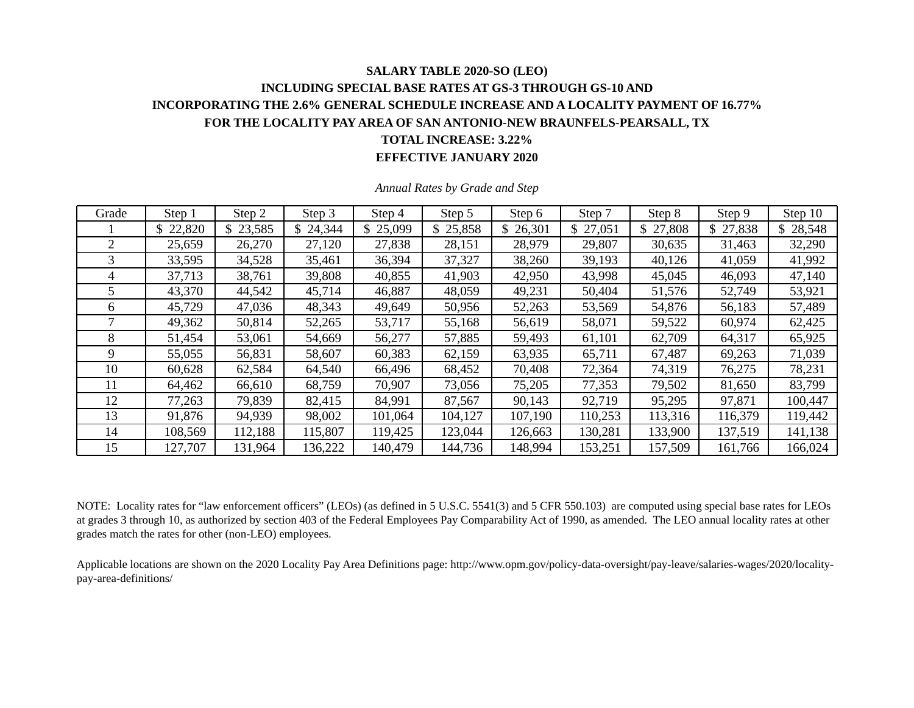### **SALARY TABLE 2020-SO (LEO) INCLUDING SPECIAL BASE RATES AT GS-3 THROUGH GS-10 AND INCORPORATING THE 2.6% GENERAL SCHEDULE INCREASE AND A LOCALITY PAYMENT OF 16.77% FOR THE LOCALITY PAY AREA OF SAN ANTONIO-NEW BRAUNFELS-PEARSALL, TX TOTAL INCREASE: 3.22% EFFECTIVE JANUARY 2020**

| Grade | Step 1   | Step 2   | Step 3  | Step 4   | Step 5   | Step 6   | Step 7   | Step 8       | Step 9   | Step 10  |
|-------|----------|----------|---------|----------|----------|----------|----------|--------------|----------|----------|
|       | \$22,820 | \$23,585 | 24,344  | \$25,099 | \$25,858 | \$26,301 | \$27,051 | 27,808<br>\$ | \$27,838 | \$28,548 |
| 2     | 25,659   | 26,270   | 27,120  | 27,838   | 28,151   | 28,979   | 29,807   | 30,635       | 31,463   | 32,290   |
| 3     | 33,595   | 34,528   | 35,461  | 36,394   | 37,327   | 38,260   | 39,193   | 40,126       | 41,059   | 41,992   |
| 4     | 37,713   | 38,761   | 39,808  | 40,855   | 41,903   | 42,950   | 43,998   | 45,045       | 46,093   | 47,140   |
|       | 43,370   | 44,542   | 45,714  | 46,887   | 48,059   | 49,231   | 50,404   | 51,576       | 52,749   | 53,921   |
| 6     | 45,729   | 47,036   | 48,343  | 49,649   | 50,956   | 52,263   | 53,569   | 54,876       | 56,183   | 57,489   |
|       | 49,362   | 50,814   | 52,265  | 53,717   | 55,168   | 56,619   | 58,071   | 59,522       | 60,974   | 62,425   |
| 8     | 51,454   | 53,061   | 54,669  | 56,277   | 57,885   | 59,493   | 61,101   | 62,709       | 64,317   | 65,925   |
| 9     | 55,055   | 56,831   | 58,607  | 60,383   | 62,159   | 63,935   | 65,711   | 67,487       | 69,263   | 71,039   |
| 10    | 60,628   | 62,584   | 64,540  | 66,496   | 68,452   | 70,408   | 72,364   | 74,319       | 76,275   | 78,231   |
| 11    | 64,462   | 66,610   | 68,759  | 70,907   | 73,056   | 75,205   | 77,353   | 79,502       | 81,650   | 83,799   |
| 12    | 77,263   | 79,839   | 82,415  | 84,991   | 87,567   | 90,143   | 92,719   | 95,295       | 97,871   | 100,447  |
| 13    | 91,876   | 94,939   | 98,002  | 101,064  | 104,127  | 107,190  | 110,253  | 113,316      | 116,379  | 119,442  |
| 14    | 108,569  | 112,188  | 115,807 | 119,425  | 123,044  | 126,663  | 130,281  | 133,900      | 137,519  | 141,138  |
| 15    | 127,707  | 131,964  | 136,222 | 140,479  | 144,736  | 148,994  | 153,251  | 157,509      | 161,766  | 166,024  |

*Annual Rates by Grade and Step* 

NOTE: Locality rates for "law enforcement officers" (LEOs) (as defined in 5 U.S.C. 5541(3) and 5 CFR 550.103) are computed using special base rates for LEOs at grades 3 through 10, as authorized by section 403 of the Federal Employees Pay Comparability Act of 1990, as amended. The LEO annual locality rates at other grades match the rates for other (non-LEO) employees.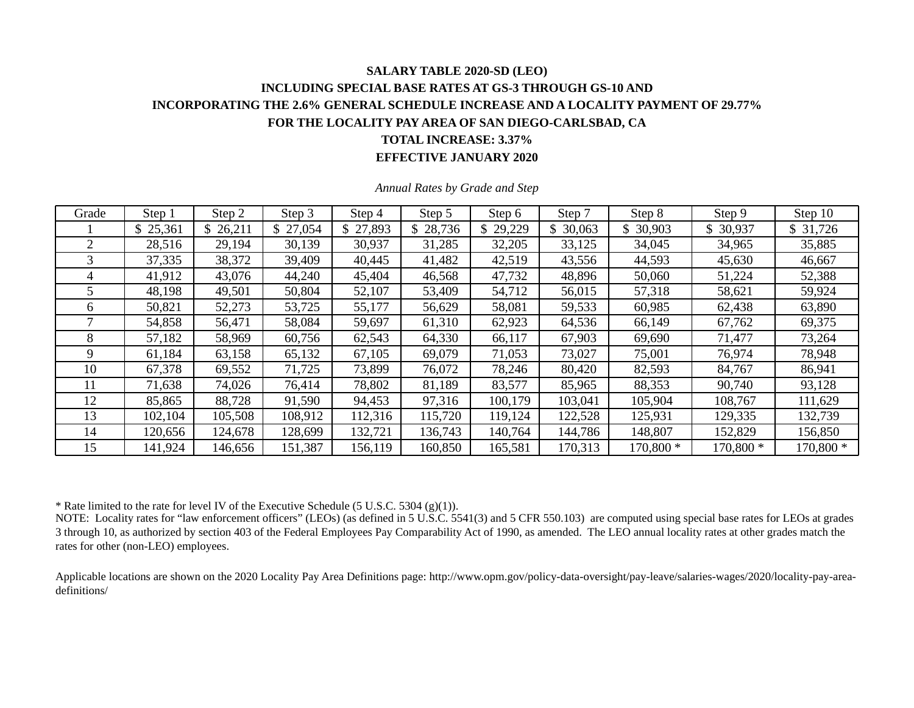### **SALARY TABLE 2020-SD (LEO) INCLUDING SPECIAL BASE RATES AT GS-3 THROUGH GS-10 AND INCORPORATING THE 2.6% GENERAL SCHEDULE INCREASE AND A LOCALITY PAYMENT OF 29.77% FOR THE LOCALITY PAY AREA OF SAN DIEGO-CARLSBAD, CA TOTAL INCREASE: 3.37% EFFECTIVE JANUARY 2020**

| Grade | Step 1   | Step 2  | Step 3   | Step 4   | Step 5   | Step 6  | Step 7   | Step 8    | Step 9    | Step 10   |
|-------|----------|---------|----------|----------|----------|---------|----------|-----------|-----------|-----------|
|       | \$25,361 | 26,211  | \$27,054 | \$27,893 | \$28,736 | 29,229  | \$30,063 | \$30,903  | \$ 30,937 | \$31,726  |
| 2     | 28,516   | 29,194  | 30,139   | 30,937   | 31,285   | 32,205  | 33,125   | 34,045    | 34,965    | 35,885    |
| 3     | 37,335   | 38,372  | 39,409   | 40,445   | 41,482   | 42,519  | 43,556   | 44,593    | 45,630    | 46,667    |
| 4     | 41,912   | 43,076  | 44,240   | 45,404   | 46,568   | 47,732  | 48,896   | 50,060    | 51,224    | 52,388    |
|       | 48,198   | 49,501  | 50,804   | 52,107   | 53,409   | 54,712  | 56,015   | 57,318    | 58,621    | 59,924    |
| 6     | 50,821   | 52,273  | 53,725   | 55,177   | 56,629   | 58,081  | 59,533   | 60,985    | 62,438    | 63,890    |
|       | 54,858   | 56,471  | 58,084   | 59,697   | 61,310   | 62,923  | 64,536   | 66,149    | 67,762    | 69,375    |
| 8     | 57,182   | 58,969  | 60,756   | 62,543   | 64,330   | 66,117  | 67,903   | 69,690    | 71,477    | 73,264    |
| 9     | 61,184   | 63,158  | 65,132   | 67,105   | 69,079   | 71,053  | 73,027   | 75,001    | 76,974    | 78,948    |
| 10    | 67,378   | 69,552  | 71,725   | 73,899   | 76,072   | 78,246  | 80,420   | 82,593    | 84,767    | 86,941    |
| 11    | 71,638   | 74,026  | 76,414   | 78,802   | 81,189   | 83,577  | 85,965   | 88,353    | 90,740    | 93,128    |
| 12    | 85,865   | 88,728  | 91,590   | 94,453   | 97,316   | 100,179 | 103,041  | 105,904   | 108,767   | 111,629   |
| 13    | 102,104  | 105,508 | 108,912  | 112,316  | 115,720  | 119,124 | 122,528  | 125,931   | 129,335   | 132,739   |
| 14    | 120,656  | 124,678 | 128,699  | 132,721  | 136,743  | 140,764 | 144,786  | 148,807   | 152,829   | 156,850   |
| 15    | 141,924  | 146,656 | 151,387  | 156,119  | 160,850  | 165,581 | 170,313  | 170,800 * | 170,800 * | 170,800 * |

*Annual Rates by Grade and Step* 

\* Rate limited to the rate for level IV of the Executive Schedule (5 U.S.C. 5304 (g)(1)).

NOTE: Locality rates for "law enforcement officers" (LEOs) (as defined in 5 U.S.C.  $5541(3)$  and 5 CFR 550.103) are computed using special base rates for LEOs at grades 3 through 10, as authorized by section 403 of the Federal Employees Pay Comparability Act of 1990, as amended. The LEO annual locality rates at other grades match the rates for other (non-LEO) employees.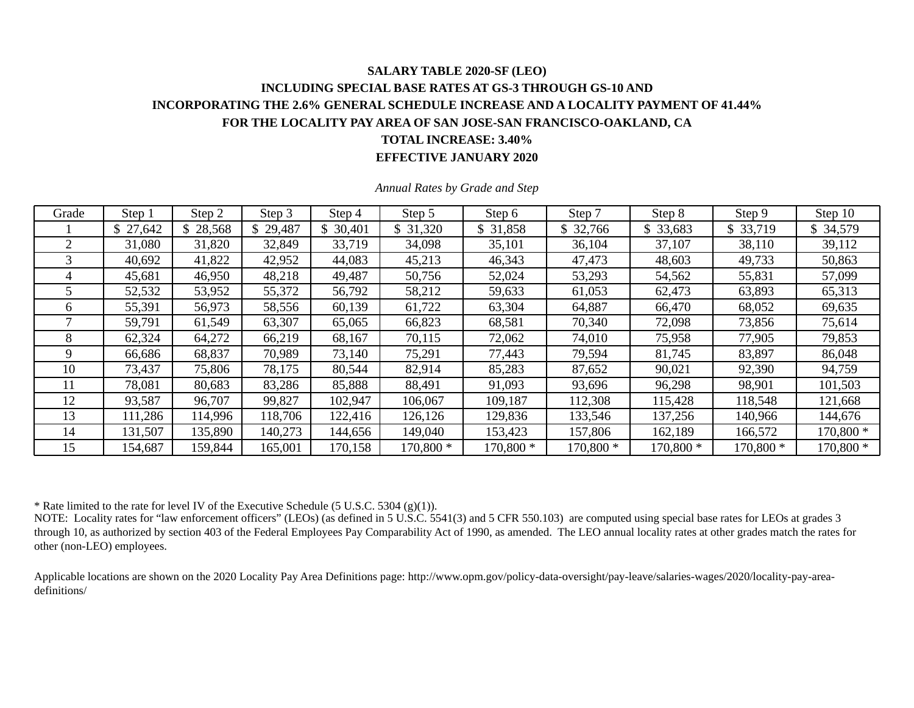### **SALARY TABLE 2020-SF (LEO) INCLUDING SPECIAL BASE RATES AT GS-3 THROUGH GS-10 AND INCORPORATING THE 2.6% GENERAL SCHEDULE INCREASE AND A LOCALITY PAYMENT OF 41.44% FOR THE LOCALITY PAY AREA OF SAN JOSE-SAN FRANCISCO-OAKLAND, CA TOTAL INCREASE: 3.40% EFFECTIVE JANUARY 2020**

| Grade | Step 1    | Step 2   | Step 3   | Step 4    | Step 5    | Step 6    | Step 7     | Step 8    | Step 9     | Step 10    |
|-------|-----------|----------|----------|-----------|-----------|-----------|------------|-----------|------------|------------|
|       | \$ 27,642 | \$28,568 | \$29,487 | \$ 30,401 | \$31,320  | \$ 31,858 | \$32,766   | \$ 33,683 | \$33,719   | \$ 34,579  |
| 2     | 31,080    | 31,820   | 32,849   | 33,719    | 34,098    | 35,101    | 36,104     | 37,107    | 38,110     | 39,112     |
|       | 40,692    | 41,822   | 42,952   | 44,083    | 45,213    | 46,343    | 47,473     | 48,603    | 49,733     | 50,863     |
| 4     | 45,681    | 46,950   | 48,218   | 49,487    | 50,756    | 52,024    | 53,293     | 54,562    | 55,831     | 57,099     |
|       | 52,532    | 53,952   | 55,372   | 56,792    | 58,212    | 59,633    | 61,053     | 62,473    | 63,893     | 65,313     |
| 6     | 55,391    | 56,973   | 58,556   | 60,139    | 61,722    | 63,304    | 64,887     | 66,470    | 68,052     | 69,635     |
|       | 59,791    | 61,549   | 63,307   | 65,065    | 66,823    | 68,581    | 70,340     | 72,098    | 73,856     | 75,614     |
| 8     | 62,324    | 64,272   | 66,219   | 68,167    | 70,115    | 72,062    | 74,010     | 75,958    | 77,905     | 79,853     |
| 9     | 66,686    | 68,837   | 70,989   | 73,140    | 75,291    | 77,443    | 79,594     | 81,745    | 83,897     | 86,048     |
| 10    | 73,437    | 75,806   | 78,175   | 80,544    | 82,914    | 85,283    | 87,652     | 90,021    | 92,390     | 94,759     |
|       | 78,081    | 80,683   | 83,286   | 85,888    | 88,491    | 91,093    | 93,696     | 96,298    | 98,901     | 101,503    |
| 12    | 93,587    | 96,707   | 99,827   | 102,947   | 106,067   | 109,187   | 112,308    | 115,428   | 118,548    | 121,668    |
| 13    | 111,286   | 114,996  | 118,706  | 122,416   | 126,126   | 129,836   | 133,546    | 137,256   | 140,966    | 144,676    |
| 14    | 131,507   | 135,890  | 140,273  | 144,656   | 149,040   | 153,423   | 157,806    | 162,189   | 166,572    | $170,800*$ |
| 15    | 154,687   | 159,844  | 165,001  | 170,158   | 170,800 * | 170,800 * | $170,800*$ | 170,800 * | $170,800*$ | $170,800*$ |

*Annual Rates by Grade and Step* 

\* Rate limited to the rate for level IV of the Executive Schedule (5 U.S.C. 5304 (g)(1)).

NOTE: Locality rates for "law enforcement officers" (LEOs) (as defined in 5 U.S.C. 5541(3) and 5 CFR 550.103) are computed using special base rates for LEOs at grades 3 through 10, as authorized by section 403 of the Federal Employees Pay Comparability Act of 1990, as amended. The LEO annual locality rates at other grades match the rates for other (non-LEO) employees.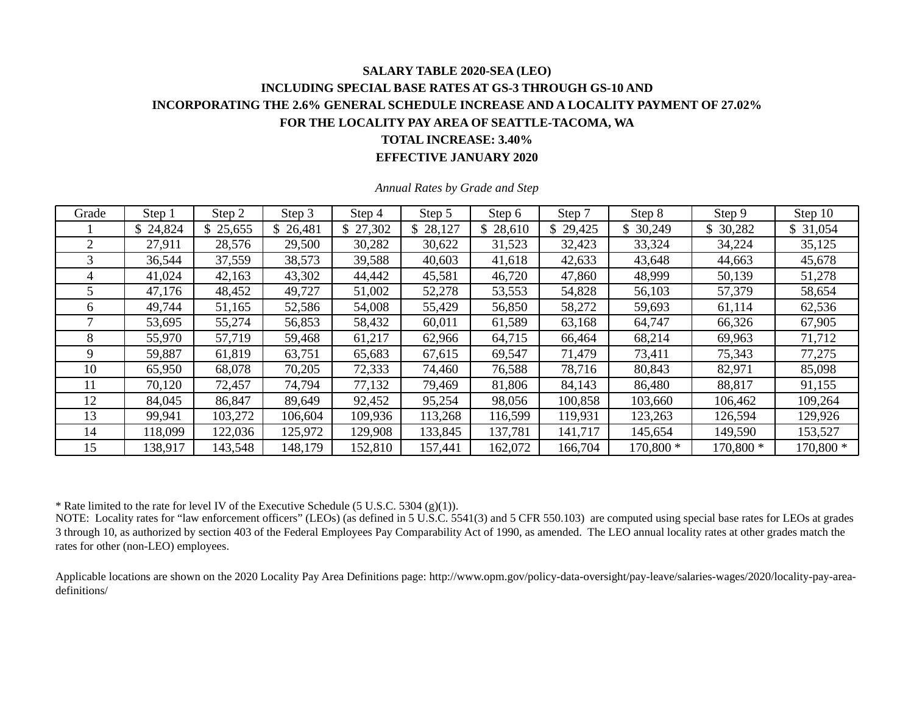### **SALARY TABLE 2020-SEA (LEO) INCLUDING SPECIAL BASE RATES AT GS-3 THROUGH GS-10 AND INCORPORATING THE 2.6% GENERAL SCHEDULE INCREASE AND A LOCALITY PAYMENT OF 27.02% FOR THE LOCALITY PAY AREA OF SEATTLE-TACOMA, WA TOTAL INCREASE: 3.40% EFFECTIVE JANUARY 2020**

| Grade | Step 1   | Step 2   | Step 3   | Step 4   | Step 5   | Step 6   | Step 7   | Step 8    | Step 9    | Step 10   |
|-------|----------|----------|----------|----------|----------|----------|----------|-----------|-----------|-----------|
|       | \$24,824 | \$25,655 | \$26,481 | \$27,302 | \$28,127 | \$28,610 | \$29,425 | 30,249    | \$30,282  | \$31,054  |
| 2     | 27,911   | 28,576   | 29,500   | 30,282   | 30,622   | 31,523   | 32,423   | 33,324    | 34,224    | 35,125    |
| 3     | 36,544   | 37,559   | 38,573   | 39,588   | 40,603   | 41,618   | 42,633   | 43,648    | 44,663    | 45,678    |
|       | 41,024   | 42,163   | 43,302   | 44,442   | 45,581   | 46,720   | 47,860   | 48,999    | 50,139    | 51,278    |
|       | 47,176   | 48,452   | 49,727   | 51,002   | 52,278   | 53,553   | 54,828   | 56,103    | 57,379    | 58,654    |
| 6     | 49,744   | 51,165   | 52,586   | 54,008   | 55,429   | 56,850   | 58,272   | 59,693    | 61,114    | 62,536    |
|       | 53,695   | 55,274   | 56,853   | 58,432   | 60,011   | 61,589   | 63,168   | 64,747    | 66,326    | 67,905    |
| 8     | 55,970   | 57,719   | 59,468   | 61,217   | 62,966   | 64,715   | 66,464   | 68,214    | 69,963    | 71,712    |
| 9     | 59,887   | 61,819   | 63,751   | 65,683   | 67,615   | 69,547   | 71,479   | 73,411    | 75,343    | 77,275    |
| 10    | 65,950   | 68,078   | 70,205   | 72,333   | 74,460   | 76,588   | 78,716   | 80,843    | 82,971    | 85,098    |
| 11    | 70,120   | 72,457   | 74,794   | 77,132   | 79,469   | 81,806   | 84,143   | 86,480    | 88,817    | 91,155    |
| 12    | 84,045   | 86,847   | 89,649   | 92,452   | 95,254   | 98,056   | 100,858  | 103,660   | 106,462   | 109,264   |
| 13    | 99,941   | 103,272  | 106,604  | 109,936  | 113,268  | 116,599  | 119,931  | 123,263   | 126,594   | 129,926   |
| 14    | 118,099  | 122,036  | 125,972  | 129,908  | 133,845  | 137,781  | 141,717  | 145,654   | 149,590   | 153,527   |
| 15    | 138,917  | 143,548  | 148,179  | 152,810  | 157,441  | 162,072  | 166,704  | 170,800 * | 170,800 * | 170,800 * |

*Annual Rates by Grade and Step* 

\* Rate limited to the rate for level IV of the Executive Schedule (5 U.S.C. 5304 (g)(1)).

NOTE: Locality rates for "law enforcement officers" (LEOs) (as defined in 5 U.S.C.  $5541(3)$  and 5 CFR 550.103) are computed using special base rates for LEOs at grades 3 through 10, as authorized by section 403 of the Federal Employees Pay Comparability Act of 1990, as amended. The LEO annual locality rates at other grades match the rates for other (non-LEO) employees.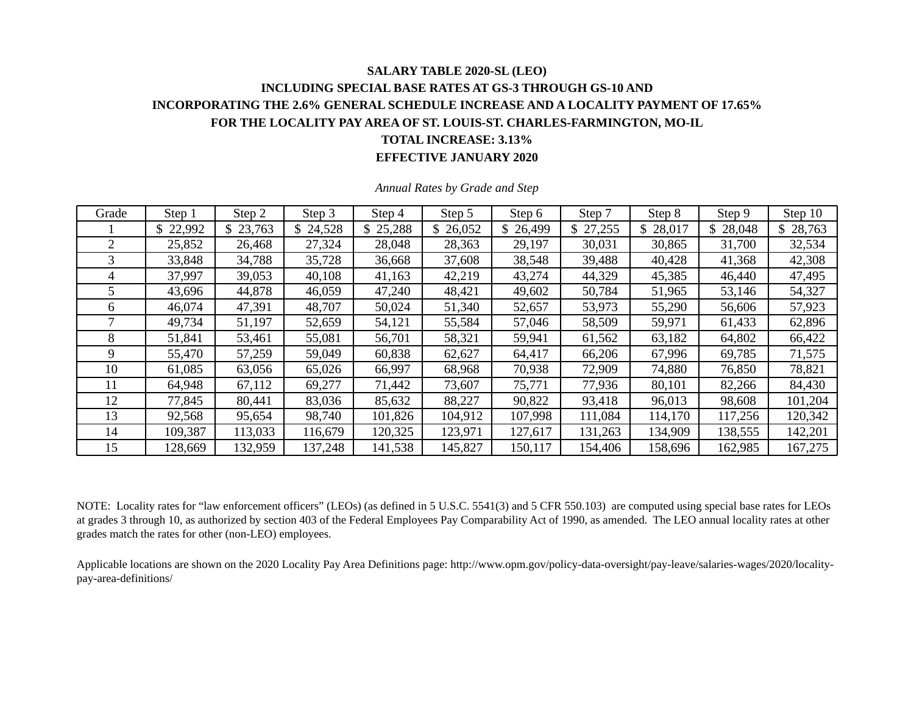### **SALARY TABLE 2020-SL (LEO) INCLUDING SPECIAL BASE RATES AT GS-3 THROUGH GS-10 AND INCORPORATING THE 2.6% GENERAL SCHEDULE INCREASE AND A LOCALITY PAYMENT OF 17.65% FOR THE LOCALITY PAY AREA OF ST. LOUIS-ST. CHARLES-FARMINGTON, MO-IL TOTAL INCREASE: 3.13% EFFECTIVE JANUARY 2020**

| Grade | Step 1   | Step 2   | Step 3   | Step 4   | Step 5   | Step 6   | Step 7   | Step 8  | Step 9   | Step 10  |
|-------|----------|----------|----------|----------|----------|----------|----------|---------|----------|----------|
|       | \$22,992 | \$23,763 | \$24,528 | \$25,288 | \$26,052 | \$26,499 | \$27,255 | 28,017  | \$28,048 | \$28,763 |
| 2     | 25,852   | 26,468   | 27,324   | 28,048   | 28,363   | 29,197   | 30,031   | 30,865  | 31,700   | 32,534   |
| 3     | 33,848   | 34,788   | 35,728   | 36,668   | 37,608   | 38,548   | 39,488   | 40,428  | 41,368   | 42,308   |
| 4     | 37,997   | 39,053   | 40,108   | 41,163   | 42,219   | 43,274   | 44,329   | 45,385  | 46,440   | 47,495   |
|       | 43,696   | 44,878   | 46,059   | 47,240   | 48,421   | 49,602   | 50,784   | 51,965  | 53,146   | 54,327   |
| 6     | 46,074   | 47,391   | 48,707   | 50,024   | 51,340   | 52,657   | 53,973   | 55,290  | 56,606   | 57,923   |
|       | 49,734   | 51,197   | 52,659   | 54,121   | 55,584   | 57,046   | 58,509   | 59,971  | 61,433   | 62,896   |
| 8     | 51,841   | 53,461   | 55,081   | 56,701   | 58,321   | 59,941   | 61,562   | 63,182  | 64,802   | 66,422   |
| 9     | 55,470   | 57,259   | 59,049   | 60,838   | 62,627   | 64,417   | 66,206   | 67,996  | 69,785   | 71,575   |
| 10    | 61,085   | 63,056   | 65,026   | 66,997   | 68,968   | 70,938   | 72,909   | 74,880  | 76,850   | 78,821   |
| 11    | 64,948   | 67,112   | 69,277   | 71,442   | 73,607   | 75,771   | 77,936   | 80,101  | 82,266   | 84,430   |
| 12    | 77,845   | 80,441   | 83,036   | 85,632   | 88,227   | 90,822   | 93,418   | 96,013  | 98,608   | 101,204  |
| 13    | 92,568   | 95,654   | 98,740   | 101,826  | 104,912  | 107,998  | 111,084  | 114,170 | 117,256  | 120,342  |
| 14    | 109,387  | 113,033  | 116,679  | 120,325  | 123,971  | 127,617  | 131,263  | 134,909 | 138,555  | 142,201  |
| 15    | 128,669  | 132,959  | 137,248  | 141,538  | 145,827  | 150,117  | 154,406  | 158,696 | 162,985  | 167,275  |

*Annual Rates by Grade and Step* 

NOTE: Locality rates for "law enforcement officers" (LEOs) (as defined in 5 U.S.C. 5541(3) and 5 CFR 550.103) are computed using special base rates for LEOs at grades 3 through 10, as authorized by section 403 of the Federal Employees Pay Comparability Act of 1990, as amended. The LEO annual locality rates at other grades match the rates for other (non-LEO) employees.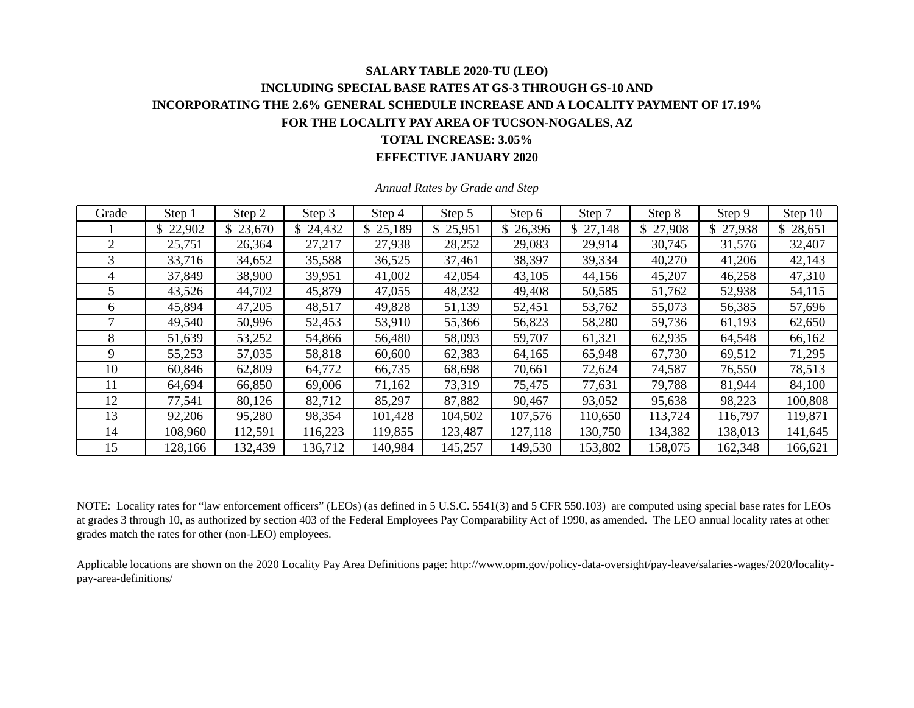### **SALARY TABLE 2020-TU (LEO) INCLUDING SPECIAL BASE RATES AT GS-3 THROUGH GS-10 AND INCORPORATING THE 2.6% GENERAL SCHEDULE INCREASE AND A LOCALITY PAYMENT OF 17.19% FOR THE LOCALITY PAY AREA OF TUCSON-NOGALES, AZ TOTAL INCREASE: 3.05% EFFECTIVE JANUARY 2020**

| Grade | Step 1   | Step 2   | Step 3  | Step 4   | Step 5   | Step 6  | Step 7   | Step 8        | Step 9   | Step 10  |
|-------|----------|----------|---------|----------|----------|---------|----------|---------------|----------|----------|
|       | \$22,902 | \$23,670 | 24,432  | \$25,189 | \$25,951 | 26,396  | \$27,148 | \$.<br>27,908 | \$27,938 | \$28,651 |
| 2     | 25,751   | 26,364   | 27,217  | 27,938   | 28,252   | 29,083  | 29,914   | 30,745        | 31,576   | 32,407   |
| 3     | 33,716   | 34,652   | 35,588  | 36,525   | 37,461   | 38,397  | 39,334   | 40,270        | 41,206   | 42,143   |
| 4     | 37,849   | 38,900   | 39,951  | 41,002   | 42,054   | 43,105  | 44,156   | 45,207        | 46,258   | 47,310   |
|       | 43,526   | 44,702   | 45,879  | 47,055   | 48,232   | 49,408  | 50,585   | 51,762        | 52,938   | 54,115   |
| 6     | 45,894   | 47,205   | 48,517  | 49,828   | 51,139   | 52,451  | 53,762   | 55,073        | 56,385   | 57,696   |
|       | 49,540   | 50,996   | 52,453  | 53,910   | 55,366   | 56,823  | 58,280   | 59,736        | 61,193   | 62,650   |
| 8     | 51,639   | 53,252   | 54,866  | 56,480   | 58,093   | 59,707  | 61,321   | 62,935        | 64,548   | 66,162   |
| 9     | 55,253   | 57,035   | 58,818  | 60,600   | 62,383   | 64,165  | 65,948   | 67,730        | 69,512   | 71,295   |
| 10    | 60,846   | 62,809   | 64,772  | 66,735   | 68,698   | 70,661  | 72,624   | 74,587        | 76,550   | 78,513   |
| 11    | 64,694   | 66,850   | 69,006  | 71,162   | 73,319   | 75,475  | 77,631   | 79,788        | 81,944   | 84,100   |
| 12    | 77,541   | 80,126   | 82,712  | 85,297   | 87,882   | 90,467  | 93,052   | 95,638        | 98,223   | 100,808  |
| 13    | 92,206   | 95,280   | 98,354  | 101,428  | 104,502  | 107,576 | 110,650  | 113,724       | 116,797  | 119,871  |
| 14    | 108,960  | 112,591  | 116,223 | 119,855  | 123,487  | 127,118 | 130,750  | 134,382       | 138,013  | 141,645  |
| 15    | 128,166  | 32,439   | 136,712 | 140,984  | 145,257  | 149,530 | 153,802  | 158,075       | 162,348  | 166,621  |

*Annual Rates by Grade and Step* 

NOTE: Locality rates for "law enforcement officers" (LEOs) (as defined in 5 U.S.C. 5541(3) and 5 CFR 550.103) are computed using special base rates for LEOs at grades 3 through 10, as authorized by section 403 of the Federal Employees Pay Comparability Act of 1990, as amended. The LEO annual locality rates at other grades match the rates for other (non-LEO) employees.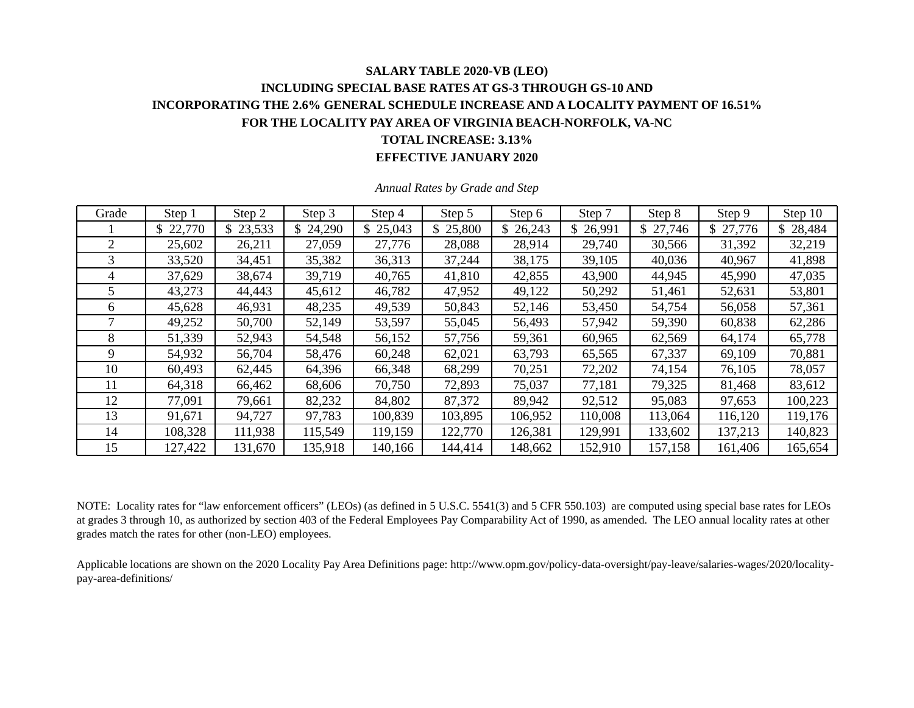# **SALARY TABLE 2020-VB (LEO) INCLUDING SPECIAL BASE RATES AT GS-3 THROUGH GS-10 AND INCORPORATING THE 2.6% GENERAL SCHEDULE INCREASE AND A LOCALITY PAYMENT OF 16.51% FOR THE LOCALITY PAY AREA OF VIRGINIA BEACH-NORFOLK, VA-NC TOTAL INCREASE: 3.13%**

#### **EFFECTIVE JANUARY 2020**

| Grade | Step 1   | Step 2   | Step 3  | Step 4   | Step 5   | Step 6   | Step 7   | Step 8  | Step 9   | Step 10  |
|-------|----------|----------|---------|----------|----------|----------|----------|---------|----------|----------|
|       | \$22,770 | \$23,533 | 24,290  | \$25,043 | \$25,800 | \$26,243 | \$26,991 | 27,746  | \$27,776 | \$28,484 |
| 2     | 25,602   | 26,211   | 27,059  | 27,776   | 28,088   | 28,914   | 29,740   | 30,566  | 31,392   | 32,219   |
| 3     | 33,520   | 34,451   | 35,382  | 36,313   | 37,244   | 38,175   | 39,105   | 40,036  | 40,967   | 41,898   |
| 4     | 37,629   | 38,674   | 39,719  | 40,765   | 41,810   | 42,855   | 43,900   | 44,945  | 45,990   | 47,035   |
| 5     | 43,273   | 44,443   | 45,612  | 46,782   | 47,952   | 49,122   | 50,292   | 51,461  | 52,631   | 53,801   |
| 6     | 45,628   | 46,931   | 48,235  | 49,539   | 50,843   | 52,146   | 53,450   | 54,754  | 56,058   | 57,361   |
|       | 49,252   | 50,700   | 52,149  | 53,597   | 55,045   | 56,493   | 57,942   | 59,390  | 60,838   | 62,286   |
| 8     | 51,339   | 52,943   | 54,548  | 56,152   | 57,756   | 59,361   | 60,965   | 62,569  | 64,174   | 65,778   |
| 9     | 54,932   | 56,704   | 58,476  | 60,248   | 62,021   | 63,793   | 65,565   | 67,337  | 69,109   | 70,881   |
| 10    | 60,493   | 62,445   | 64,396  | 66,348   | 68,299   | 70,251   | 72,202   | 74,154  | 76,105   | 78,057   |
| 11    | 64,318   | 66,462   | 68,606  | 70,750   | 72,893   | 75,037   | 77,181   | 79,325  | 81,468   | 83,612   |
| 12    | 77,091   | 79,661   | 82,232  | 84,802   | 87,372   | 89,942   | 92,512   | 95,083  | 97,653   | 100,223  |
| 13    | 91,671   | 94,727   | 97,783  | 100,839  | 103,895  | 106,952  | 110,008  | 113,064 | 116,120  | 119,176  |
| 14    | 108,328  | 111,938  | 115,549 | 119,159  | 122,770  | 126,381  | 129,991  | 133,602 | 137,213  | 140,823  |
| 15    | 127,422  | 131,670  | 135,918 | 140,166  | 144,414  | 148,662  | 152,910  | 157,158 | 161,406  | 165,654  |

*Annual Rates by Grade and Step* 

NOTE: Locality rates for "law enforcement officers" (LEOs) (as defined in 5 U.S.C. 5541(3) and 5 CFR 550.103) are computed using special base rates for LEOs at grades 3 through 10, as authorized by section 403 of the Federal Employees Pay Comparability Act of 1990, as amended. The LEO annual locality rates at other grades match the rates for other (non-LEO) employees.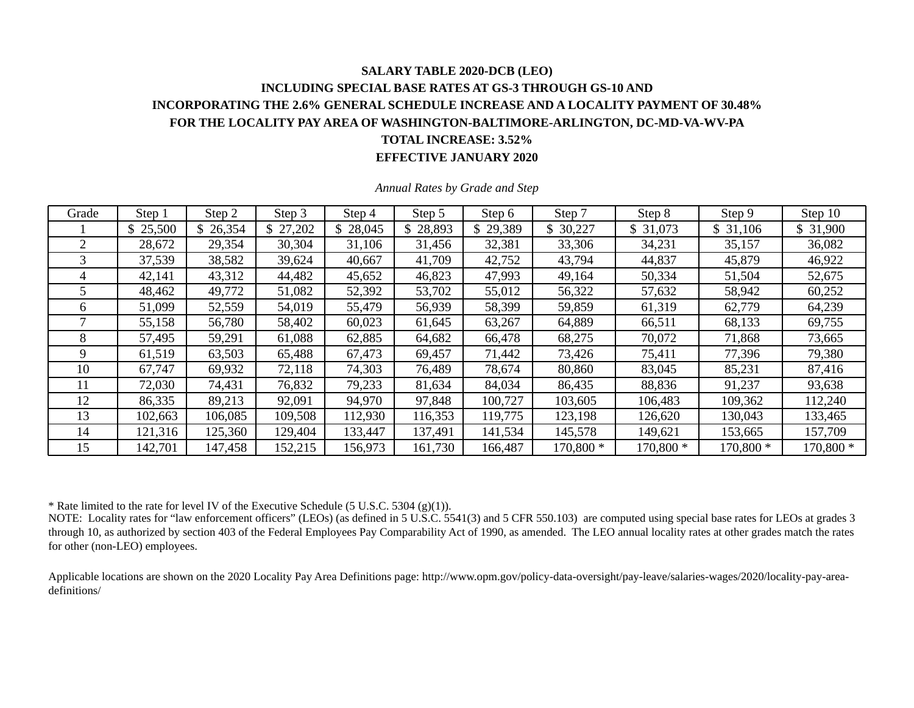### **SALARY TABLE 2020-DCB (LEO) INCLUDING SPECIAL BASE RATES AT GS-3 THROUGH GS-10 AND INCORPORATING THE 2.6% GENERAL SCHEDULE INCREASE AND A LOCALITY PAYMENT OF 30.48% FOR THE LOCALITY PAY AREA OF WASHINGTON-BALTIMORE-ARLINGTON, DC-MD-VA-WV-PA TOTAL INCREASE: 3.52% EFFECTIVE JANUARY 2020**

| Grade | Step 1   | Step 2  | Step 3   | Step 4   | Step 5   | Step 6   | Step 7    | Step 8    | Step 9    | Step 10   |
|-------|----------|---------|----------|----------|----------|----------|-----------|-----------|-----------|-----------|
|       | \$25,500 | 26,354  | \$27,202 | \$28,045 | \$28,893 | \$29,389 | 30,227    | \$31,073  | \$31,106  | \$31,900  |
|       | 28,672   | 29,354  | 30,304   | 31,106   | 31,456   | 32,381   | 33,306    | 34,231    | 35,157    | 36,082    |
|       | 37,539   | 38,582  | 39,624   | 40,667   | 41,709   | 42,752   | 43,794    | 44,837    | 45,879    | 46,922    |
| 4     | 42,141   | 43,312  | 44,482   | 45,652   | 46,823   | 47,993   | 49,164    | 50,334    | 51,504    | 52,675    |
|       | 48,462   | 49,772  | 51,082   | 52,392   | 53,702   | 55,012   | 56,322    | 57,632    | 58,942    | 60,252    |
| 6     | 51,099   | 52,559  | 54,019   | 55,479   | 56,939   | 58,399   | 59,859    | 61,319    | 62,779    | 64,239    |
|       | 55,158   | 56,780  | 58,402   | 60,023   | 61,645   | 63,267   | 64,889    | 66,511    | 68,133    | 69,755    |
| 8     | 57,495   | 59,291  | 61,088   | 62,885   | 64,682   | 66,478   | 68,275    | 70,072    | 71,868    | 73,665    |
| 9     | 61,519   | 63,503  | 65,488   | 67,473   | 69,457   | 71,442   | 73,426    | 75,411    | 77,396    | 79,380    |
| 10    | 67,747   | 69,932  | 72,118   | 74,303   | 76,489   | 78,674   | 80,860    | 83,045    | 85,231    | 87,416    |
|       | 72,030   | 74,431  | 76,832   | 79,233   | 81,634   | 84,034   | 86,435    | 88,836    | 91,237    | 93,638    |
| 12    | 86,335   | 89,213  | 92,091   | 94,970   | 97,848   | 100,727  | 103,605   | 106,483   | 109,362   | 112,240   |
| 13    | 102,663  | 106,085 | 109,508  | 112,930  | 116,353  | 119,775  | 123,198   | 126,620   | 130,043   | 133,465   |
| 14    | 121,316  | 125,360 | 129,404  | 133,447  | 137,491  | 141,534  | 145,578   | 149,621   | 153,665   | 157,709   |
| 15    | 142,701  | 147,458 | 152,215  | 156,973  | 161,730  | 166,487  | 170,800 * | 170,800 * | 170,800 * | 170,800 * |

*Annual Rates by Grade and Step* 

\* Rate limited to the rate for level IV of the Executive Schedule (5 U.S.C. 5304 (g)(1)).

NOTE: Locality rates for "law enforcement officers" (LEOs) (as defined in 5 U.S.C. 5541(3) and 5 CFR 550.103) are computed using special base rates for LEOs at grades 3 through 10, as authorized by section 403 of the Federal Employees Pay Comparability Act of 1990, as amended. The LEO annual locality rates at other grades match the rates for other (non-LEO) employees.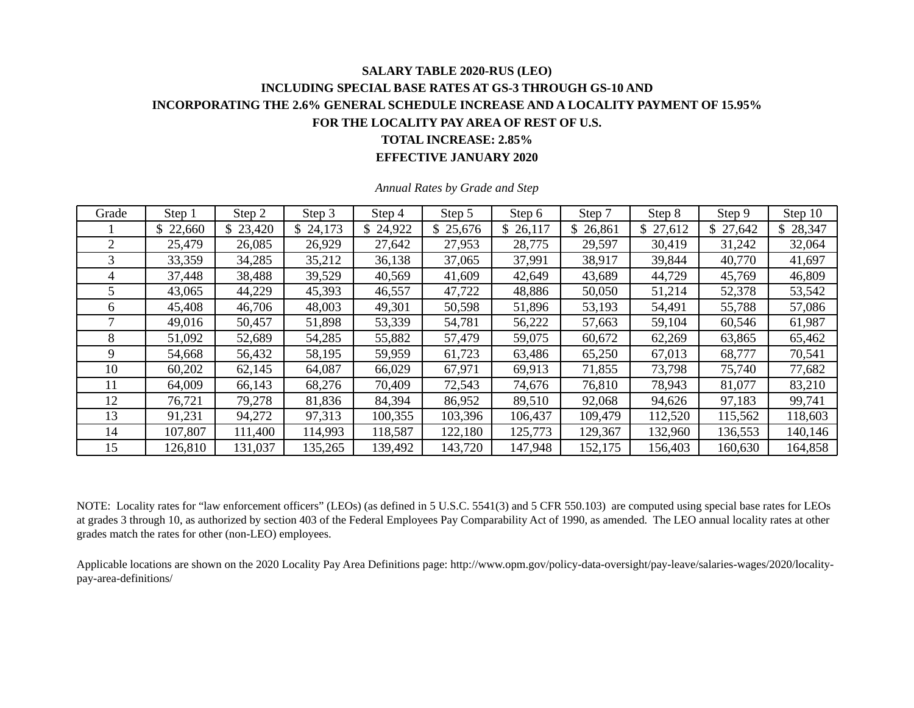## **SALARY TABLE 2020-RUS (LEO) INCLUDING SPECIAL BASE RATES AT GS-3 THROUGH GS-10 AND INCORPORATING THE 2.6% GENERAL SCHEDULE INCREASE AND A LOCALITY PAYMENT OF 15.95% FOR THE LOCALITY PAY AREA OF REST OF U.S. TOTAL INCREASE: 2.85%**

**EFFECTIVE JANUARY 2020** 

| Grade | Step 1   | Step 2   | Step 3   | Step 4   | Step 5   | Step 6   | Step 7   | Step 8   | Step 9   | Step 10      |
|-------|----------|----------|----------|----------|----------|----------|----------|----------|----------|--------------|
|       | \$22,660 | \$23,420 | \$24,173 | \$24,922 | \$25,676 | \$26,117 | \$26,861 | \$27,612 | \$27,642 | 28,347<br>\$ |
| 2     | 25,479   | 26,085   | 26,929   | 27,642   | 27,953   | 28,775   | 29,597   | 30,419   | 31,242   | 32,064       |
| 3     | 33,359   | 34,285   | 35,212   | 36,138   | 37,065   | 37,991   | 38,917   | 39,844   | 40,770   | 41,697       |
| 4     | 37,448   | 38,488   | 39,529   | 40,569   | 41,609   | 42,649   | 43,689   | 44,729   | 45,769   | 46,809       |
|       | 43,065   | 44,229   | 45,393   | 46,557   | 47,722   | 48,886   | 50,050   | 51,214   | 52,378   | 53,542       |
| 6     | 45,408   | 46,706   | 48,003   | 49,301   | 50,598   | 51,896   | 53,193   | 54,491   | 55,788   | 57,086       |
|       | 49,016   | 50,457   | 51,898   | 53,339   | 54,781   | 56,222   | 57,663   | 59,104   | 60,546   | 61,987       |
| 8     | 51,092   | 52,689   | 54,285   | 55,882   | 57,479   | 59,075   | 60,672   | 62,269   | 63,865   | 65,462       |
| 9     | 54,668   | 56,432   | 58,195   | 59,959   | 61,723   | 63,486   | 65,250   | 67,013   | 68,777   | 70,541       |
| 10    | 60,202   | 62,145   | 64,087   | 66,029   | 67,971   | 69,913   | 71,855   | 73,798   | 75,740   | 77,682       |
| 11    | 64,009   | 66,143   | 68,276   | 70,409   | 72,543   | 74,676   | 76,810   | 78,943   | 81,077   | 83,210       |
| 12    | 76,721   | 79,278   | 81,836   | 84,394   | 86,952   | 89,510   | 92,068   | 94,626   | 97,183   | 99,741       |
| 13    | 91,231   | 94,272   | 97,313   | 100,355  | 103,396  | 106,437  | 109,479  | 112,520  | 115,562  | 118,603      |
| 14    | 107,807  | 111,400  | 114,993  | 118,587  | 122,180  | 125,773  | 129,367  | 132,960  | 136,553  | 140,146      |
| 15    | 126,810  | 131,037  | 135,265  | 139,492  | 143,720  | 147,948  | 152,175  | 156,403  | 160,630  | 164,858      |

*Annual Rates by Grade and Step* 

NOTE: Locality rates for "law enforcement officers" (LEOs) (as defined in 5 U.S.C. 5541(3) and 5 CFR 550.103) are computed using special base rates for LEOs at grades 3 through 10, as authorized by section 403 of the Federal Employees Pay Comparability Act of 1990, as amended. The LEO annual locality rates at other grades match the rates for other (non-LEO) employees.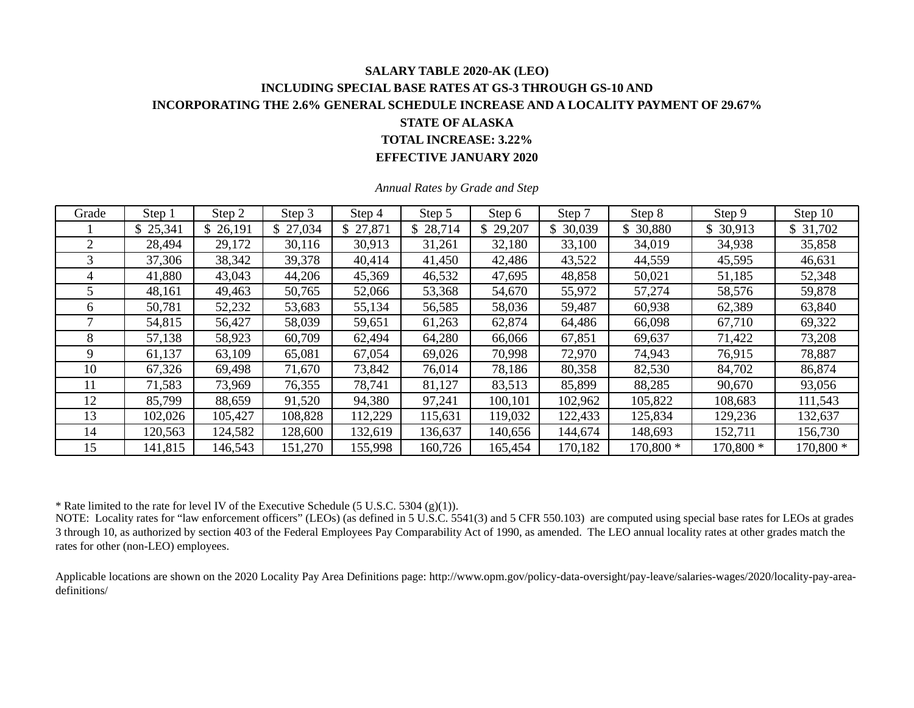#### **SALARY TABLE 2020-AK (LEO) INCLUDING SPECIAL BASE RATES AT GS-3 THROUGH GS-10 AND INCORPORATING THE 2.6% GENERAL SCHEDULE INCREASE AND A LOCALITY PAYMENT OF 29.67% STATE OF ALASKA TOTAL INCREASE: 3.22%**

**EFFECTIVE JANUARY 2020** 

| Grade        | Step 1   | Step 2   | Step 3   | Step 4   | Step 5   | Step 6       | Step 7    | Step 8    | Step 9    | Step 10    |
|--------------|----------|----------|----------|----------|----------|--------------|-----------|-----------|-----------|------------|
|              | \$25,341 | \$26,191 | \$27,034 | \$27,871 | \$28,714 | 29,207<br>\$ | \$ 30,039 | \$30,880  | \$30,913  | \$31,702   |
|              | 28,494   | 29,172   | 30,116   | 30,913   | 31,261   | 32,180       | 33,100    | 34,019    | 34,938    | 35,858     |
| 3            | 37,306   | 38,342   | 39,378   | 40,414   | 41,450   | 42,486       | 43,522    | 44,559    | 45,595    | 46,631     |
| 4            | 41,880   | 43,043   | 44,206   | 45,369   | 46,532   | 47,695       | 48,858    | 50,021    | 51,185    | 52,348     |
|              | 48,161   | 49,463   | 50,765   | 52,066   | 53,368   | 54,670       | 55,972    | 57,274    | 58,576    | 59,878     |
| <sub>0</sub> | 50,781   | 52,232   | 53,683   | 55,134   | 56,585   | 58,036       | 59,487    | 60,938    | 62,389    | 63,840     |
|              | 54,815   | 56,427   | 58,039   | 59,651   | 61,263   | 62,874       | 64,486    | 66,098    | 67,710    | 69,322     |
| 8            | 57,138   | 58,923   | 60,709   | 62,494   | 64,280   | 66,066       | 67,851    | 69,637    | 71,422    | 73,208     |
| 9            | 61,137   | 63,109   | 65,081   | 67,054   | 69,026   | 70,998       | 72,970    | 74,943    | 76,915    | 78,887     |
| 10           | 67,326   | 69,498   | 71,670   | 73,842   | 76,014   | 78,186       | 80,358    | 82,530    | 84,702    | 86,874     |
| 11           | 71,583   | 73,969   | 76,355   | 78,741   | 81,127   | 83,513       | 85,899    | 88,285    | 90,670    | 93,056     |
| 12           | 85,799   | 88,659   | 91,520   | 94,380   | 97,241   | 100,101      | 102,962   | 105,822   | 108,683   | 111,543    |
| 13           | 102,026  | 105,427  | 108,828  | 112,229  | 115,631  | 119,032      | 122,433   | 125,834   | 129,236   | 132,637    |
| 14           | 120,563  | 124,582  | 128,600  | 132,619  | 136,637  | 140,656      | 144,674   | 148,693   | 152,711   | 156,730    |
| 15           | 141,815  | 146,543  | 151,270  | 155,998  | 160,726  | 165,454      | 170,182   | 170,800 * | 170,800 * | $170,800*$ |

*Annual Rates by Grade and Step* 

\* Rate limited to the rate for level IV of the Executive Schedule (5 U.S.C. 5304 (g)(1)).

NOTE: Locality rates for "law enforcement officers" (LEOs) (as defined in 5 U.S.C. 5541(3) and 5 CFR 550.103) are computed using special base rates for LEOs at grades 3 through 10, as authorized by section 403 of the Federal Employees Pay Comparability Act of 1990, as amended. The LEO annual locality rates at other grades match the rates for other (non-LEO) employees.